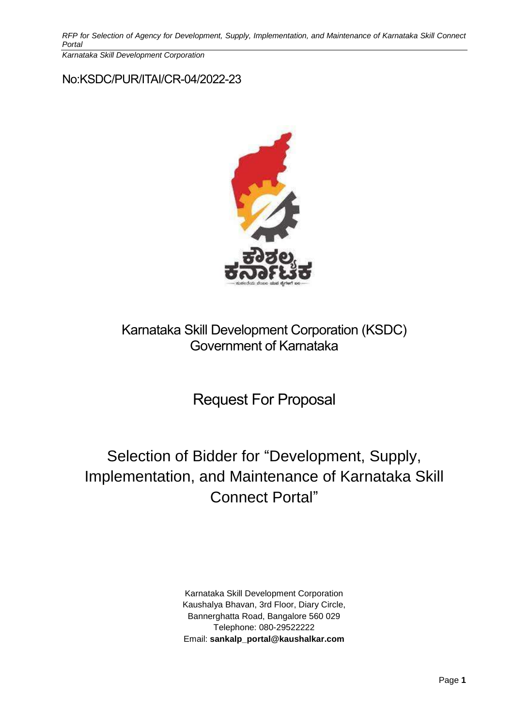*Karnataka Skill Development Corporation* 

No:KSDC/PUR/ITAI/CR-04/2022-23



# Karnataka Skill Development Corporation (KSDC) Government of Karnataka

Request For Proposal

# Selection of Bidder for "Development, Supply, Implementation, and Maintenance of Karnataka Skill Connect Portal"

Karnataka Skill Development Corporation Kaushalya Bhavan, 3rd Floor, Diary Circle, Bannerghatta Road, Bangalore 560 029 Telephone: 080-29522222 Email: **sankalp\_portal@kaushalkar.com**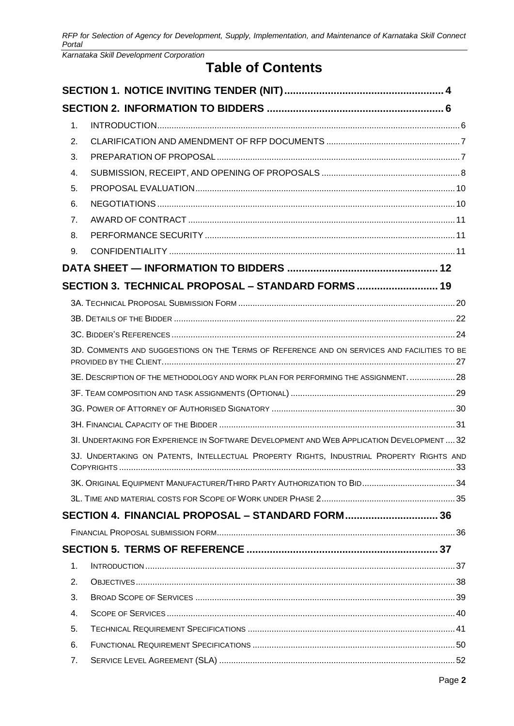# **Table of Contents**

| 1.             |                                                                                                        |  |
|----------------|--------------------------------------------------------------------------------------------------------|--|
| 2.             |                                                                                                        |  |
| 3.             |                                                                                                        |  |
| 4.             |                                                                                                        |  |
| 5.             |                                                                                                        |  |
| 6.             |                                                                                                        |  |
| 7 <sub>1</sub> |                                                                                                        |  |
| 8.             |                                                                                                        |  |
| 9.             |                                                                                                        |  |
|                |                                                                                                        |  |
|                |                                                                                                        |  |
|                |                                                                                                        |  |
|                |                                                                                                        |  |
|                |                                                                                                        |  |
|                | 3D. COMMENTS AND SUGGESTIONS ON THE TERMS OF REFERENCE AND ON SERVICES AND FACILITIES TO BE            |  |
|                | 3E. DESCRIPTION OF THE METHODOLOGY AND WORK PLAN FOR PERFORMING THE ASSIGNMENT.  28                    |  |
|                |                                                                                                        |  |
|                |                                                                                                        |  |
|                |                                                                                                        |  |
|                | 3I. UNDERTAKING FOR EXPERIENCE IN SOFTWARE DEVELOPMENT AND WEB APPLICATION DEVELOPMENT 32              |  |
|                | 3J. UNDERTAKING ON PATENTS, INTELLECTUAL PROPERTY RIGHTS, INDUSTRIAL PROPERTY RIGHTS AND<br>COPYRIGHTS |  |
|                |                                                                                                        |  |
|                |                                                                                                        |  |
|                | SECTION 4. FINANCIAL PROPOSAL - STANDARD FORM 36                                                       |  |
|                |                                                                                                        |  |
|                |                                                                                                        |  |
| 1.             |                                                                                                        |  |
| 2.             |                                                                                                        |  |
| 3.             |                                                                                                        |  |
| 4.             |                                                                                                        |  |
| 5.             |                                                                                                        |  |
| 6.             |                                                                                                        |  |
| 7.             |                                                                                                        |  |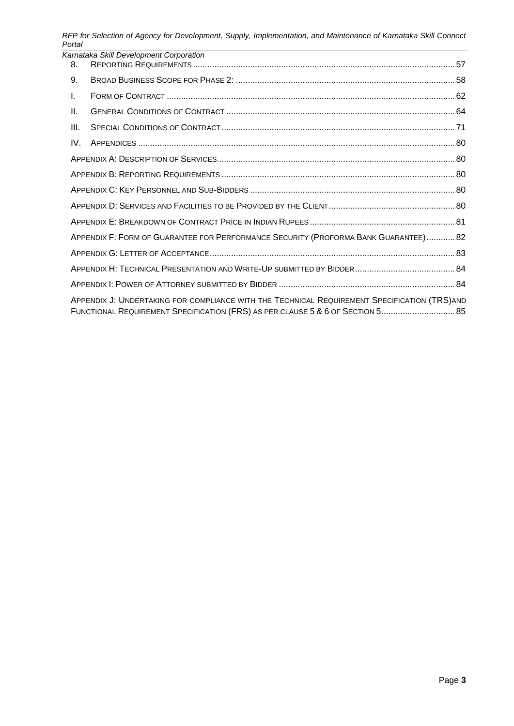|                | Karnataka Skill Development Corporation                                                                                                                                        |  |  |  |
|----------------|--------------------------------------------------------------------------------------------------------------------------------------------------------------------------------|--|--|--|
| 8.             |                                                                                                                                                                                |  |  |  |
| 9.             |                                                                                                                                                                                |  |  |  |
| $\mathbf{I}$ . |                                                                                                                                                                                |  |  |  |
| II.            |                                                                                                                                                                                |  |  |  |
| III.           |                                                                                                                                                                                |  |  |  |
| IV.            |                                                                                                                                                                                |  |  |  |
|                |                                                                                                                                                                                |  |  |  |
|                |                                                                                                                                                                                |  |  |  |
|                |                                                                                                                                                                                |  |  |  |
|                |                                                                                                                                                                                |  |  |  |
|                |                                                                                                                                                                                |  |  |  |
|                | APPENDIX F: FORM OF GUARANTEE FOR PERFORMANCE SECURITY (PROFORMA BANK GUARANTEE)82                                                                                             |  |  |  |
|                |                                                                                                                                                                                |  |  |  |
|                |                                                                                                                                                                                |  |  |  |
|                |                                                                                                                                                                                |  |  |  |
|                | APPENDIX J: UNDERTAKING FOR COMPLIANCE WITH THE TECHNICAL REQUIREMENT SPECIFICATION (TRS)AND<br>FUNCTIONAL REQUIREMENT SPECIFICATION (FRS) AS PER CLAUSE 5 & 6 OF SECTION 5 85 |  |  |  |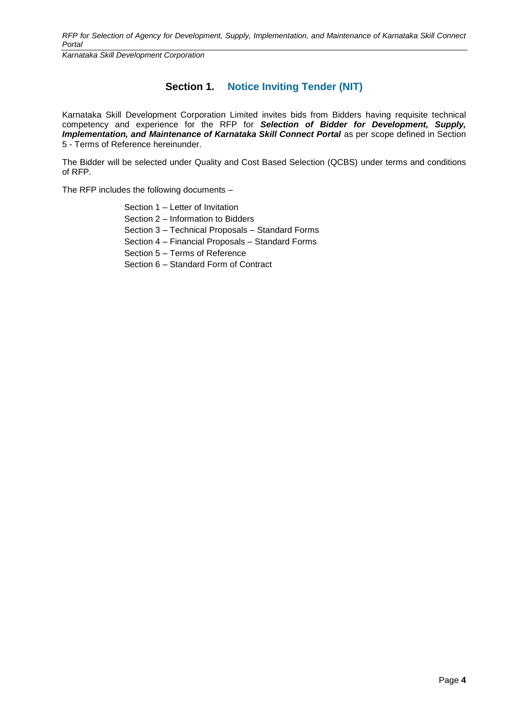## **Section 1. Notice Inviting Tender (NIT)**

<span id="page-3-0"></span>Karnataka Skill Development Corporation Limited invites bids from Bidders having requisite technical competency and experience for the RFP for *Selection of Bidder for Development, Supply, Implementation, and Maintenance of Karnataka Skill Connect Portal* as per scope defined in Section 5 - Terms of Reference hereinunder.

The Bidder will be selected under Quality and Cost Based Selection (QCBS) under terms and conditions of RFP.

The RFP includes the following documents –

Section 1 – Letter of Invitation Section 2 – Information to Bidders Section 3 – Technical Proposals – Standard Forms Section 4 – Financial Proposals – Standard Forms Section 5 – Terms of Reference Section 6 – Standard Form of Contract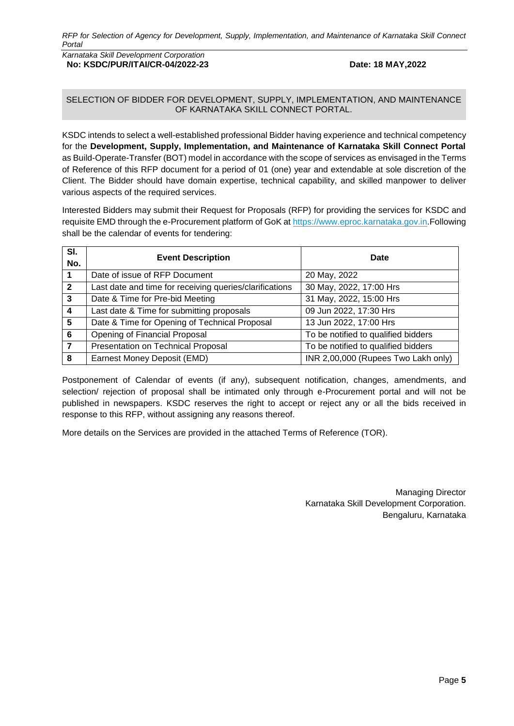*Karnataka Skill Development Corporation*  **No: KSDC/PUR/ITAI/CR-04/2022-23 Date: 18 MAY,2022**

#### SELECTION OF BIDDER FOR DEVELOPMENT, SUPPLY, IMPLEMENTATION, AND MAINTENANCE OF KARNATAKA SKILL CONNECT PORTAL.

KSDC intends to select a well-established professional Bidder having experience and technical competency for the **Development, Supply, Implementation, and Maintenance of Karnataka Skill Connect Portal**  as Build-Operate-Transfer (BOT) model in accordance with the scope of services as envisaged in the Terms of Reference of this RFP document for a period of 01 (one) year and extendable at sole discretion of the Client. The Bidder should have domain expertise, technical capability, and skilled manpower to deliver various aspects of the required services.

Interested Bidders may submit their Request for Proposals (RFP) for providing the services for KSDC and requisite EMD through the e-Procurement platform of GoK at [https://www.eproc.karnataka.gov.in.](https://www.eproc.karnataka.gov.in/)Following shall be the calendar of events for tendering:

| SI.<br>No.   | <b>Event Description</b>                                | Date                                |
|--------------|---------------------------------------------------------|-------------------------------------|
|              | Date of issue of RFP Document                           | 20 May, 2022                        |
| $\mathbf{2}$ | Last date and time for receiving queries/clarifications | 30 May, 2022, 17:00 Hrs             |
| 3            | Date & Time for Pre-bid Meeting                         | 31 May, 2022, 15:00 Hrs             |
| 4            | Last date & Time for submitting proposals               | 09 Jun 2022, 17:30 Hrs              |
| 5            | Date & Time for Opening of Technical Proposal           | 13 Jun 2022, 17:00 Hrs              |
| 6            | Opening of Financial Proposal                           | To be notified to qualified bidders |
| 7            | Presentation on Technical Proposal                      | To be notified to qualified bidders |
| 8            | Earnest Money Deposit (EMD)                             | INR 2,00,000 (Rupees Two Lakh only) |

Postponement of Calendar of events (if any), subsequent notification, changes, amendments, and selection/ rejection of proposal shall be intimated only through e-Procurement portal and will not be published in newspapers. KSDC reserves the right to accept or reject any or all the bids received in response to this RFP, without assigning any reasons thereof.

More details on the Services are provided in the attached Terms of Reference (TOR).

Managing Director Karnataka Skill Development Corporation. Bengaluru, Karnataka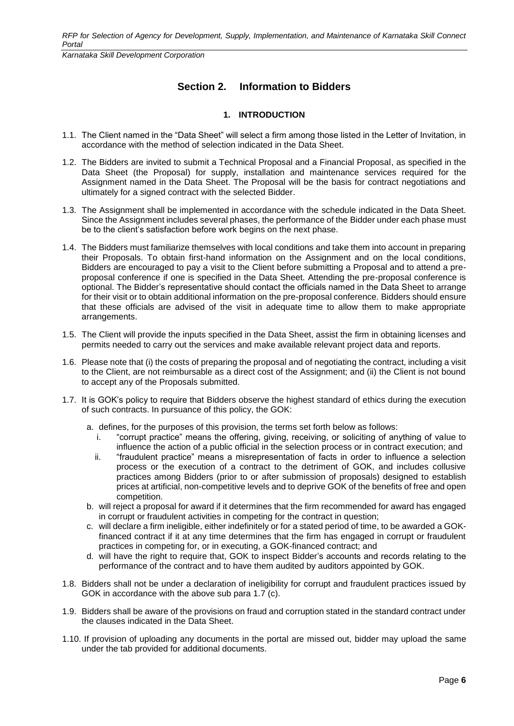## **Section 2. Information to Bidders**

#### **1. INTRODUCTION**

- <span id="page-5-1"></span><span id="page-5-0"></span>1.1. The Client named in the "Data Sheet" will select a firm among those listed in the Letter of Invitation, in accordance with the method of selection indicated in the Data Sheet.
- 1.2. The Bidders are invited to submit a Technical Proposal and a Financial Proposal, as specified in the Data Sheet (the Proposal) for supply, installation and maintenance services required for the Assignment named in the Data Sheet. The Proposal will be the basis for contract negotiations and ultimately for a signed contract with the selected Bidder.
- 1.3. The Assignment shall be implemented in accordance with the schedule indicated in the Data Sheet. Since the Assignment includes several phases, the performance of the Bidder under each phase must be to the client's satisfaction before work begins on the next phase.
- 1.4. The Bidders must familiarize themselves with local conditions and take them into account in preparing their Proposals. To obtain first-hand information on the Assignment and on the local conditions, Bidders are encouraged to pay a visit to the Client before submitting a Proposal and to attend a preproposal conference if one is specified in the Data Sheet. Attending the pre-proposal conference is optional. The Bidder's representative should contact the officials named in the Data Sheet to arrange for their visit or to obtain additional information on the pre-proposal conference. Bidders should ensure that these officials are advised of the visit in adequate time to allow them to make appropriate arrangements.
- 1.5. The Client will provide the inputs specified in the Data Sheet, assist the firm in obtaining licenses and permits needed to carry out the services and make available relevant project data and reports.
- 1.6. Please note that (i) the costs of preparing the proposal and of negotiating the contract, including a visit to the Client, are not reimbursable as a direct cost of the Assignment; and (ii) the Client is not bound to accept any of the Proposals submitted.
- 1.7. It is GOK's policy to require that Bidders observe the highest standard of ethics during the execution of such contracts. In pursuance of this policy, the GOK:
	- a. defines, for the purposes of this provision, the terms set forth below as follows:
		- i. "corrupt practice" means the offering, giving, receiving, or soliciting of anything of value to influence the action of a public official in the selection process or in contract execution; and
		- ii. "fraudulent practice" means a misrepresentation of facts in order to influence a selection process or the execution of a contract to the detriment of GOK, and includes collusive practices among Bidders (prior to or after submission of proposals) designed to establish prices at artificial, non-competitive levels and to deprive GOK of the benefits of free and open competition.
	- b. will reject a proposal for award if it determines that the firm recommended for award has engaged in corrupt or fraudulent activities in competing for the contract in question;
	- c. will declare a firm ineligible, either indefinitely or for a stated period of time, to be awarded a GOKfinanced contract if it at any time determines that the firm has engaged in corrupt or fraudulent practices in competing for, or in executing, a GOK-financed contract; and
	- d. will have the right to require that, GOK to inspect Bidder's accounts and records relating to the performance of the contract and to have them audited by auditors appointed by GOK.
- 1.8. Bidders shall not be under a declaration of ineligibility for corrupt and fraudulent practices issued by GOK in accordance with the above sub para 1.7 (c).
- 1.9. Bidders shall be aware of the provisions on fraud and corruption stated in the standard contract under the clauses indicated in the Data Sheet.
- 1.10. If provision of uploading any documents in the portal are missed out, bidder may upload the same under the tab provided for additional documents.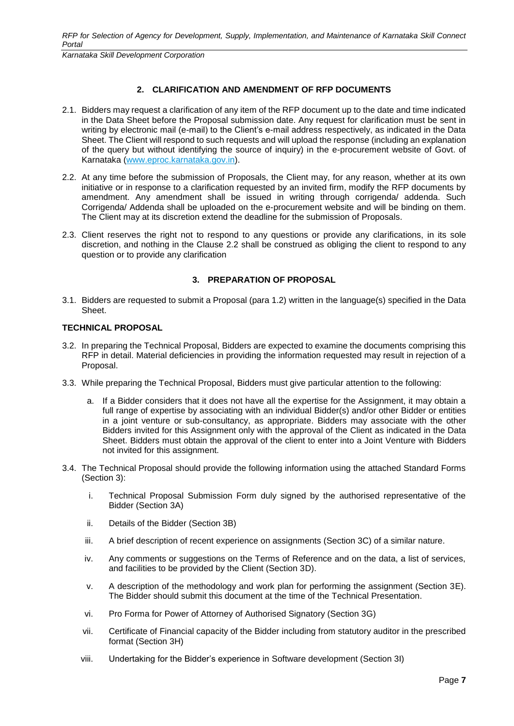#### **2. CLARIFICATION AND AMENDMENT OF RFP DOCUMENTS**

- <span id="page-6-0"></span>2.1. Bidders may request a clarification of any item of the RFP document up to the date and time indicated in the Data Sheet before the Proposal submission date. Any request for clarification must be sent in writing by electronic mail (e-mail) to the Client's e-mail address respectively, as indicated in the Data Sheet. The Client will respond to such requests and will upload the response (including an explanation of the query but without identifying the source of inquiry) in the e-procurement website of Govt. of Karnataka [\(www.eproc.karnataka.gov.in\)](http://www.eproc.karnataka.gov.in/).
- 2.2. At any time before the submission of Proposals, the Client may, for any reason, whether at its own initiative or in response to a clarification requested by an invited firm, modify the RFP documents by amendment. Any amendment shall be issued in writing through corrigenda/ addenda. Such Corrigenda/ Addenda shall be uploaded on the e-procurement website and will be binding on them. The Client may at its discretion extend the deadline for the submission of Proposals.
- 2.3. Client reserves the right not to respond to any questions or provide any clarifications, in its sole discretion, and nothing in the Clause 2.2 shall be construed as obliging the client to respond to any question or to provide any clarification

#### **3. PREPARATION OF PROPOSAL**

<span id="page-6-1"></span>3.1. Bidders are requested to submit a Proposal (para 1.2) written in the language(s) specified in the Data Sheet.

#### **TECHNICAL PROPOSAL**

- 3.2. In preparing the Technical Proposal, Bidders are expected to examine the documents comprising this RFP in detail. Material deficiencies in providing the information requested may result in rejection of a Proposal.
- 3.3. While preparing the Technical Proposal, Bidders must give particular attention to the following:
	- a. If a Bidder considers that it does not have all the expertise for the Assignment, it may obtain a full range of expertise by associating with an individual Bidder(s) and/or other Bidder or entities in a joint venture or sub-consultancy, as appropriate. Bidders may associate with the other Bidders invited for this Assignment only with the approval of the Client as indicated in the Data Sheet. Bidders must obtain the approval of the client to enter into a Joint Venture with Bidders not invited for this assignment.
- 3.4. The Technical Proposal should provide the following information using the attached Standard Forms (Section 3):
	- i. Technical Proposal Submission Form duly signed by the authorised representative of the Bidder (Section 3A)
	- ii. Details of the Bidder (Section 3B)
	- iii. A brief description of recent experience on assignments (Section 3C) of a similar nature.
	- iv. Any comments or suggestions on the Terms of Reference and on the data, a list of services, and facilities to be provided by the Client (Section 3D).
	- v. A description of the methodology and work plan for performing the assignment (Section 3E). The Bidder should submit this document at the time of the Technical Presentation.
	- vi. Pro Forma for Power of Attorney of Authorised Signatory (Section 3G)
	- vii. Certificate of Financial capacity of the Bidder including from statutory auditor in the prescribed format (Section 3H)
	- viii. Undertaking for the Bidder's experience in Software development (Section 3I)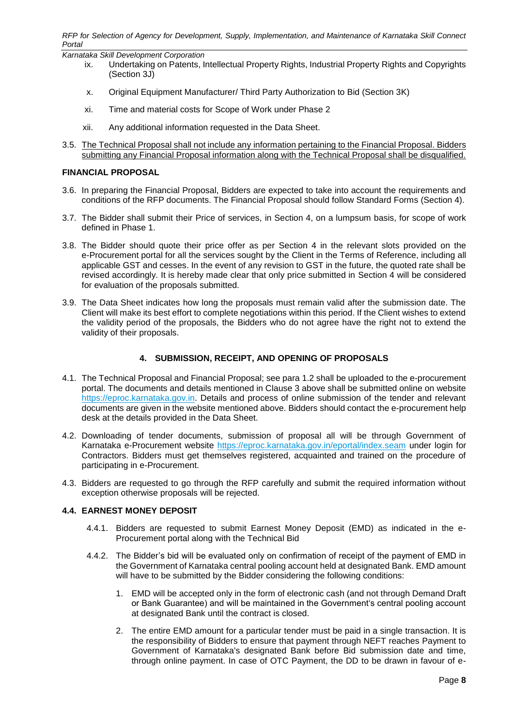- ix. Undertaking on Patents, Intellectual Property Rights, Industrial Property Rights and Copyrights (Section 3J)
- x. Original Equipment Manufacturer/ Third Party Authorization to Bid (Section 3K)
- xi. Time and material costs for Scope of Work under Phase 2
- xii. Any additional information requested in the Data Sheet.
- 3.5. The Technical Proposal shall not include any information pertaining to the Financial Proposal. Bidders submitting any Financial Proposal information along with the Technical Proposal shall be disqualified.

#### **FINANCIAL PROPOSAL**

- 3.6. In preparing the Financial Proposal, Bidders are expected to take into account the requirements and conditions of the RFP documents. The Financial Proposal should follow Standard Forms (Section 4).
- 3.7. The Bidder shall submit their Price of services, in Section 4, on a lumpsum basis, for scope of work defined in Phase 1.
- 3.8. The Bidder should quote their price offer as per Section 4 in the relevant slots provided on the e-Procurement portal for all the services sought by the Client in the Terms of Reference, including all applicable GST and cesses. In the event of any revision to GST in the future, the quoted rate shall be revised accordingly. It is hereby made clear that only price submitted in Section 4 will be considered for evaluation of the proposals submitted.
- 3.9. The Data Sheet indicates how long the proposals must remain valid after the submission date. The Client will make its best effort to complete negotiations within this period. If the Client wishes to extend the validity period of the proposals, the Bidders who do not agree have the right not to extend the validity of their proposals.

#### **4. SUBMISSION, RECEIPT, AND OPENING OF PROPOSALS**

- <span id="page-7-0"></span>4.1. The Technical Proposal and Financial Proposal; see para 1.2 shall be uploaded to the e-procurement portal. The documents and details mentioned in Clause 3 above shall be submitted online on website [https://eproc.karnataka.gov.in.](https://eproc.karnataka.gov.in/) Details and process of online submission of the tender and relevant documents are given in the website mentioned above. Bidders should contact the e-procurement help desk at the details provided in the Data Sheet.
- 4.2. Downloading of tender documents, submission of proposal all will be through Government of Karnataka e-Procurement website<https://eproc.karnataka.gov.in/eportal/index.seam> under login for Contractors. Bidders must get themselves registered, acquainted and trained on the procedure of participating in e-Procurement.
- 4.3. Bidders are requested to go through the RFP carefully and submit the required information without exception otherwise proposals will be rejected.

#### **4.4. EARNEST MONEY DEPOSIT**

- 4.4.1. Bidders are requested to submit Earnest Money Deposit (EMD) as indicated in the e-Procurement portal along with the Technical Bid
- 4.4.2. The Bidder's bid will be evaluated only on confirmation of receipt of the payment of EMD in the Government of Karnataka central pooling account held at designated Bank. EMD amount will have to be submitted by the Bidder considering the following conditions:
	- 1. EMD will be accepted only in the form of electronic cash (and not through Demand Draft or Bank Guarantee) and will be maintained in the Government's central pooling account at designated Bank until the contract is closed.
	- 2. The entire EMD amount for a particular tender must be paid in a single transaction. It is the responsibility of Bidders to ensure that payment through NEFT reaches Payment to Government of Karnataka's designated Bank before Bid submission date and time, through online payment. In case of OTC Payment, the DD to be drawn in favour of e-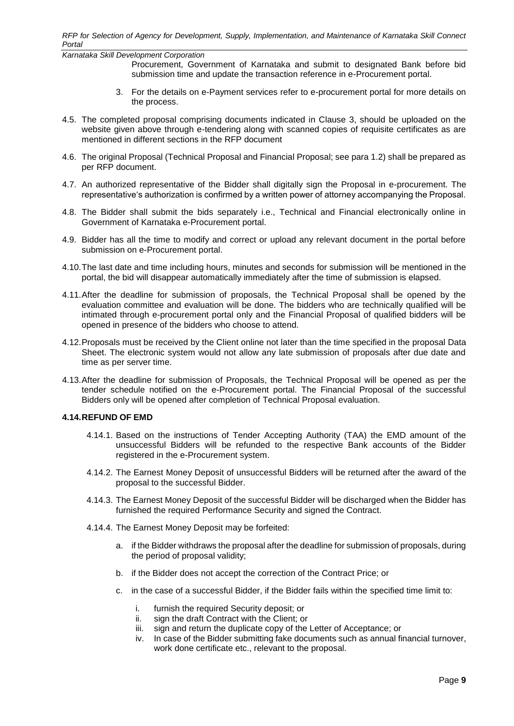Procurement, Government of Karnataka and submit to designated Bank before bid submission time and update the transaction reference in e-Procurement portal.

- 3. For the details on e-Payment services refer to e-procurement portal for more details on the process.
- 4.5. The completed proposal comprising documents indicated in Clause 3, should be uploaded on the website given above through e-tendering along with scanned copies of requisite certificates as are mentioned in different sections in the RFP document
- 4.6. The original Proposal (Technical Proposal and Financial Proposal; see para 1.2) shall be prepared as per RFP document.
- 4.7. An authorized representative of the Bidder shall digitally sign the Proposal in e-procurement. The representative's authorization is confirmed by a written power of attorney accompanying the Proposal.
- 4.8. The Bidder shall submit the bids separately i.e., Technical and Financial electronically online in Government of Karnataka e-Procurement portal.
- 4.9. Bidder has all the time to modify and correct or upload any relevant document in the portal before submission on e-Procurement portal.
- 4.10.The last date and time including hours, minutes and seconds for submission will be mentioned in the portal, the bid will disappear automatically immediately after the time of submission is elapsed.
- 4.11.After the deadline for submission of proposals, the Technical Proposal shall be opened by the evaluation committee and evaluation will be done. The bidders who are technically qualified will be intimated through e-procurement portal only and the Financial Proposal of qualified bidders will be opened in presence of the bidders who choose to attend.
- 4.12.Proposals must be received by the Client online not later than the time specified in the proposal Data Sheet. The electronic system would not allow any late submission of proposals after due date and time as per server time.
- 4.13.After the deadline for submission of Proposals, the Technical Proposal will be opened as per the tender schedule notified on the e-Procurement portal. The Financial Proposal of the successful Bidders only will be opened after completion of Technical Proposal evaluation.

#### **4.14.REFUND OF EMD**

- 4.14.1. Based on the instructions of Tender Accepting Authority (TAA) the EMD amount of the unsuccessful Bidders will be refunded to the respective Bank accounts of the Bidder registered in the e-Procurement system.
- 4.14.2. The Earnest Money Deposit of unsuccessful Bidders will be returned after the award of the proposal to the successful Bidder.
- 4.14.3. The Earnest Money Deposit of the successful Bidder will be discharged when the Bidder has furnished the required Performance Security and signed the Contract.
- 4.14.4. The Earnest Money Deposit may be forfeited:
	- a. if the Bidder withdraws the proposal after the deadline for submission of proposals, during the period of proposal validity;
	- b. if the Bidder does not accept the correction of the Contract Price; or
	- c. in the case of a successful Bidder, if the Bidder fails within the specified time limit to:
		- i. furnish the required Security deposit; or
		- ii. sign the draft Contract with the Client; or
		- iii. sign and return the duplicate copy of the Letter of Acceptance; or
		- iv. In case of the Bidder submitting fake documents such as annual financial turnover, work done certificate etc., relevant to the proposal.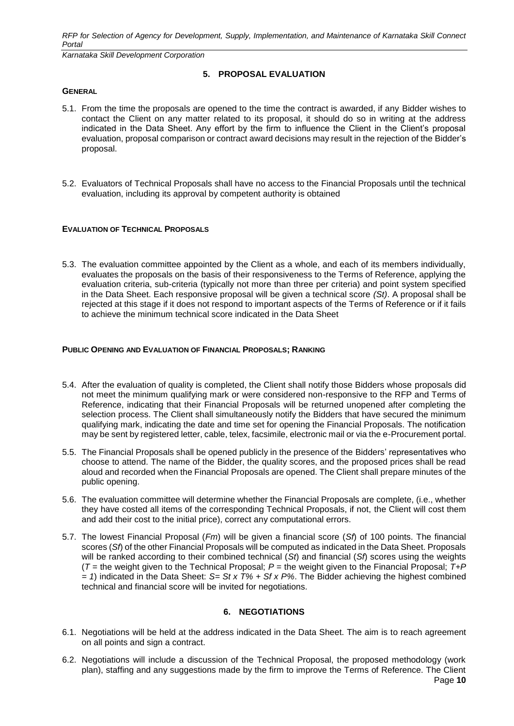*Karnataka Skill Development Corporation* 

#### **5. PROPOSAL EVALUATION**

#### <span id="page-9-0"></span>**GENERAL**

- 5.1. From the time the proposals are opened to the time the contract is awarded, if any Bidder wishes to contact the Client on any matter related to its proposal, it should do so in writing at the address indicated in the Data Sheet. Any effort by the firm to influence the Client in the Client's proposal evaluation, proposal comparison or contract award decisions may result in the rejection of the Bidder's proposal.
- 5.2. Evaluators of Technical Proposals shall have no access to the Financial Proposals until the technical evaluation, including its approval by competent authority is obtained

#### **EVALUATION OF TECHNICAL PROPOSALS**

5.3. The evaluation committee appointed by the Client as a whole, and each of its members individually, evaluates the proposals on the basis of their responsiveness to the Terms of Reference, applying the evaluation criteria, sub-criteria (typically not more than three per criteria) and point system specified in the Data Sheet. Each responsive proposal will be given a technical score *(St)*. A proposal shall be rejected at this stage if it does not respond to important aspects of the Terms of Reference or if it fails to achieve the minimum technical score indicated in the Data Sheet

#### **PUBLIC OPENING AND EVALUATION OF FINANCIAL PROPOSALS; RANKING**

- 5.4. After the evaluation of quality is completed, the Client shall notify those Bidders whose proposals did not meet the minimum qualifying mark or were considered non-responsive to the RFP and Terms of Reference, indicating that their Financial Proposals will be returned unopened after completing the selection process. The Client shall simultaneously notify the Bidders that have secured the minimum qualifying mark, indicating the date and time set for opening the Financial Proposals. The notification may be sent by registered letter, cable, telex, facsimile, electronic mail or via the e-Procurement portal.
- 5.5. The Financial Proposals shall be opened publicly in the presence of the Bidders' representatives who choose to attend. The name of the Bidder, the quality scores, and the proposed prices shall be read aloud and recorded when the Financial Proposals are opened. The Client shall prepare minutes of the public opening.
- 5.6. The evaluation committee will determine whether the Financial Proposals are complete, (i.e., whether they have costed all items of the corresponding Technical Proposals, if not, the Client will cost them and add their cost to the initial price), correct any computational errors.
- 5.7. The lowest Financial Proposal (*Fm*) will be given a financial score (*Sf*) of 100 points. The financial scores (*Sf*) of the other Financial Proposals will be computed as indicated in the Data Sheet. Proposals will be ranked according to their combined technical (*St*) and financial (*Sf*) scores using the weights (*T* = the weight given to the Technical Proposal; *P* = the weight given to the Financial Proposal; *T+P = 1*) indicated in the Data Sheet: *S= St x T% + Sf x P%*. The Bidder achieving the highest combined technical and financial score will be invited for negotiations.

#### **6. NEGOTIATIONS**

- <span id="page-9-1"></span>6.1. Negotiations will be held at the address indicated in the Data Sheet. The aim is to reach agreement on all points and sign a contract.
- Page **10** 6.2. Negotiations will include a discussion of the Technical Proposal, the proposed methodology (work plan), staffing and any suggestions made by the firm to improve the Terms of Reference. The Client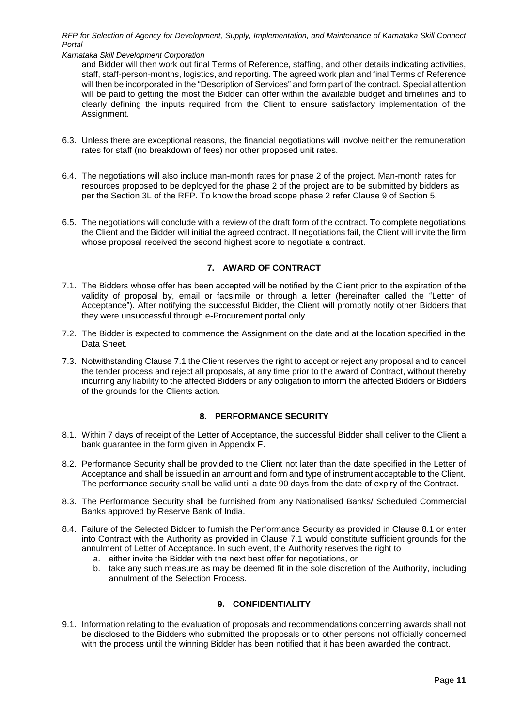*Karnataka Skill Development Corporation* 

and Bidder will then work out final Terms of Reference, staffing, and other details indicating activities, staff, staff-person-months, logistics, and reporting. The agreed work plan and final Terms of Reference will then be incorporated in the "Description of Services" and form part of the contract. Special attention will be paid to getting the most the Bidder can offer within the available budget and timelines and to clearly defining the inputs required from the Client to ensure satisfactory implementation of the Assignment.

- 6.3. Unless there are exceptional reasons, the financial negotiations will involve neither the remuneration rates for staff (no breakdown of fees) nor other proposed unit rates.
- 6.4. The negotiations will also include man-month rates for phase 2 of the project. Man-month rates for resources proposed to be deployed for the phase 2 of the project are to be submitted by bidders as per the Section 3L of the RFP. To know the broad scope phase 2 refer Clause 9 of Section 5.
- 6.5. The negotiations will conclude with a review of the draft form of the contract. To complete negotiations the Client and the Bidder will initial the agreed contract. If negotiations fail, the Client will invite the firm whose proposal received the second highest score to negotiate a contract.

#### **7. AWARD OF CONTRACT**

- <span id="page-10-0"></span>7.1. The Bidders whose offer has been accepted will be notified by the Client prior to the expiration of the validity of proposal by, email or facsimile or through a letter (hereinafter called the "Letter of Acceptance"). After notifying the successful Bidder, the Client will promptly notify other Bidders that they were unsuccessful through e-Procurement portal only.
- 7.2. The Bidder is expected to commence the Assignment on the date and at the location specified in the Data Sheet.
- 7.3. Notwithstanding Clause 7.1 the Client reserves the right to accept or reject any proposal and to cancel the tender process and reject all proposals, at any time prior to the award of Contract, without thereby incurring any liability to the affected Bidders or any obligation to inform the affected Bidders or Bidders of the grounds for the Clients action.

#### **8. PERFORMANCE SECURITY**

- <span id="page-10-1"></span>8.1. Within 7 days of receipt of the Letter of Acceptance, the successful Bidder shall deliver to the Client a bank guarantee in the form given in Appendix F.
- 8.2. Performance Security shall be provided to the Client not later than the date specified in the Letter of Acceptance and shall be issued in an amount and form and type of instrument acceptable to the Client. The performance security shall be valid until a date 90 days from the date of expiry of the Contract.
- 8.3. The Performance Security shall be furnished from any Nationalised Banks/ Scheduled Commercial Banks approved by Reserve Bank of India.
- 8.4. Failure of the Selected Bidder to furnish the Performance Security as provided in Clause 8.1 or enter into Contract with the Authority as provided in Clause 7.1 would constitute sufficient grounds for the annulment of Letter of Acceptance. In such event, the Authority reserves the right to
	- a. either invite the Bidder with the next best offer for negotiations, or
	- b. take any such measure as may be deemed fit in the sole discretion of the Authority, including annulment of the Selection Process.

#### **9. CONFIDENTIALITY**

<span id="page-10-2"></span>9.1. Information relating to the evaluation of proposals and recommendations concerning awards shall not be disclosed to the Bidders who submitted the proposals or to other persons not officially concerned with the process until the winning Bidder has been notified that it has been awarded the contract.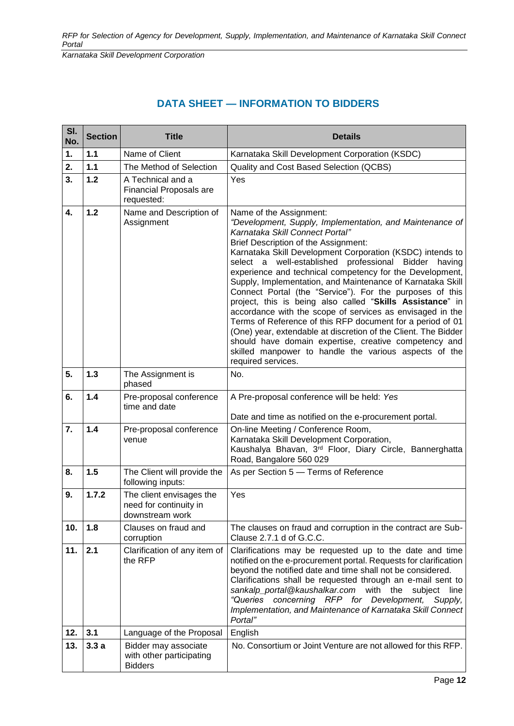# **DATA SHEET — INFORMATION TO BIDDERS**

<span id="page-11-0"></span>

| SI.<br>No. | <b>Section</b> | <b>Title</b>                                                          | <b>Details</b>                                                                                                                                                                                                                                                                                                                                                                                                                                                                                                                                                                                                                                                                                                                                                                                                                                                                                  |  |
|------------|----------------|-----------------------------------------------------------------------|-------------------------------------------------------------------------------------------------------------------------------------------------------------------------------------------------------------------------------------------------------------------------------------------------------------------------------------------------------------------------------------------------------------------------------------------------------------------------------------------------------------------------------------------------------------------------------------------------------------------------------------------------------------------------------------------------------------------------------------------------------------------------------------------------------------------------------------------------------------------------------------------------|--|
| 1.         | 1.1            | Name of Client                                                        | Karnataka Skill Development Corporation (KSDC)                                                                                                                                                                                                                                                                                                                                                                                                                                                                                                                                                                                                                                                                                                                                                                                                                                                  |  |
| 2.         | $1.1$          | The Method of Selection                                               | Quality and Cost Based Selection (QCBS)                                                                                                                                                                                                                                                                                                                                                                                                                                                                                                                                                                                                                                                                                                                                                                                                                                                         |  |
| 3.         | $1.2$          | A Technical and a<br>Financial Proposals are<br>requested:            | Yes                                                                                                                                                                                                                                                                                                                                                                                                                                                                                                                                                                                                                                                                                                                                                                                                                                                                                             |  |
| 4.         | 1.2            | Name and Description of<br>Assignment                                 | Name of the Assignment:<br>"Development, Supply, Implementation, and Maintenance of<br>Karnataka Skill Connect Portal"<br><b>Brief Description of the Assignment:</b><br>Karnataka Skill Development Corporation (KSDC) intends to<br>select a well-established professional<br><b>Bidder</b><br>having<br>experience and technical competency for the Development,<br>Supply, Implementation, and Maintenance of Karnataka Skill<br>Connect Portal (the "Service"). For the purposes of this<br>project, this is being also called "Skills Assistance" in<br>accordance with the scope of services as envisaged in the<br>Terms of Reference of this RFP document for a period of 01<br>(One) year, extendable at discretion of the Client. The Bidder<br>should have domain expertise, creative competency and<br>skilled manpower to handle the various aspects of the<br>required services. |  |
| 5.         | 1.3            | The Assignment is<br>phased                                           | No.                                                                                                                                                                                                                                                                                                                                                                                                                                                                                                                                                                                                                                                                                                                                                                                                                                                                                             |  |
| 6.         | 1.4            | Pre-proposal conference<br>time and date                              | A Pre-proposal conference will be held: Yes<br>Date and time as notified on the e-procurement portal.                                                                                                                                                                                                                                                                                                                                                                                                                                                                                                                                                                                                                                                                                                                                                                                           |  |
| 7.         | 1.4            | Pre-proposal conference<br>venue                                      | On-line Meeting / Conference Room,<br>Karnataka Skill Development Corporation,<br>Kaushalya Bhavan, 3rd Floor, Diary Circle, Bannerghatta<br>Road, Bangalore 560 029                                                                                                                                                                                                                                                                                                                                                                                                                                                                                                                                                                                                                                                                                                                            |  |
| 8.         | 1.5            | The Client will provide the<br>following inputs:                      | As per Section 5 - Terms of Reference                                                                                                                                                                                                                                                                                                                                                                                                                                                                                                                                                                                                                                                                                                                                                                                                                                                           |  |
| 9.         | 1.7.2          | The client envisages the<br>need for continuity in<br>downstream work | Yes                                                                                                                                                                                                                                                                                                                                                                                                                                                                                                                                                                                                                                                                                                                                                                                                                                                                                             |  |
| 10.        | 1.8            | Clauses on fraud and<br>corruption                                    | The clauses on fraud and corruption in the contract are Sub-<br>Clause 2.7.1 d of G.C.C.                                                                                                                                                                                                                                                                                                                                                                                                                                                                                                                                                                                                                                                                                                                                                                                                        |  |
| 11.        | 2.1            | Clarification of any item of<br>the RFP                               | Clarifications may be requested up to the date and time<br>notified on the e-procurement portal. Requests for clarification<br>beyond the notified date and time shall not be considered.<br>Clarifications shall be requested through an e-mail sent to<br>sankalp_portal@kaushalkar.com with the<br>subject line<br>"Queries concerning RFP for Development, Supply,<br>Implementation, and Maintenance of Karnataka Skill Connect<br>Portal"                                                                                                                                                                                                                                                                                                                                                                                                                                                 |  |
| 12.        | 3.1            | Language of the Proposal                                              | English                                                                                                                                                                                                                                                                                                                                                                                                                                                                                                                                                                                                                                                                                                                                                                                                                                                                                         |  |
| 13.        | 3.3a           | Bidder may associate<br>with other participating<br><b>Bidders</b>    | No. Consortium or Joint Venture are not allowed for this RFP.                                                                                                                                                                                                                                                                                                                                                                                                                                                                                                                                                                                                                                                                                                                                                                                                                                   |  |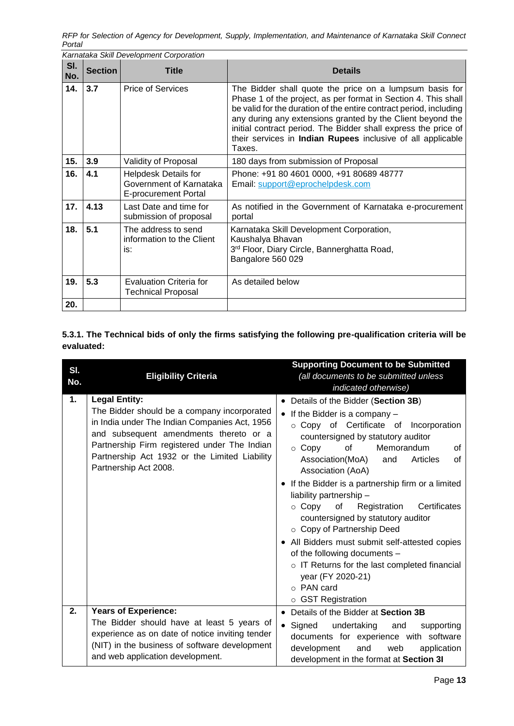*RFP for Selection of Agency for Development, Supply, Implementation, and Maintenance of Karnataka Skill Connect Portal* 

|            | Karnataka Skill Development Corporation |                                                                                |                                                                                                                                                                                                                                                                                                                                                                                                          |  |  |  |
|------------|-----------------------------------------|--------------------------------------------------------------------------------|----------------------------------------------------------------------------------------------------------------------------------------------------------------------------------------------------------------------------------------------------------------------------------------------------------------------------------------------------------------------------------------------------------|--|--|--|
| SI.<br>No. | <b>Section</b>                          | <b>Title</b>                                                                   | <b>Details</b>                                                                                                                                                                                                                                                                                                                                                                                           |  |  |  |
| 14.        | 3.7                                     | <b>Price of Services</b>                                                       | The Bidder shall quote the price on a lumpsum basis for<br>Phase 1 of the project, as per format in Section 4. This shall<br>be valid for the duration of the entire contract period, including<br>any during any extensions granted by the Client beyond the<br>initial contract period. The Bidder shall express the price of<br>their services in Indian Rupees inclusive of all applicable<br>Taxes. |  |  |  |
| 15.        | 3.9                                     | Validity of Proposal                                                           | 180 days from submission of Proposal                                                                                                                                                                                                                                                                                                                                                                     |  |  |  |
| 16.        | 4.1                                     | <b>Helpdesk Details for</b><br>Government of Karnataka<br>E-procurement Portal | Phone: +91 80 4601 0000, +91 80689 48777<br>Email: support@eprochelpdesk.com                                                                                                                                                                                                                                                                                                                             |  |  |  |
| 17.        | 4.13                                    | Last Date and time for<br>submission of proposal                               | As notified in the Government of Karnataka e-procurement<br>portal                                                                                                                                                                                                                                                                                                                                       |  |  |  |
| 18.        | 5.1                                     | The address to send<br>information to the Client<br>is:                        | Karnataka Skill Development Corporation,<br>Kaushalya Bhavan<br>3rd Floor, Diary Circle, Bannerghatta Road,<br>Bangalore 560 029                                                                                                                                                                                                                                                                         |  |  |  |
| 19.        | 5.3                                     | <b>Evaluation Criteria for</b><br><b>Technical Proposal</b>                    | As detailed below                                                                                                                                                                                                                                                                                                                                                                                        |  |  |  |
| 20.        |                                         |                                                                                |                                                                                                                                                                                                                                                                                                                                                                                                          |  |  |  |

#### **5.3.1. The Technical bids of only the firms satisfying the following pre-qualification criteria will be evaluated:**

| SI.<br>No. | <b>Eligibility Criteria</b>                                                                                                                                                                                                                                                              | <b>Supporting Document to be Submitted</b><br>(all documents to be submitted unless<br>indicated otherwise)                                                                                                                                                                                                                                                                                                                                                                                                                                                                                                                                                                                                                                                                                                                                                                                                 |
|------------|------------------------------------------------------------------------------------------------------------------------------------------------------------------------------------------------------------------------------------------------------------------------------------------|-------------------------------------------------------------------------------------------------------------------------------------------------------------------------------------------------------------------------------------------------------------------------------------------------------------------------------------------------------------------------------------------------------------------------------------------------------------------------------------------------------------------------------------------------------------------------------------------------------------------------------------------------------------------------------------------------------------------------------------------------------------------------------------------------------------------------------------------------------------------------------------------------------------|
| 1.         | <b>Legal Entity:</b><br>The Bidder should be a company incorporated<br>in India under The Indian Companies Act, 1956<br>and subsequent amendments thereto or a<br>Partnership Firm registered under The Indian<br>Partnership Act 1932 or the Limited Liability<br>Partnership Act 2008. | • Details of the Bidder (Section 3B)<br>If the Bidder is a company $-$<br>o Copy of Certificate of Incorporation<br>countersigned by statutory auditor<br>Memorandum<br>$\circ$ Copy<br>of the contract of the contract of the contract of the contract of the contract of the contract of the contract of the contract of the contract of the contract of the contract of the contract of the contract of the contrac<br>of<br>Association(MoA)<br>0f<br>Articles<br>and<br>Association (AoA)<br>• If the Bidder is a partnership firm or a limited<br>liability partnership -<br>$\circ$ Copy<br>of<br>Registration<br>Certificates<br>countersigned by statutory auditor<br>○ Copy of Partnership Deed<br>• All Bidders must submit self-attested copies<br>of the following documents -<br>o IT Returns for the last completed financial<br>year (FY 2020-21)<br>$\circ$ PAN card<br>○ GST Registration |
| 2.         | <b>Years of Experience:</b><br>The Bidder should have at least 5 years of<br>experience as on date of notice inviting tender<br>(NIT) in the business of software development<br>and web application development.                                                                        | • Details of the Bidder at Section 3B<br>Signed<br>undertaking<br>$\bullet$<br>supporting<br>and<br>documents for experience with software<br>development<br>web<br>application<br>and<br>development in the format at Section 3I                                                                                                                                                                                                                                                                                                                                                                                                                                                                                                                                                                                                                                                                           |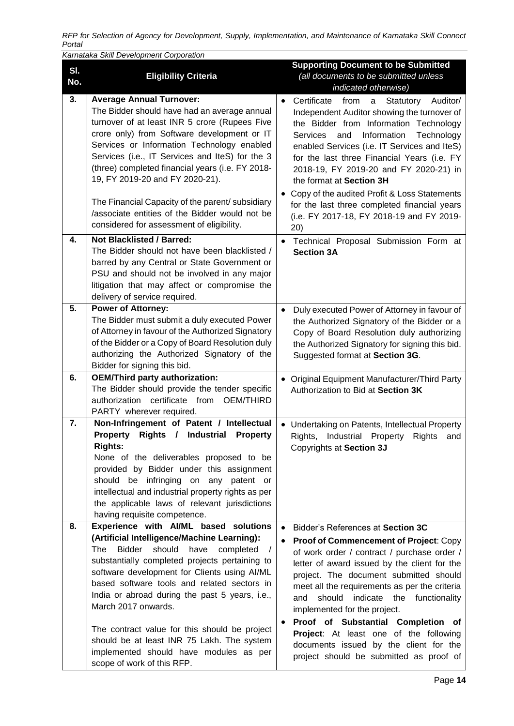*Karnataka Skill Development Corporation* 

| SI. | <b>Eligibility Criteria</b>                                                                                                                                                                                                                                                                                                                                                                                                                                                                                                                              | <b>Supporting Document to be Submitted</b><br>(all documents to be submitted unless                                                                                                                                                                                                                                                                                                                                                                                                                                                  |
|-----|----------------------------------------------------------------------------------------------------------------------------------------------------------------------------------------------------------------------------------------------------------------------------------------------------------------------------------------------------------------------------------------------------------------------------------------------------------------------------------------------------------------------------------------------------------|--------------------------------------------------------------------------------------------------------------------------------------------------------------------------------------------------------------------------------------------------------------------------------------------------------------------------------------------------------------------------------------------------------------------------------------------------------------------------------------------------------------------------------------|
| No. |                                                                                                                                                                                                                                                                                                                                                                                                                                                                                                                                                          | indicated otherwise)                                                                                                                                                                                                                                                                                                                                                                                                                                                                                                                 |
| 3.  | <b>Average Annual Turnover:</b><br>The Bidder should have had an average annual<br>turnover of at least INR 5 crore (Rupees Five<br>crore only) from Software development or IT<br>Services or Information Technology enabled<br>Services (i.e., IT Services and IteS) for the 3<br>(three) completed financial years (i.e. FY 2018-<br>19, FY 2019-20 and FY 2020-21).<br>The Financial Capacity of the parent/ subsidiary<br>/associate entities of the Bidder would not be<br>considered for assessment of eligibility.                               | Certificate<br>from a<br>Statutory<br>Auditor/<br>$\bullet$<br>Independent Auditor showing the turnover of<br>the Bidder from Information Technology<br><b>Services</b><br>Information<br>Technology<br>and<br>enabled Services (i.e. IT Services and IteS)<br>for the last three Financial Years (i.e. FY<br>2018-19, FY 2019-20 and FY 2020-21) in<br>the format at Section 3H<br>Copy of the audited Profit & Loss Statements<br>for the last three completed financial years<br>(i.e. FY 2017-18, FY 2018-19 and FY 2019-<br>20) |
| 4.  | <b>Not Blacklisted / Barred:</b><br>The Bidder should not have been blacklisted /<br>barred by any Central or State Government or<br>PSU and should not be involved in any major<br>litigation that may affect or compromise the<br>delivery of service required.                                                                                                                                                                                                                                                                                        | Technical Proposal Submission Form at<br>$\bullet$<br><b>Section 3A</b>                                                                                                                                                                                                                                                                                                                                                                                                                                                              |
| 5.  | <b>Power of Attorney:</b><br>The Bidder must submit a duly executed Power<br>of Attorney in favour of the Authorized Signatory<br>of the Bidder or a Copy of Board Resolution duly<br>authorizing the Authorized Signatory of the<br>Bidder for signing this bid.                                                                                                                                                                                                                                                                                        | Duly executed Power of Attorney in favour of<br>$\bullet$<br>the Authorized Signatory of the Bidder or a<br>Copy of Board Resolution duly authorizing<br>the Authorized Signatory for signing this bid.<br>Suggested format at Section 3G.                                                                                                                                                                                                                                                                                           |
| 6.  | <b>OEM/Third party authorization:</b><br>The Bidder should provide the tender specific<br>authorization certificate from<br>OEM/THIRD<br>PARTY wherever required.                                                                                                                                                                                                                                                                                                                                                                                        | • Original Equipment Manufacturer/Third Party<br>Authorization to Bid at Section 3K                                                                                                                                                                                                                                                                                                                                                                                                                                                  |
| 7.  | Non-Infringement of Patent / Intellectual<br><b>Property</b><br>Rights /<br><b>Industrial</b><br><b>Property</b><br><b>Rights:</b><br>None of the deliverables proposed to be<br>provided by Bidder under this assignment<br>should be infringing on any patent or<br>intellectual and industrial property rights as per<br>the applicable laws of relevant jurisdictions<br>having requisite competence.                                                                                                                                                | • Undertaking on Patents, Intellectual Property<br>Rights,<br>Industrial Property<br><b>Rights</b><br>and<br>Copyrights at Section 3J                                                                                                                                                                                                                                                                                                                                                                                                |
| 8.  | Experience with AI/ML based solutions<br>(Artificial Intelligence/Machine Learning):<br><b>Bidder</b><br>should<br>have<br>completed<br>The<br>$\prime$<br>substantially completed projects pertaining to<br>software development for Clients using AI/ML<br>based software tools and related sectors in<br>India or abroad during the past 5 years, i.e.,<br>March 2017 onwards.<br>The contract value for this should be project<br>should be at least INR 75 Lakh. The system<br>implemented should have modules as per<br>scope of work of this RFP. | Bidder's References at Section 3C<br>Proof of Commencement of Project: Copy<br>of work order / contract / purchase order /<br>letter of award issued by the client for the<br>project. The document submitted should<br>meet all the requirements as per the criteria<br>should indicate the functionality<br>and<br>implemented for the project.<br>Proof of Substantial Completion of<br>Project: At least one of the following<br>documents issued by the client for the<br>project should be submitted as proof of               |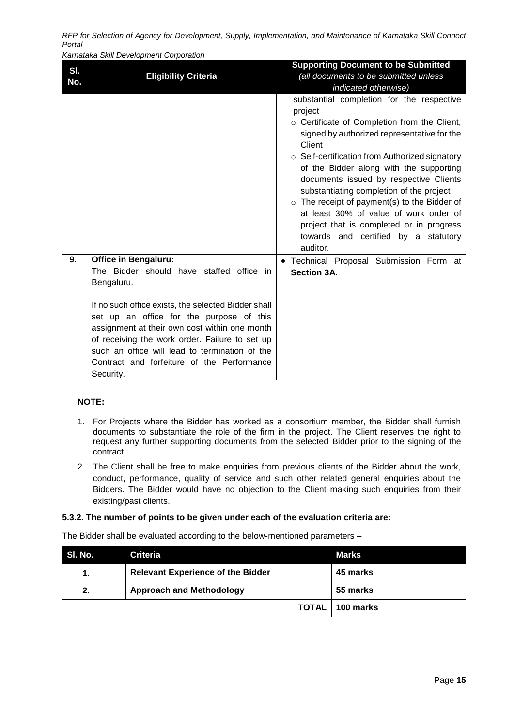| Karnataka Skill Development Corporation |  |
|-----------------------------------------|--|
|                                         |  |

| SI.<br>No. | <b>Eligibility Criteria</b>                                                                                                                                                                                                                                                                                                                                                                              | <b>Supporting Document to be Submitted</b><br>(all documents to be submitted unless<br>indicated otherwise)                                                                                                                                                                                                                                                                                                                                                                                                                                      |
|------------|----------------------------------------------------------------------------------------------------------------------------------------------------------------------------------------------------------------------------------------------------------------------------------------------------------------------------------------------------------------------------------------------------------|--------------------------------------------------------------------------------------------------------------------------------------------------------------------------------------------------------------------------------------------------------------------------------------------------------------------------------------------------------------------------------------------------------------------------------------------------------------------------------------------------------------------------------------------------|
|            |                                                                                                                                                                                                                                                                                                                                                                                                          | substantial completion for the respective<br>project<br>o Certificate of Completion from the Client,<br>signed by authorized representative for the<br>Client<br>○ Self-certification from Authorized signatory<br>of the Bidder along with the supporting<br>documents issued by respective Clients<br>substantiating completion of the project<br>$\circ$ The receipt of payment(s) to the Bidder of<br>at least 30% of value of work order of<br>project that is completed or in progress<br>towards and certified by a statutory<br>auditor. |
| 9.         | <b>Office in Bengaluru:</b><br>The Bidder should have staffed office in<br>Bengaluru.<br>If no such office exists, the selected Bidder shall<br>set up an office for the purpose of this<br>assignment at their own cost within one month<br>of receiving the work order. Failure to set up<br>such an office will lead to termination of the<br>Contract and forfeiture of the Performance<br>Security. | • Technical Proposal Submission Form at<br>Section 3A.                                                                                                                                                                                                                                                                                                                                                                                                                                                                                           |

#### **NOTE:**

- 1. For Projects where the Bidder has worked as a consortium member, the Bidder shall furnish documents to substantiate the role of the firm in the project. The Client reserves the right to request any further supporting documents from the selected Bidder prior to the signing of the contract
- 2. The Client shall be free to make enquiries from previous clients of the Bidder about the work, conduct, performance, quality of service and such other related general enquiries about the Bidders. The Bidder would have no objection to the Client making such enquiries from their existing/past clients.

#### **5.3.2. The number of points to be given under each of the evaluation criteria are:**

The Bidder shall be evaluated according to the below-mentioned parameters –

| SI. No. | <b>Criteria</b>                          | Marks     |
|---------|------------------------------------------|-----------|
| 1.      | <b>Relevant Experience of the Bidder</b> | 45 marks  |
| 2.      | <b>Approach and Methodology</b>          | 55 marks  |
|         | <b>TOTAL</b>                             | 100 marks |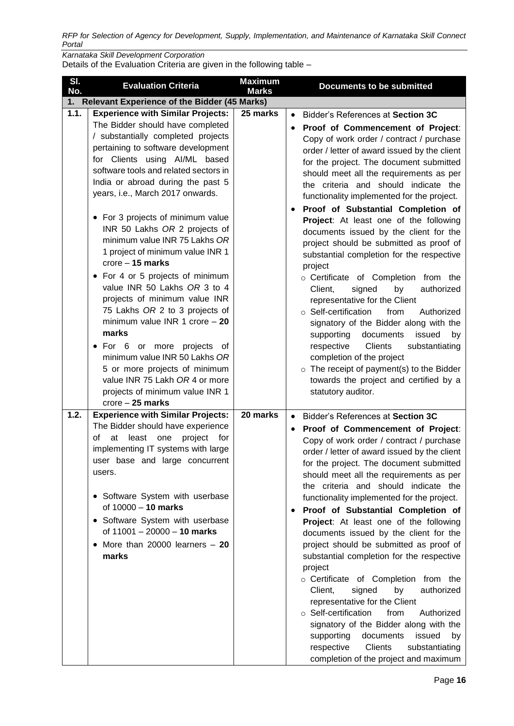*Karnataka Skill Development Corporation* 

Details of the Evaluation Criteria are given in the following table –

| SI.<br>No. | <b>Evaluation Criteria</b>                                                                                                                                                                                                                                                                                                                                                                                                                                                                                                                                                                                                                                                                                                                                                                                       | <b>Maximum</b><br><b>Marks</b> | <b>Documents to be submitted</b>                                                                                                                                                                                                                                                                                                                                                                                                                                                                                                                                                                                                                                                                                                                                                                                                                                                                                                                                                                                        |
|------------|------------------------------------------------------------------------------------------------------------------------------------------------------------------------------------------------------------------------------------------------------------------------------------------------------------------------------------------------------------------------------------------------------------------------------------------------------------------------------------------------------------------------------------------------------------------------------------------------------------------------------------------------------------------------------------------------------------------------------------------------------------------------------------------------------------------|--------------------------------|-------------------------------------------------------------------------------------------------------------------------------------------------------------------------------------------------------------------------------------------------------------------------------------------------------------------------------------------------------------------------------------------------------------------------------------------------------------------------------------------------------------------------------------------------------------------------------------------------------------------------------------------------------------------------------------------------------------------------------------------------------------------------------------------------------------------------------------------------------------------------------------------------------------------------------------------------------------------------------------------------------------------------|
|            | 1. Relevant Experience of the Bidder (45 Marks)                                                                                                                                                                                                                                                                                                                                                                                                                                                                                                                                                                                                                                                                                                                                                                  |                                |                                                                                                                                                                                                                                                                                                                                                                                                                                                                                                                                                                                                                                                                                                                                                                                                                                                                                                                                                                                                                         |
| 1.1.       | <b>Experience with Similar Projects:</b><br>The Bidder should have completed<br>/ substantially completed projects<br>pertaining to software development<br>for Clients using AI/ML based<br>software tools and related sectors in<br>India or abroad during the past 5<br>years, i.e., March 2017 onwards.<br>• For 3 projects of minimum value<br>INR 50 Lakhs OR 2 projects of<br>minimum value INR 75 Lakhs OR<br>1 project of minimum value INR 1<br>$\text{core} - 15 \text{ marks}$<br>• For 4 or 5 projects of minimum<br>value INR 50 Lakhs OR 3 to 4<br>projects of minimum value INR<br>75 Lakhs OR 2 to 3 projects of<br>minimum value INR 1 crore $-20$<br>marks<br>• For 6 or more projects of<br>minimum value INR 50 Lakhs OR<br>5 or more projects of minimum<br>value INR 75 Lakh OR 4 or more | 25 marks                       | Bidder's References at Section 3C<br>$\bullet$<br>Proof of Commencement of Project:<br>Copy of work order / contract / purchase<br>order / letter of award issued by the client<br>for the project. The document submitted<br>should meet all the requirements as per<br>the criteria and should indicate the<br>functionality implemented for the project.<br>Proof of Substantial Completion of<br>٠<br>Project: At least one of the following<br>documents issued by the client for the<br>project should be submitted as proof of<br>substantial completion for the respective<br>project<br>o Certificate of Completion from the<br>signed<br>by<br>Client,<br>authorized<br>representative for the Client<br>○ Self-certification<br>from<br>Authorized<br>signatory of the Bidder along with the<br>supporting<br>documents<br>issued<br>by<br>Clients<br>respective<br>substantiating<br>completion of the project<br>$\circ$ The receipt of payment(s) to the Bidder<br>towards the project and certified by a |
| 1.2.       | projects of minimum value INR 1<br>$\text{core} - 25 \text{ marks}$<br><b>Experience with Similar Projects:</b><br>The Bidder should have experience<br>project<br>at<br>least<br>of<br>one<br>for<br>implementing IT systems with large<br>user base and large concurrent<br>users.<br>• Software System with userbase<br>of $10000 - 10$ marks<br>• Software System with userbase<br>of $11001 - 20000 - 10$ marks<br>• More than 20000 learners $-20$<br>marks                                                                                                                                                                                                                                                                                                                                                | 20 marks                       | statutory auditor.<br>Bidder's References at Section 3C<br>$\bullet$<br>Proof of Commencement of Project:<br>$\bullet$<br>Copy of work order / contract / purchase<br>order / letter of award issued by the client<br>for the project. The document submitted<br>should meet all the requirements as per<br>the criteria and should indicate the<br>functionality implemented for the project.<br>Proof of Substantial Completion of<br>$\bullet$<br>Project: At least one of the following<br>documents issued by the client for the<br>project should be submitted as proof of<br>substantial completion for the respective<br>project<br>o Certificate of Completion from the<br>Client,<br>by<br>authorized<br>signed<br>representative for the Client<br>○ Self-certification<br>from<br>Authorized<br>signatory of the Bidder along with the<br>supporting<br>documents<br>issued<br>by<br>respective<br>Clients<br>substantiating<br>completion of the project and maximum                                       |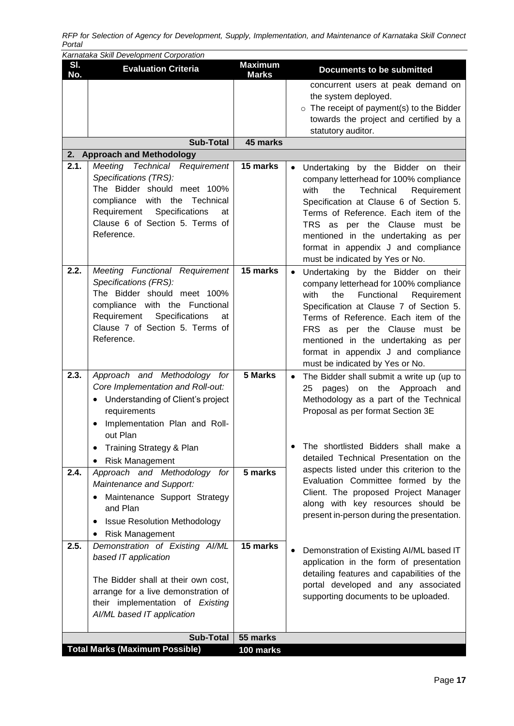|            | Karnataka Skill Development Corporation                                                                                                                                                                          |                                |                                                                                                                                                                                                                                                                                                                                                                            |  |
|------------|------------------------------------------------------------------------------------------------------------------------------------------------------------------------------------------------------------------|--------------------------------|----------------------------------------------------------------------------------------------------------------------------------------------------------------------------------------------------------------------------------------------------------------------------------------------------------------------------------------------------------------------------|--|
| SI.<br>No. | <b>Evaluation Criteria</b>                                                                                                                                                                                       | <b>Maximum</b><br><b>Marks</b> | <b>Documents to be submitted</b>                                                                                                                                                                                                                                                                                                                                           |  |
|            |                                                                                                                                                                                                                  |                                | concurrent users at peak demand on<br>the system deployed.                                                                                                                                                                                                                                                                                                                 |  |
|            |                                                                                                                                                                                                                  |                                | $\circ$ The receipt of payment(s) to the Bidder                                                                                                                                                                                                                                                                                                                            |  |
|            |                                                                                                                                                                                                                  |                                | towards the project and certified by a                                                                                                                                                                                                                                                                                                                                     |  |
|            |                                                                                                                                                                                                                  |                                | statutory auditor.                                                                                                                                                                                                                                                                                                                                                         |  |
|            | <b>Sub-Total</b>                                                                                                                                                                                                 | 45 marks                       |                                                                                                                                                                                                                                                                                                                                                                            |  |
|            | 2. Approach and Methodology                                                                                                                                                                                      |                                |                                                                                                                                                                                                                                                                                                                                                                            |  |
| 2.1.       | Meeting Technical Requirement<br>Specifications (TRS):<br>The Bidder should meet 100%<br>compliance with the Technical<br>Requirement<br>Specifications<br>at<br>Clause 6 of Section 5. Terms of<br>Reference.   | 15 marks                       | Undertaking by the Bidder on their<br>$\bullet$<br>company letterhead for 100% compliance<br>with<br>Technical<br>Requirement<br>the<br>Specification at Clause 6 of Section 5.<br>Terms of Reference. Each item of the<br>TRS as per the Clause must be<br>mentioned in the undertaking as per<br>format in appendix J and compliance<br>must be indicated by Yes or No.  |  |
| 2.2.       | Meeting Functional Requirement<br>Specifications (FRS):<br>The Bidder should meet 100%<br>compliance with the Functional<br>Requirement<br>Specifications<br>at<br>Clause 7 of Section 5. Terms of<br>Reference. | 15 marks                       | Undertaking by the Bidder on their<br>$\bullet$<br>company letterhead for 100% compliance<br>Functional<br>with<br>the<br>Requirement<br>Specification at Clause 7 of Section 5.<br>Terms of Reference. Each item of the<br>FRS as per the Clause must be<br>mentioned in the undertaking as per<br>format in appendix J and compliance<br>must be indicated by Yes or No. |  |
| 2.3.       | Approach and Methodology for<br>Core Implementation and Roll-out:<br>• Understanding of Client's project<br>requirements<br>Implementation Plan and Roll-<br>out Plan                                            | 5 Marks                        | The Bidder shall submit a write up (up to<br>$\bullet$<br>pages) on the Approach<br>25<br>and<br>Methodology as a part of the Technical<br>Proposal as per format Section 3E                                                                                                                                                                                               |  |
|            | Training Strategy & Plan<br><b>Risk Management</b>                                                                                                                                                               |                                | The shortlisted Bidders shall make a<br>detailed Technical Presentation on the<br>aspects listed under this criterion to the                                                                                                                                                                                                                                               |  |
| 2.4.       | Approach and Methodology for<br>Maintenance and Support:<br>Maintenance Support Strategy<br>and Plan<br><b>Issue Resolution Methodology</b><br>$\bullet$<br>• Risk Management                                    | 5 marks                        | Evaluation Committee formed by the<br>Client. The proposed Project Manager<br>along with key resources should be<br>present in-person during the presentation.                                                                                                                                                                                                             |  |
| 2.5.       | Demonstration of Existing AI/ML<br>based IT application<br>The Bidder shall at their own cost,<br>arrange for a live demonstration of<br>their implementation of Existing<br>AI/ML based IT application          | 15 marks                       | Demonstration of Existing AI/ML based IT<br>application in the form of presentation<br>detailing features and capabilities of the<br>portal developed and any associated<br>supporting documents to be uploaded.                                                                                                                                                           |  |
|            | <b>Sub-Total</b>                                                                                                                                                                                                 | 55 marks                       |                                                                                                                                                                                                                                                                                                                                                                            |  |
|            | <b>Total Marks (Maximum Possible)</b>                                                                                                                                                                            | 100 marks                      |                                                                                                                                                                                                                                                                                                                                                                            |  |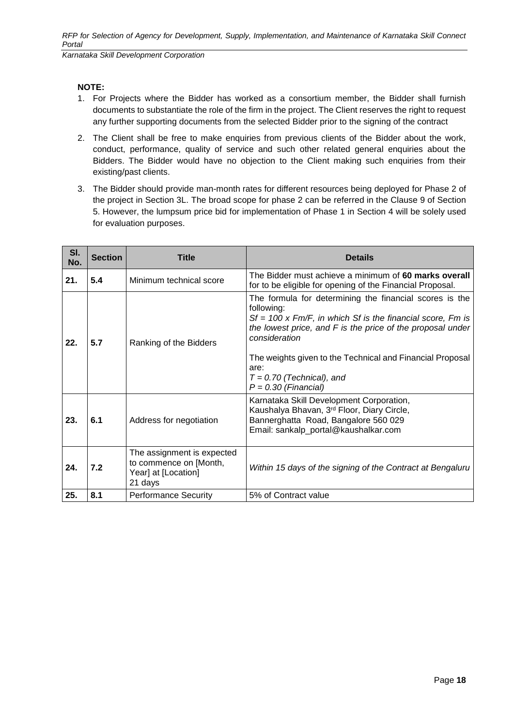#### **NOTE:**

- 1. For Projects where the Bidder has worked as a consortium member, the Bidder shall furnish documents to substantiate the role of the firm in the project. The Client reserves the right to request any further supporting documents from the selected Bidder prior to the signing of the contract
- 2. The Client shall be free to make enquiries from previous clients of the Bidder about the work, conduct, performance, quality of service and such other related general enquiries about the Bidders. The Bidder would have no objection to the Client making such enquiries from their existing/past clients.
- 3. The Bidder should provide man-month rates for different resources being deployed for Phase 2 of the project in Section 3L. The broad scope for phase 2 can be referred in the Clause 9 of Section 5. However, the lumpsum price bid for implementation of Phase 1 in Section 4 will be solely used for evaluation purposes.

| SI.<br>No. | <b>Section</b> | <b>Title</b>                                                                           | <b>Details</b>                                                                                                                                                                                                                                                                                                                                     |
|------------|----------------|----------------------------------------------------------------------------------------|----------------------------------------------------------------------------------------------------------------------------------------------------------------------------------------------------------------------------------------------------------------------------------------------------------------------------------------------------|
| 21.        | 5.4            | Minimum technical score                                                                | The Bidder must achieve a minimum of 60 marks overall<br>for to be eligible for opening of the Financial Proposal.                                                                                                                                                                                                                                 |
| 22.        | 5.7            | Ranking of the Bidders                                                                 | The formula for determining the financial scores is the<br>following:<br>$St = 100$ x Fm/F, in which Sf is the financial score, Fm is<br>the lowest price, and F is the price of the proposal under<br>consideration<br>The weights given to the Technical and Financial Proposal<br>are:<br>$T = 0.70$ (Technical), and<br>$P = 0.30$ (Financial) |
| 23.        | 6.1            | Address for negotiation                                                                | Karnataka Skill Development Corporation,<br>Kaushalya Bhavan, 3rd Floor, Diary Circle,<br>Bannerghatta Road, Bangalore 560 029<br>Email: sankalp_portal@kaushalkar.com                                                                                                                                                                             |
| 24.        | 7.2            | The assignment is expected<br>to commence on [Month,<br>Year] at [Location]<br>21 days | Within 15 days of the signing of the Contract at Bengaluru                                                                                                                                                                                                                                                                                         |
| 25.        | 8.1            | <b>Performance Security</b>                                                            | 5% of Contract value                                                                                                                                                                                                                                                                                                                               |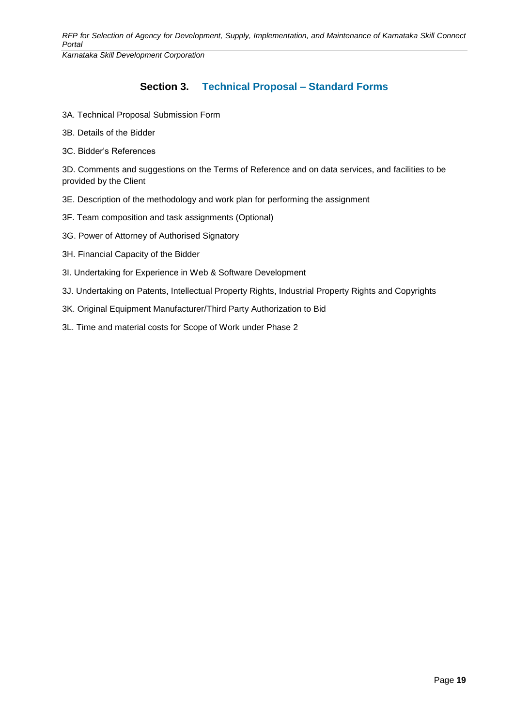# **Section 3. Technical Proposal – Standard Forms**

- <span id="page-18-0"></span>3A. Technical Proposal Submission Form
- 3B. Details of the Bidder
- 3C. Bidder's References

3D. Comments and suggestions on the Terms of Reference and on data services, and facilities to be provided by the Client

- 3E. Description of the methodology and work plan for performing the assignment
- 3F. Team composition and task assignments (Optional)
- 3G. Power of Attorney of Authorised Signatory
- 3H. Financial Capacity of the Bidder
- 3I. Undertaking for Experience in Web & Software Development
- 3J. Undertaking on Patents, Intellectual Property Rights, Industrial Property Rights and Copyrights
- 3K. Original Equipment Manufacturer/Third Party Authorization to Bid
- 3L. Time and material costs for Scope of Work under Phase 2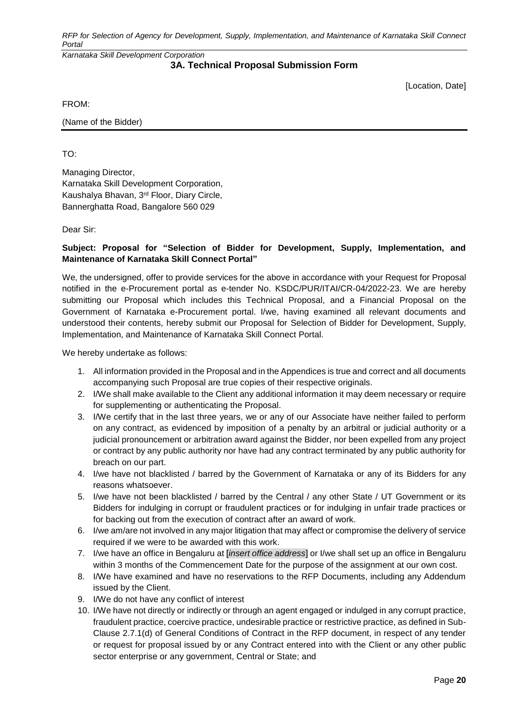<span id="page-19-0"></span>*Karnataka Skill Development Corporation* 

#### **3A. Technical Proposal Submission Form**

[Location, Date]

FROM:

(Name of the Bidder)

TO:

Managing Director, Karnataka Skill Development Corporation, Kaushalya Bhavan, 3rd Floor, Diary Circle, Bannerghatta Road, Bangalore 560 029

Dear Sir:

**Subject: Proposal for "Selection of Bidder for Development, Supply, Implementation, and Maintenance of Karnataka Skill Connect Portal"**

We, the undersigned, offer to provide services for the above in accordance with your Request for Proposal notified in the e-Procurement portal as e-tender No. KSDC/PUR/ITAI/CR-04/2022-23. We are hereby submitting our Proposal which includes this Technical Proposal, and a Financial Proposal on the Government of Karnataka e-Procurement portal. I/we, having examined all relevant documents and understood their contents, hereby submit our Proposal for Selection of Bidder for Development, Supply, Implementation, and Maintenance of Karnataka Skill Connect Portal.

We hereby undertake as follows:

- 1. All information provided in the Proposal and in the Appendices is true and correct and all documents accompanying such Proposal are true copies of their respective originals.
- 2. I/We shall make available to the Client any additional information it may deem necessary or require for supplementing or authenticating the Proposal.
- 3. I/We certify that in the last three years, we or any of our Associate have neither failed to perform on any contract, as evidenced by imposition of a penalty by an arbitral or judicial authority or a judicial pronouncement or arbitration award against the Bidder, nor been expelled from any project or contract by any public authority nor have had any contract terminated by any public authority for breach on our part.
- 4. I/we have not blacklisted / barred by the Government of Karnataka or any of its Bidders for any reasons whatsoever.
- 5. I/we have not been blacklisted / barred by the Central / any other State / UT Government or its Bidders for indulging in corrupt or fraudulent practices or for indulging in unfair trade practices or for backing out from the execution of contract after an award of work.
- 6. I/we am/are not involved in any major litigation that may affect or compromise the delivery of service required if we were to be awarded with this work.
- 7. I/we have an office in Bengaluru at [*insert office address*] or I/we shall set up an office in Bengaluru within 3 months of the Commencement Date for the purpose of the assignment at our own cost.
- 8. I/We have examined and have no reservations to the RFP Documents, including any Addendum issued by the Client.
- 9. I/We do not have any conflict of interest
- 10. I/We have not directly or indirectly or through an agent engaged or indulged in any corrupt practice, fraudulent practice, coercive practice, undesirable practice or restrictive practice, as defined in Sub-Clause 2.7.1(d) of General Conditions of Contract in the RFP document, in respect of any tender or request for proposal issued by or any Contract entered into with the Client or any other public sector enterprise or any government, Central or State; and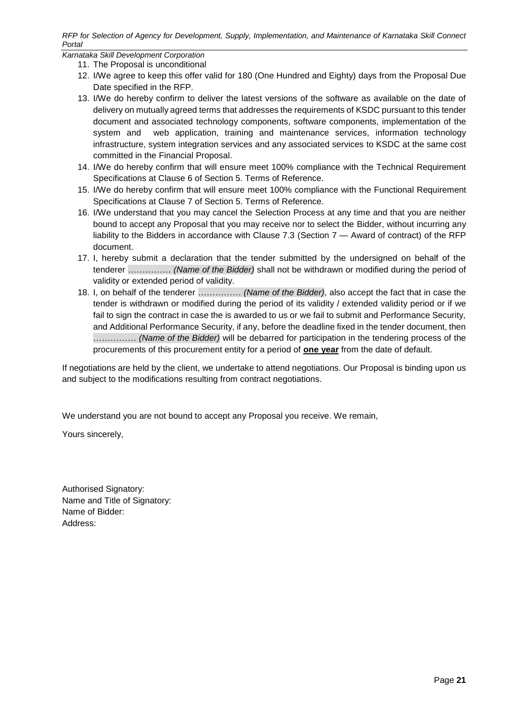- 11. The Proposal is unconditional
- 12. I/We agree to keep this offer valid for 180 (One Hundred and Eighty) days from the Proposal Due Date specified in the RFP.
- 13. I/We do hereby confirm to deliver the latest versions of the software as available on the date of delivery on mutually agreed terms that addresses the requirements of KSDC pursuant to this tender document and associated technology components, software components, implementation of the system and web application, training and maintenance services, information technology infrastructure, system integration services and any associated services to KSDC at the same cost committed in the Financial Proposal.
- 14. I/We do hereby confirm that will ensure meet 100% compliance with the Technical Requirement Specifications at Clause 6 of Section 5. Terms of Reference.
- 15. I/We do hereby confirm that will ensure meet 100% compliance with the Functional Requirement Specifications at Clause 7 of Section 5. Terms of Reference.
- 16. I/We understand that you may cancel the Selection Process at any time and that you are neither bound to accept any Proposal that you may receive nor to select the Bidder, without incurring any liability to the Bidders in accordance with Clause 7.3 (Section 7 — Award of contract) of the RFP document.
- 17. I, hereby submit a declaration that the tender submitted by the undersigned on behalf of the tenderer …………… *(Name of the Bidder)* shall not be withdrawn or modified during the period of validity or extended period of validity.
- 18. I, on behalf of the tenderer …………… *(Name of the Bidder)*, also accept the fact that in case the tender is withdrawn or modified during the period of its validity / extended validity period or if we fail to sign the contract in case the is awarded to us or we fail to submit and Performance Security, and Additional Performance Security, if any, before the deadline fixed in the tender document, then …………… *(Name of the Bidder)* will be debarred for participation in the tendering process of the procurements of this procurement entity for a period of **one year** from the date of default.

If negotiations are held by the client, we undertake to attend negotiations. Our Proposal is binding upon us and subject to the modifications resulting from contract negotiations.

We understand you are not bound to accept any Proposal you receive. We remain,

Yours sincerely,

Authorised Signatory: Name and Title of Signatory: Name of Bidder: Address: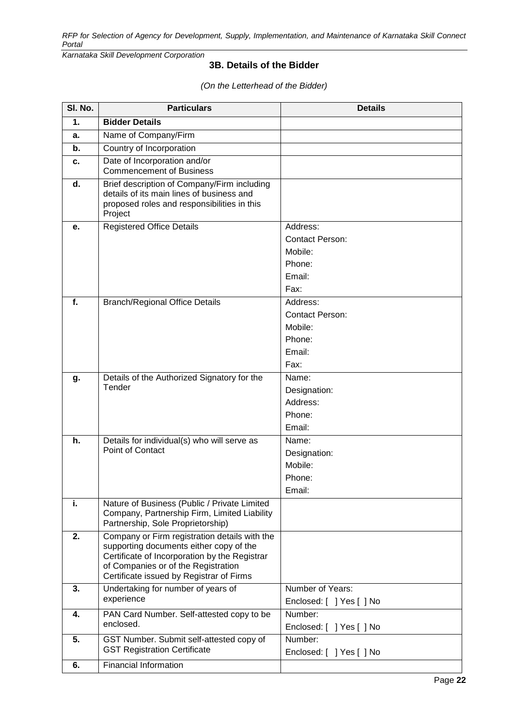### **3B. Details of the Bidder**

*(On the Letterhead of the Bidder)*

<span id="page-21-0"></span>

| SI. No. | <b>Particulars</b>                                                                                                                                                                                                           | <b>Details</b>                                                            |
|---------|------------------------------------------------------------------------------------------------------------------------------------------------------------------------------------------------------------------------------|---------------------------------------------------------------------------|
| 1.      | <b>Bidder Details</b>                                                                                                                                                                                                        |                                                                           |
| a.      | Name of Company/Firm                                                                                                                                                                                                         |                                                                           |
| b.      | Country of Incorporation                                                                                                                                                                                                     |                                                                           |
| c.      | Date of Incorporation and/or<br><b>Commencement of Business</b>                                                                                                                                                              |                                                                           |
| d.      | Brief description of Company/Firm including<br>details of its main lines of business and<br>proposed roles and responsibilities in this<br>Project                                                                           |                                                                           |
| е.      | <b>Registered Office Details</b>                                                                                                                                                                                             | Address:<br><b>Contact Person:</b><br>Mobile:<br>Phone:<br>Email:<br>Fax: |
| f.      | <b>Branch/Regional Office Details</b>                                                                                                                                                                                        | Address:<br><b>Contact Person:</b><br>Mobile:<br>Phone:<br>Email:<br>Fax: |
| g.      | Details of the Authorized Signatory for the<br>Tender                                                                                                                                                                        | Name:<br>Designation:<br>Address:<br>Phone:<br>Email:                     |
| h.      | Details for individual(s) who will serve as<br>Point of Contact                                                                                                                                                              | Name:<br>Designation:<br>Mobile:<br>Phone:<br>Email:                      |
| i.      | Nature of Business (Public / Private Limited<br>Company, Partnership Firm, Limited Liability<br>Partnership, Sole Proprietorship)                                                                                            |                                                                           |
| 2.      | Company or Firm registration details with the<br>supporting documents either copy of the<br>Certificate of Incorporation by the Registrar<br>of Companies or of the Registration<br>Certificate issued by Registrar of Firms |                                                                           |
| 3.      | Undertaking for number of years of<br>experience                                                                                                                                                                             | Number of Years:<br>Enclosed: [ ] Yes [ ] No                              |
| 4.      | PAN Card Number. Self-attested copy to be<br>enclosed.                                                                                                                                                                       | Number:<br>Enclosed: [ ] Yes [ ] No                                       |
| 5.      | GST Number. Submit self-attested copy of<br><b>GST Registration Certificate</b>                                                                                                                                              | Number:<br>Enclosed: [ ] Yes [ ] No                                       |
| 6.      | <b>Financial Information</b>                                                                                                                                                                                                 |                                                                           |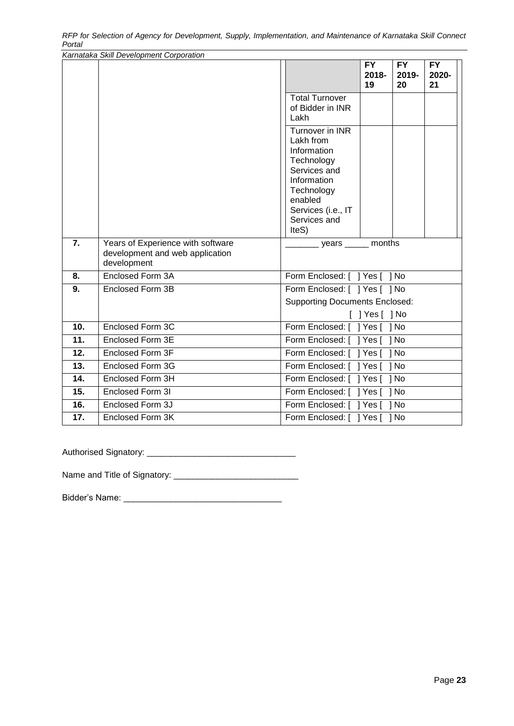| RFP for Selection of Agency for Development, Supply, Implementation, and Maintenance of Karnataka Skill Connect |  |
|-----------------------------------------------------------------------------------------------------------------|--|
| Portal                                                                                                          |  |

|     | Karnataka Skill Development Corporation                                             |                                                                                                                                                                  |                              |                          |                          |
|-----|-------------------------------------------------------------------------------------|------------------------------------------------------------------------------------------------------------------------------------------------------------------|------------------------------|--------------------------|--------------------------|
|     |                                                                                     |                                                                                                                                                                  | <b>FY</b><br>2018-<br>19     | <b>FY</b><br>2019-<br>20 | <b>FY</b><br>2020-<br>21 |
|     |                                                                                     | <b>Total Turnover</b><br>of Bidder in INR<br>Lakh                                                                                                                |                              |                          |                          |
|     |                                                                                     | Turnover in INR<br>Lakh from<br>Information<br>Technology<br>Services and<br>Information<br>Technology<br>enabled<br>Services (i.e., IT<br>Services and<br>IteS) |                              |                          |                          |
| 7.  | Years of Experience with software<br>development and web application<br>development | years ______ months                                                                                                                                              |                              |                          |                          |
| 8.  | Enclosed Form 3A                                                                    | Form Enclosed: [ ] Yes [ ] No                                                                                                                                    |                              |                          |                          |
| 9.  | Enclosed Form 3B                                                                    | Form Enclosed: [ ] Yes [ ] No                                                                                                                                    |                              |                          |                          |
|     |                                                                                     | <b>Supporting Documents Enclosed:</b>                                                                                                                            |                              |                          |                          |
|     |                                                                                     |                                                                                                                                                                  | $\lceil$   Yes $\lceil$   No |                          |                          |
| 10. | Enclosed Form 3C                                                                    | Form Enclosed: [ ] Yes [ ] No                                                                                                                                    |                              |                          |                          |
| 11. | Enclosed Form 3E                                                                    | Form Enclosed: [ ] Yes [ ] No                                                                                                                                    |                              |                          |                          |
| 12. | Enclosed Form 3F                                                                    | Form Enclosed: [ ] Yes [ ] No                                                                                                                                    |                              |                          |                          |
| 13. | Enclosed Form 3G                                                                    | Form Enclosed: [ ] Yes [ ] No                                                                                                                                    |                              |                          |                          |
| 14. | Enclosed Form 3H                                                                    | Form Enclosed: [ ] Yes [ ] No                                                                                                                                    |                              |                          |                          |
| 15. | Enclosed Form 3I                                                                    | Form Enclosed: [ ] Yes [ ] No                                                                                                                                    |                              |                          |                          |
| 16. | Enclosed Form 3J                                                                    | Form Enclosed: [ ] Yes [ ] No                                                                                                                                    |                              |                          |                          |
| 17. | Enclosed Form 3K                                                                    | Form Enclosed: [ ] Yes [ ] No                                                                                                                                    |                              |                          |                          |

Authorised Signatory: \_\_\_\_\_\_\_\_\_\_\_\_\_\_\_\_\_\_\_\_\_\_\_\_\_\_\_\_\_\_\_

Name and Title of Signatory: \_\_\_\_\_\_\_\_\_\_\_\_\_\_\_\_\_\_\_\_\_\_\_\_\_\_

Bidder's Name: \_\_\_\_\_\_\_\_\_\_\_\_\_\_\_\_\_\_\_\_\_\_\_\_\_\_\_\_\_\_\_\_\_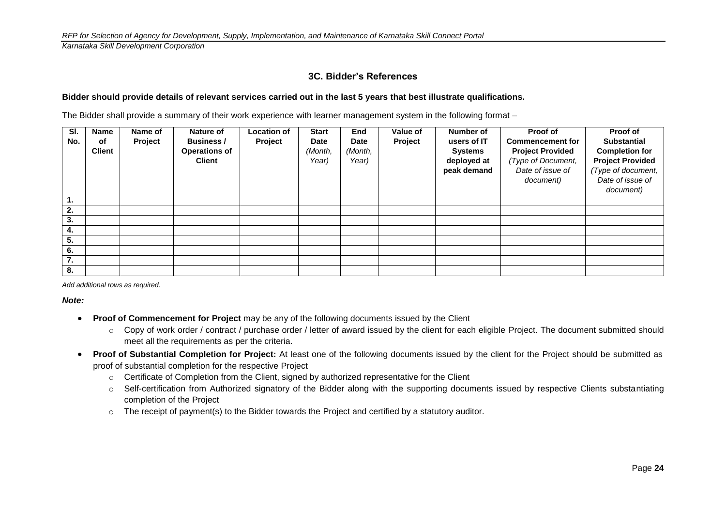#### **3C. Bidder's References**

#### **Bidder should provide details of relevant services carried out in the last 5 years that best illustrate qualifications.**

The Bidder shall provide a summary of their work experience with learner management system in the following format -

| SI.<br>No. | <b>Name</b><br>of<br><b>Client</b> | Name of<br>Project | Nature of<br><b>Business /</b><br><b>Operations of</b><br><b>Client</b> | <b>Location of</b><br>Project | <b>Start</b><br>Date<br>(Month,<br>Year) | End<br><b>Date</b><br>(Month,<br>Year) | Value of<br>Project | Number of<br>users of IT<br><b>Systems</b><br>deployed at | Proof of<br><b>Commencement for</b><br><b>Project Provided</b><br>(Type of Document, | Proof of<br><b>Substantial</b><br><b>Completion for</b><br><b>Project Provided</b> |
|------------|------------------------------------|--------------------|-------------------------------------------------------------------------|-------------------------------|------------------------------------------|----------------------------------------|---------------------|-----------------------------------------------------------|--------------------------------------------------------------------------------------|------------------------------------------------------------------------------------|
|            |                                    |                    |                                                                         |                               |                                          |                                        |                     | peak demand                                               | Date of issue of<br>document)                                                        | (Type of document,<br>Date of issue of                                             |
|            |                                    |                    |                                                                         |                               |                                          |                                        |                     |                                                           |                                                                                      | document)                                                                          |
| 1.         |                                    |                    |                                                                         |                               |                                          |                                        |                     |                                                           |                                                                                      |                                                                                    |
| 2.         |                                    |                    |                                                                         |                               |                                          |                                        |                     |                                                           |                                                                                      |                                                                                    |
| 3.         |                                    |                    |                                                                         |                               |                                          |                                        |                     |                                                           |                                                                                      |                                                                                    |
| 4.         |                                    |                    |                                                                         |                               |                                          |                                        |                     |                                                           |                                                                                      |                                                                                    |
| 5.         |                                    |                    |                                                                         |                               |                                          |                                        |                     |                                                           |                                                                                      |                                                                                    |
| 6.         |                                    |                    |                                                                         |                               |                                          |                                        |                     |                                                           |                                                                                      |                                                                                    |
| 7.         |                                    |                    |                                                                         |                               |                                          |                                        |                     |                                                           |                                                                                      |                                                                                    |
| 8.         |                                    |                    |                                                                         |                               |                                          |                                        |                     |                                                           |                                                                                      |                                                                                    |

<span id="page-23-0"></span>*Add additional rows as required.* 

*Note:*

- **Proof of Commencement for Project** may be any of the following documents issued by the Client
	- o Copy of work order / contract / purchase order / letter of award issued by the client for each eligible Project. The document submitted should meet all the requirements as per the criteria.
- **Proof of Substantial Completion for Project:** At least one of the following documents issued by the client for the Project should be submitted as proof of substantial completion for the respective Project
	- $\circ$  Certificate of Completion from the Client, signed by authorized representative for the Client
	- o Self-certification from Authorized signatory of the Bidder along with the supporting documents issued by respective Clients substantiating completion of the Project
	- $\circ$  The receipt of payment(s) to the Bidder towards the Project and certified by a statutory auditor.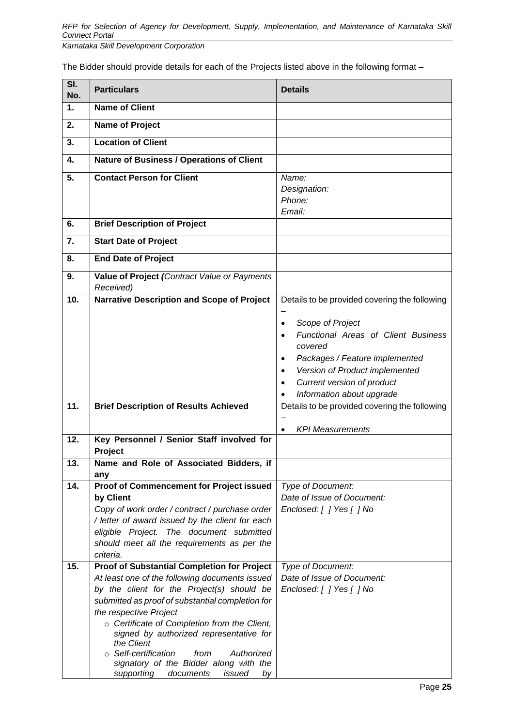The Bidder should provide details for each of the Projects listed above in the following format –

| SI.<br>No. | <b>Particulars</b>                                                                                                                                                                                                                                                                                                                                                                                                                                                           | <b>Details</b>                                                                                                                                                                                                                                                                                                      |
|------------|------------------------------------------------------------------------------------------------------------------------------------------------------------------------------------------------------------------------------------------------------------------------------------------------------------------------------------------------------------------------------------------------------------------------------------------------------------------------------|---------------------------------------------------------------------------------------------------------------------------------------------------------------------------------------------------------------------------------------------------------------------------------------------------------------------|
| 1.         | <b>Name of Client</b>                                                                                                                                                                                                                                                                                                                                                                                                                                                        |                                                                                                                                                                                                                                                                                                                     |
| 2.         | <b>Name of Project</b>                                                                                                                                                                                                                                                                                                                                                                                                                                                       |                                                                                                                                                                                                                                                                                                                     |
| 3.         | <b>Location of Client</b>                                                                                                                                                                                                                                                                                                                                                                                                                                                    |                                                                                                                                                                                                                                                                                                                     |
| 4.         | Nature of Business / Operations of Client                                                                                                                                                                                                                                                                                                                                                                                                                                    |                                                                                                                                                                                                                                                                                                                     |
| 5.         | <b>Contact Person for Client</b>                                                                                                                                                                                                                                                                                                                                                                                                                                             | Name:<br>Designation:<br>Phone:<br>Email:                                                                                                                                                                                                                                                                           |
| 6.         | <b>Brief Description of Project</b>                                                                                                                                                                                                                                                                                                                                                                                                                                          |                                                                                                                                                                                                                                                                                                                     |
| 7.         | <b>Start Date of Project</b>                                                                                                                                                                                                                                                                                                                                                                                                                                                 |                                                                                                                                                                                                                                                                                                                     |
| 8.         | <b>End Date of Project</b>                                                                                                                                                                                                                                                                                                                                                                                                                                                   |                                                                                                                                                                                                                                                                                                                     |
| 9.         | Value of Project (Contract Value or Payments<br>Received)                                                                                                                                                                                                                                                                                                                                                                                                                    |                                                                                                                                                                                                                                                                                                                     |
| 10.        | <b>Narrative Description and Scope of Project</b>                                                                                                                                                                                                                                                                                                                                                                                                                            | Details to be provided covering the following<br>Scope of Project<br>$\bullet$<br>Functional Areas of Client Business<br>$\bullet$<br>covered<br>Packages / Feature implemented<br>$\bullet$<br>Version of Product implemented<br>$\bullet$<br>Current version of product<br>$\bullet$<br>Information about upgrade |
| 11.        | <b>Brief Description of Results Achieved</b>                                                                                                                                                                                                                                                                                                                                                                                                                                 | Details to be provided covering the following<br><b>KPI Measurements</b>                                                                                                                                                                                                                                            |
| 12.        | Key Personnel / Senior Staff involved for<br>Project                                                                                                                                                                                                                                                                                                                                                                                                                         |                                                                                                                                                                                                                                                                                                                     |
| 13.        | Name and Role of Associated Bidders, if<br>any                                                                                                                                                                                                                                                                                                                                                                                                                               |                                                                                                                                                                                                                                                                                                                     |
| 14.        | <b>Proof of Commencement for Project issued</b><br>by Client<br>Copy of work order / contract / purchase order<br>/ letter of award issued by the client for each<br>eligible Project. The document submitted<br>should meet all the requirements as per the<br>criteria.                                                                                                                                                                                                    | Type of Document:<br>Date of Issue of Document:<br>Enclosed: [ ] Yes [ ] No                                                                                                                                                                                                                                         |
| 15.        | <b>Proof of Substantial Completion for Project</b><br>At least one of the following documents issued<br>by the client for the Project(s) should be<br>submitted as proof of substantial completion for<br>the respective Project<br>o Certificate of Completion from the Client,<br>signed by authorized representative for<br>the Client<br>○ Self-certification<br>from<br>Authorized<br>signatory of the Bidder along with the<br>documents<br>supporting<br>issued<br>by | Type of Document:<br>Date of Issue of Document:<br>Enclosed: [ ] Yes [ ] No                                                                                                                                                                                                                                         |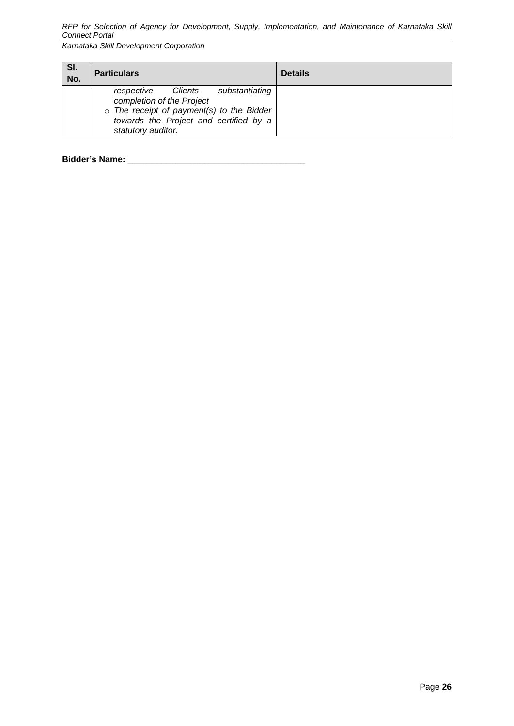*Karnataka Skill Development Corporation* 

| SI.<br>No. | <b>Particulars</b>                                                                                                                                                                | <b>Details</b> |
|------------|-----------------------------------------------------------------------------------------------------------------------------------------------------------------------------------|----------------|
|            | substantiating<br>Clients<br>respective<br>completion of the Project<br>o The receipt of payment(s) to the Bidder<br>towards the Project and certified by a<br>statutory auditor. |                |

**Bidder's Name: \_\_\_\_\_\_\_\_\_\_\_\_\_\_\_\_\_\_\_\_\_\_\_\_\_\_\_\_\_\_\_\_\_\_\_\_\_**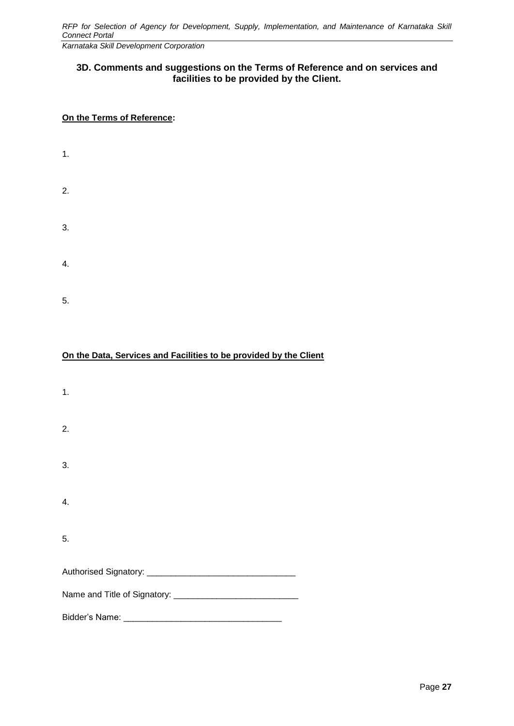#### <span id="page-26-0"></span>**3D. Comments and suggestions on the Terms of Reference and on services and facilities to be provided by the Client.**

#### **On the Terms of Reference:**

- 1. 2. 3. 4.
- 5.

#### **On the Data, Services and Facilities to be provided by the Client**

1. 2. 3. 4. 5. Authorised Signatory: \_\_\_\_\_\_\_\_\_\_\_\_\_\_\_\_\_\_\_\_\_\_\_\_\_\_\_\_\_\_\_ Name and Title of Signatory: \_\_\_\_\_\_\_\_\_\_\_\_\_\_\_\_\_\_\_\_\_\_\_\_\_\_ Bidder's Name: \_\_\_\_\_\_\_\_\_\_\_\_\_\_\_\_\_\_\_\_\_\_\_\_\_\_\_\_\_\_\_\_\_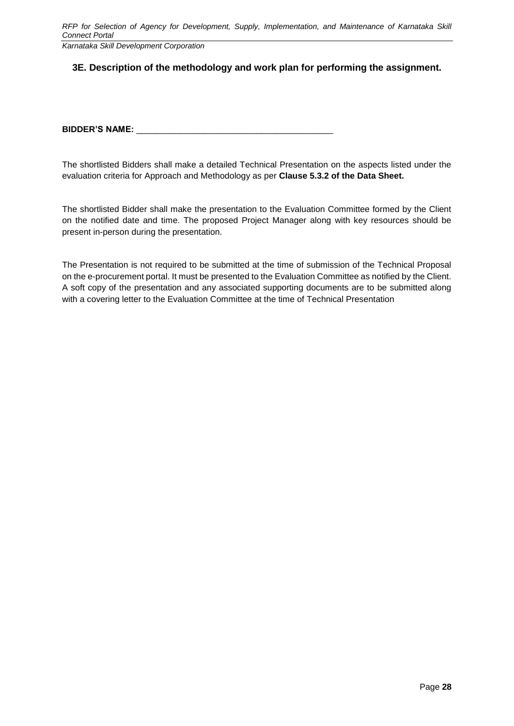#### <span id="page-27-0"></span>**3E. Description of the methodology and work plan for performing the assignment.**

BIDDER'S NAME:

The shortlisted Bidders shall make a detailed Technical Presentation on the aspects listed under the evaluation criteria for Approach and Methodology as per **Clause 5.3.2 of the Data Sheet.**

The shortlisted Bidder shall make the presentation to the Evaluation Committee formed by the Client on the notified date and time. The proposed Project Manager along with key resources should be present in-person during the presentation.

The Presentation is not required to be submitted at the time of submission of the Technical Proposal on the e-procurement portal. It must be presented to the Evaluation Committee as notified by the Client. A soft copy of the presentation and any associated supporting documents are to be submitted along with a covering letter to the Evaluation Committee at the time of Technical Presentation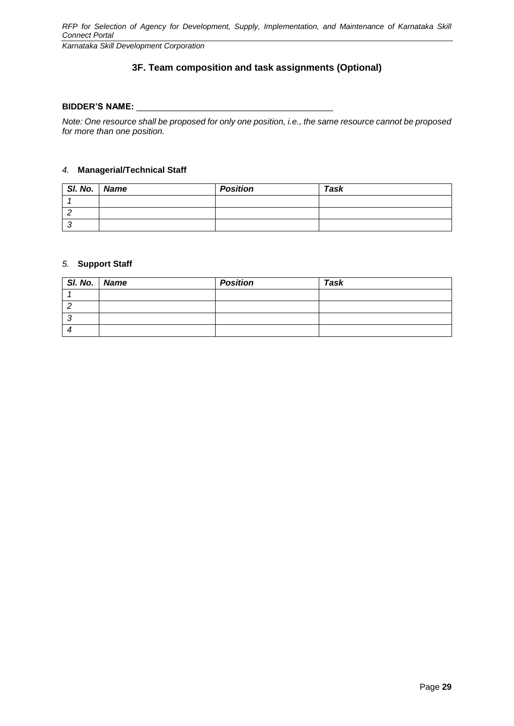#### **3F. Team composition and task assignments (Optional)**

#### <span id="page-28-0"></span>BIDDER'S NAME: \_\_

*Note: One resource shall be proposed for only one position, i.e., the same resource cannot be proposed for more than one position.*

#### *4.* **Managerial/Technical Staff**

| SI. No.   Name | <b>Position</b> | Task |
|----------------|-----------------|------|
|                |                 |      |
|                |                 |      |
|                |                 |      |

#### *5.* **Support Staff**

| SI. No.   Name | <b>Position</b> | <b>Task</b> |
|----------------|-----------------|-------------|
|                |                 |             |
|                |                 |             |
|                |                 |             |
|                |                 |             |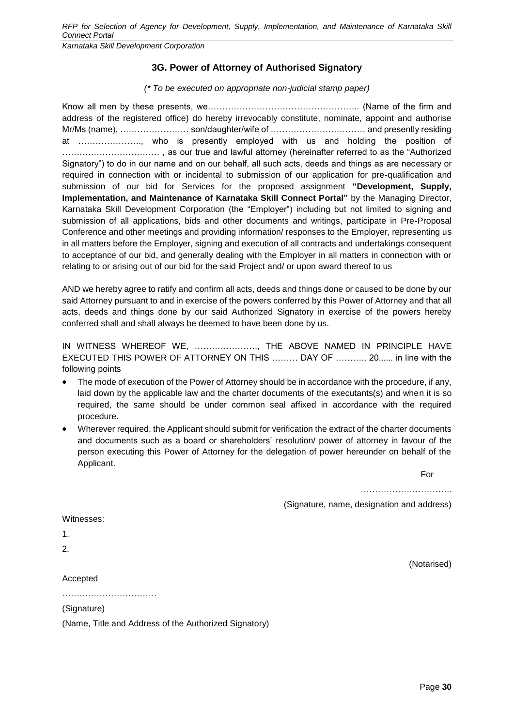## **3G. Power of Attorney of Authorised Signatory**

*(\* To be executed on appropriate non-judicial stamp paper)*

<span id="page-29-0"></span>Know all men by these presents, we…………………………………………….. (Name of the firm and address of the registered office) do hereby irrevocably constitute, nominate, appoint and authorise Mr/Ms (name), …………………… son/daughter/wife of …………………………… and presently residing at …………………., who is presently employed with us and holding the position of ……………………………. , as our true and lawful attorney (hereinafter referred to as the "Authorized Signatory") to do in our name and on our behalf, all such acts, deeds and things as are necessary or required in connection with or incidental to submission of our application for pre-qualification and submission of our bid for Services for the proposed assignment **"Development, Supply, Implementation, and Maintenance of Karnataka Skill Connect Portal"** by the Managing Director, Karnataka Skill Development Corporation (the "Employer") including but not limited to signing and submission of all applications, bids and other documents and writings, participate in Pre-Proposal Conference and other meetings and providing information/ responses to the Employer, representing us in all matters before the Employer, signing and execution of all contracts and undertakings consequent to acceptance of our bid, and generally dealing with the Employer in all matters in connection with or relating to or arising out of our bid for the said Project and/ or upon award thereof to us

AND we hereby agree to ratify and confirm all acts, deeds and things done or caused to be done by our said Attorney pursuant to and in exercise of the powers conferred by this Power of Attorney and that all acts, deeds and things done by our said Authorized Signatory in exercise of the powers hereby conferred shall and shall always be deemed to have been done by us.

IN WITNESS WHEREOF WE, …………………., THE ABOVE NAMED IN PRINCIPLE HAVE EXECUTED THIS POWER OF ATTORNEY ON THIS ……… DAY OF ………., 20...... in line with the following points

- The mode of execution of the Power of Attorney should be in accordance with the procedure, if any, laid down by the applicable law and the charter documents of the executants(s) and when it is so required, the same should be under common seal affixed in accordance with the required procedure.
- Wherever required, the Applicant should submit for verification the extract of the charter documents and documents such as a board or shareholders' resolution/ power of attorney in favour of the person executing this Power of Attorney for the delegation of power hereunder on behalf of the Applicant.

For

…………………………..

(Signature, name, designation and address)

Witnesses:

1.

2.

(Notarised)

Accepted

………………………………………

(Signature)

(Name, Title and Address of the Authorized Signatory)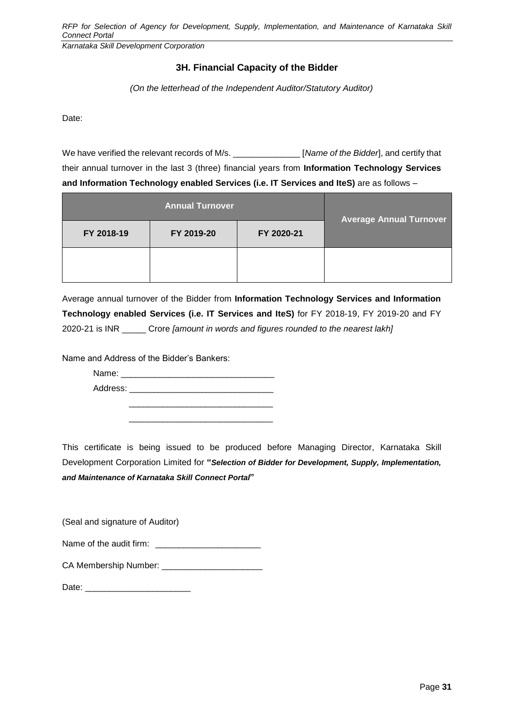#### **3H. Financial Capacity of the Bidder**

*(On the letterhead of the Independent Auditor/Statutory Auditor)*

<span id="page-30-0"></span>Date:

We have verified the relevant records of M/s. \_\_\_\_\_\_\_\_\_\_\_\_\_\_ [*Name of the Bidder*], and certify that their annual turnover in the last 3 (three) financial years from **Information Technology Services and Information Technology enabled Services (i.e. IT Services and IteS)** are as follows –

| FY 2018-19 | FY 2019-20 | FY 2020-21 | <b>Average Annual Turnover</b> |
|------------|------------|------------|--------------------------------|
|            |            |            |                                |

Average annual turnover of the Bidder from **Information Technology Services and Information Technology enabled Services (i.e. IT Services and IteS)** for FY 2018-19, FY 2019-20 and FY 2020-21 is INR \_\_\_\_\_ Crore *[amount in words and figures rounded to the nearest lakh]*

Name and Address of the Bidder's Bankers:

Name:

Address: \_\_\_\_\_\_\_\_\_\_\_\_\_\_\_\_\_\_\_\_\_\_\_\_\_\_\_\_\_\_

 \_\_\_\_\_\_\_\_\_\_\_\_\_\_\_\_\_\_\_\_\_\_\_\_\_\_\_\_\_\_ \_\_\_\_\_\_\_\_\_\_\_\_\_\_\_\_\_\_\_\_\_\_\_\_\_\_\_\_\_\_

This certificate is being issued to be produced before Managing Director, Karnataka Skill Development Corporation Limited for **"***Selection of Bidder for Development, Supply, Implementation, and Maintenance of Karnataka Skill Connect Portal***"**

(Seal and signature of Auditor)

| Name of the audit firm: |
|-------------------------|
|                         |

| CA Membership Number: |  |
|-----------------------|--|
|-----------------------|--|

Date: \_\_\_\_\_\_\_\_\_\_\_\_\_\_\_\_\_\_\_\_\_\_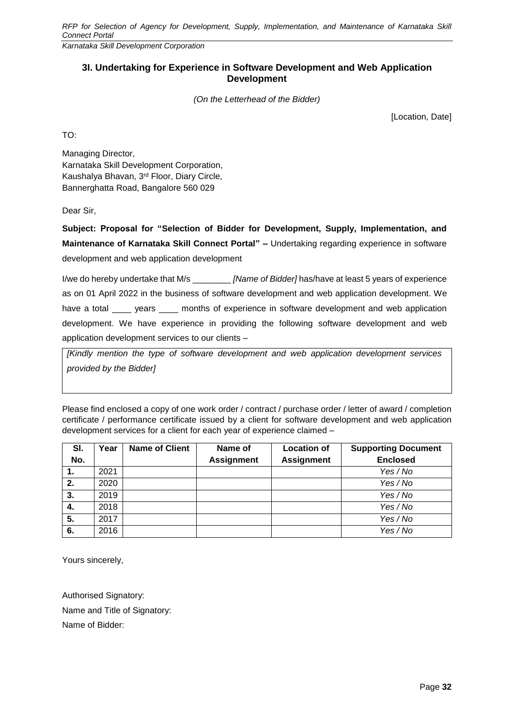#### <span id="page-31-0"></span>**3I. Undertaking for Experience in Software Development and Web Application Development**

*(On the Letterhead of the Bidder)*

[Location, Date]

TO:

Managing Director, Karnataka Skill Development Corporation, Kaushalya Bhavan, 3rd Floor, Diary Circle, Bannerghatta Road, Bangalore 560 029

Dear Sir,

**Subject: Proposal for "Selection of Bidder for Development, Supply, Implementation, and Maintenance of Karnataka Skill Connect Portal" –** Undertaking regarding experience in software development and web application development

I/we do hereby undertake that M/s \_\_\_\_\_\_\_\_ *[Name of Bidder]* has/have at least 5 years of experience as on 01 April 2022 in the business of software development and web application development. We have a total \_\_\_\_ years \_\_\_\_ months of experience in software development and web application development. We have experience in providing the following software development and web application development services to our clients –

*[Kindly mention the type of software development and web application development services provided by the Bidder]*

Please find enclosed a copy of one work order / contract / purchase order / letter of award / completion certificate / performance certificate issued by a client for software development and web application development services for a client for each year of experience claimed –

| SI. | Year | <b>Name of Client</b> | Name of           | <b>Location of</b> | <b>Supporting Document</b> |
|-----|------|-----------------------|-------------------|--------------------|----------------------------|
| No. |      |                       | <b>Assignment</b> | <b>Assignment</b>  | <b>Enclosed</b>            |
| 1.  | 2021 |                       |                   |                    | Yes / No                   |
| 2.  | 2020 |                       |                   |                    | Yes / No                   |
| 3.  | 2019 |                       |                   |                    | Yes / No                   |
| 4.  | 2018 |                       |                   |                    | Yes / No                   |
| 5.  | 2017 |                       |                   |                    | Yes / No                   |
| 6.  | 2016 |                       |                   |                    | Yes / No                   |

Yours sincerely,

Authorised Signatory: Name and Title of Signatory: Name of Bidder: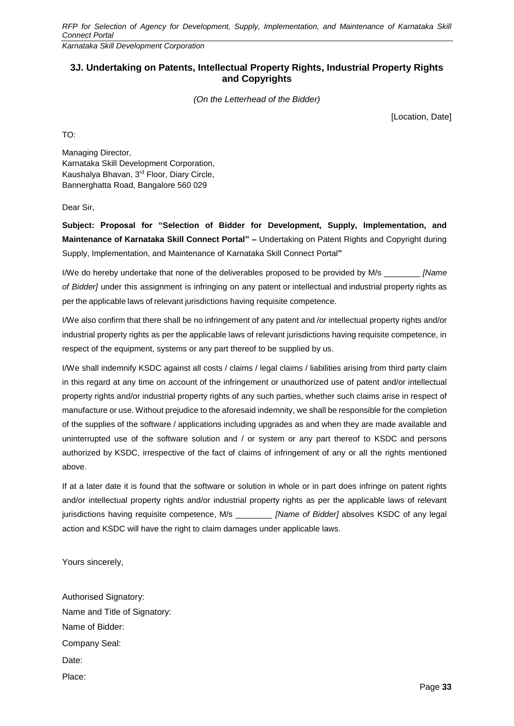### <span id="page-32-0"></span>**3J. Undertaking on Patents, Intellectual Property Rights, Industrial Property Rights and Copyrights**

*(On the Letterhead of the Bidder)*

[Location, Date]

TO:

Managing Director, Karnataka Skill Development Corporation, Kaushalya Bhavan, 3rd Floor, Diary Circle, Bannerghatta Road, Bangalore 560 029

Dear Sir,

**Subject: Proposal for "Selection of Bidder for Development, Supply, Implementation, and Maintenance of Karnataka Skill Connect Portal" –** Undertaking on Patent Rights and Copyright during Supply, Implementation, and Maintenance of Karnataka Skill Connect Portal**"**

I/We do hereby undertake that none of the deliverables proposed to be provided by M/s \_\_\_\_\_\_\_\_ *[Name of Bidder]* under this assignment is infringing on any patent or intellectual and industrial property rights as per the applicable laws of relevant jurisdictions having requisite competence.

I/We also confirm that there shall be no infringement of any patent and /or intellectual property rights and/or industrial property rights as per the applicable laws of relevant jurisdictions having requisite competence, in respect of the equipment, systems or any part thereof to be supplied by us.

I/We shall indemnify KSDC against all costs / claims / legal claims / liabilities arising from third party claim in this regard at any time on account of the infringement or unauthorized use of patent and/or intellectual property rights and/or industrial property rights of any such parties, whether such claims arise in respect of manufacture or use. Without prejudice to the aforesaid indemnity, we shall be responsible for the completion of the supplies of the software / applications including upgrades as and when they are made available and uninterrupted use of the software solution and / or system or any part thereof to KSDC and persons authorized by KSDC, irrespective of the fact of claims of infringement of any or all the rights mentioned above.

If at a later date it is found that the software or solution in whole or in part does infringe on patent rights and/or intellectual property rights and/or industrial property rights as per the applicable laws of relevant jurisdictions having requisite competence, M/s \_\_\_\_\_\_\_\_ *[Name of Bidder]* absolves KSDC of any legal action and KSDC will have the right to claim damages under applicable laws.

Yours sincerely,

Authorised Signatory: Name and Title of Signatory: Name of Bidder: Company Seal: Date: Place: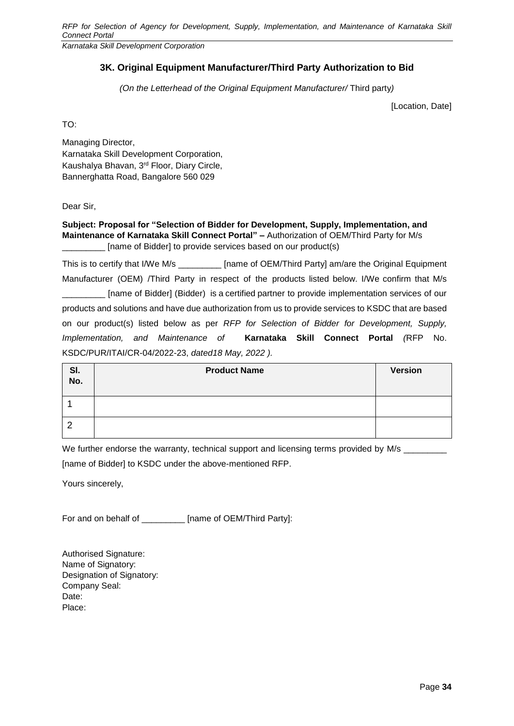<span id="page-33-0"></span>*Karnataka Skill Development Corporation* 

#### **3K. Original Equipment Manufacturer/Third Party Authorization to Bid**

*(On the Letterhead of the Original Equipment Manufacturer/* Third party*)*

[Location, Date]

TO:

Managing Director, Karnataka Skill Development Corporation, Kaushalya Bhavan, 3rd Floor, Diary Circle, Bannerghatta Road, Bangalore 560 029

Dear Sir,

**Subject: Proposal for "Selection of Bidder for Development, Supply, Implementation, and Maintenance of Karnataka Skill Connect Portal" –** Authorization of OEM/Third Party for M/s \_\_\_\_\_\_\_\_\_ [name of Bidder] to provide services based on our product(s)

This is to certify that I/We M/s \_\_\_\_\_\_\_\_\_ [name of OEM/Third Party] am/are the Original Equipment Manufacturer (OEM) /Third Party in respect of the products listed below. I/We confirm that M/s \_\_\_\_\_\_\_\_\_ [name of Bidder] (Bidder) is a certified partner to provide implementation services of our products and solutions and have due authorization from us to provide services to KSDC that are based on our product(s) listed below as per *RFP for Selection of Bidder for Development, Supply, Implementation, and Maintenance of* **Karnataka Skill Connect Portal** *(*RFP No. KSDC/PUR/ITAI/CR-04/2022-23, *dated18 May, 2022 ).*

| SI.<br>No. | <b>Product Name</b> | <b>Version</b> |
|------------|---------------------|----------------|
|            |                     |                |
| - 2        |                     |                |

We further endorse the warranty, technical support and licensing terms provided by M/s [name of Bidder] to KSDC under the above-mentioned RFP.

Yours sincerely,

For and on behalf of \_\_\_\_\_\_\_\_\_ [name of OEM/Third Party]:

Authorised Signature: Name of Signatory: Designation of Signatory: Company Seal: Date: Place: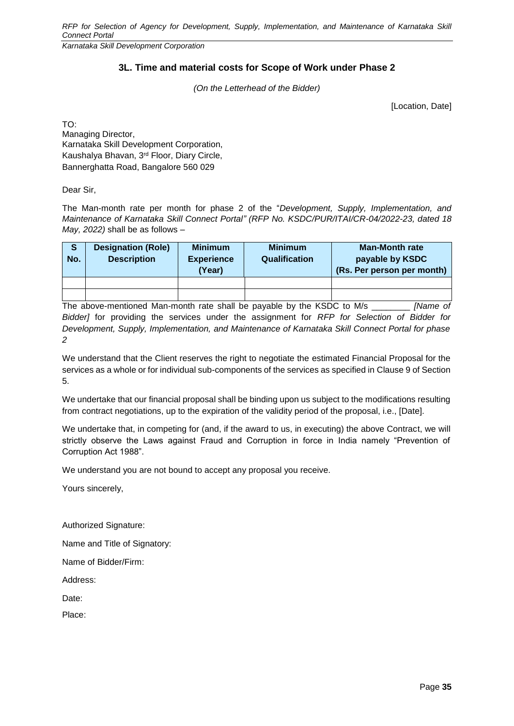<span id="page-34-0"></span>*Karnataka Skill Development Corporation* 

#### **3L. Time and material costs for Scope of Work under Phase 2**

*(On the Letterhead of the Bidder)*

[Location, Date]

TO: Managing Director, Karnataka Skill Development Corporation, Kaushalya Bhavan, 3rd Floor, Diary Circle, Bannerghatta Road, Bangalore 560 029

Dear Sir,

The Man-month rate per month for phase 2 of the "*Development, Supply, Implementation, and Maintenance of Karnataka Skill Connect Portal" (RFP No. KSDC/PUR/ITAI/CR-04/2022-23, dated 18 May, 2022)* shall be as follows –

| <b>S</b><br>No. | <b>Designation (Role)</b><br><b>Description</b> | <b>Minimum</b><br><b>Experience</b><br>(Year) | <b>Minimum</b><br><b>Qualification</b> | <b>Man-Month rate</b><br>payable by KSDC<br>(Rs. Per person per month) |
|-----------------|-------------------------------------------------|-----------------------------------------------|----------------------------------------|------------------------------------------------------------------------|
|                 |                                                 |                                               |                                        |                                                                        |
|                 |                                                 |                                               |                                        |                                                                        |

The above-mentioned Man-month rate shall be payable by the KSDC to M/s \_\_\_\_\_\_\_\_ *[Name of Bidder]* for providing the services under the assignment for *RFP for Selection of Bidder for Development, Supply, Implementation, and Maintenance of Karnataka Skill Connect Portal for phase 2*

We understand that the Client reserves the right to negotiate the estimated Financial Proposal for the services as a whole or for individual sub-components of the services as specified in Clause 9 of Section 5.

We undertake that our financial proposal shall be binding upon us subject to the modifications resulting from contract negotiations, up to the expiration of the validity period of the proposal, i.e., [Date].

We undertake that, in competing for (and, if the award to us, in executing) the above Contract, we will strictly observe the Laws against Fraud and Corruption in force in India namely "Prevention of Corruption Act 1988".

We understand you are not bound to accept any proposal you receive.

Yours sincerely,

Authorized Signature:

Name and Title of Signatory:

Name of Bidder/Firm:

Address:

Date:

Place: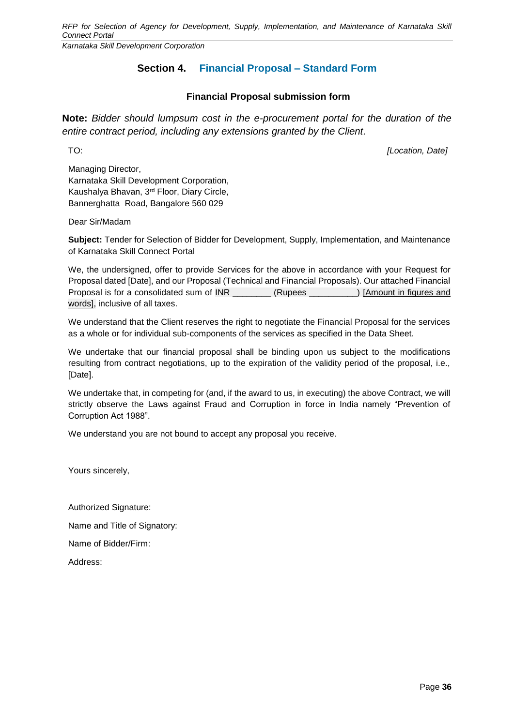# **Section 4. Financial Proposal – Standard Form**

#### **Financial Proposal submission form**

<span id="page-35-1"></span><span id="page-35-0"></span>**Note:** *Bidder should lumpsum cost in the e-procurement portal for the duration of the entire contract period, including any extensions granted by the Client.*

TO: *[Location, Date]*

Managing Director, Karnataka Skill Development Corporation, Kaushalya Bhavan, 3rd Floor, Diary Circle, Bannerghatta Road, Bangalore 560 029

Dear Sir/Madam

**Subject:** Tender for Selection of Bidder for Development, Supply, Implementation, and Maintenance of Karnataka Skill Connect Portal

We, the undersigned, offer to provide Services for the above in accordance with your Request for Proposal dated [Date], and our Proposal (Technical and Financial Proposals). Our attached Financial Proposal is for a consolidated sum of INR \_\_\_\_\_\_\_\_ (Rupees \_\_\_\_\_\_\_\_\_\_) [Amount in figures and words], inclusive of all taxes.

We understand that the Client reserves the right to negotiate the Financial Proposal for the services as a whole or for individual sub-components of the services as specified in the Data Sheet.

We undertake that our financial proposal shall be binding upon us subject to the modifications resulting from contract negotiations, up to the expiration of the validity period of the proposal, i.e., [Date].

We undertake that, in competing for (and, if the award to us, in executing) the above Contract, we will strictly observe the Laws against Fraud and Corruption in force in India namely "Prevention of Corruption Act 1988".

We understand you are not bound to accept any proposal you receive.

Yours sincerely,

Authorized Signature: Name and Title of Signatory: Name of Bidder/Firm: Address: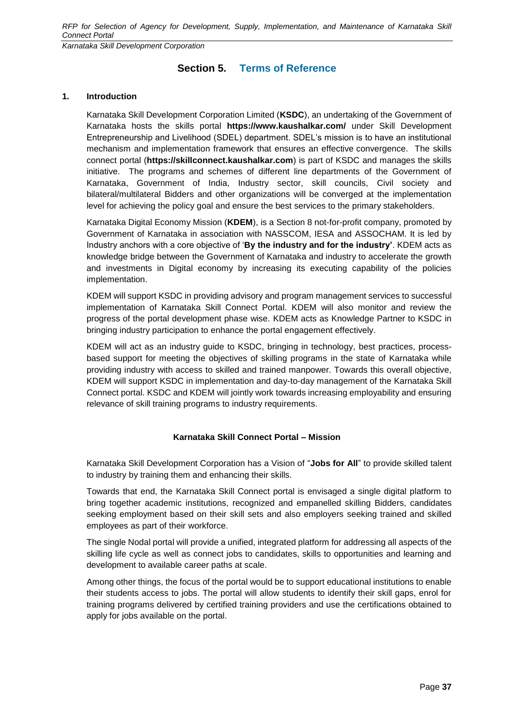#### **Section 5. Terms of Reference**

#### **1. Introduction**

Karnataka Skill Development Corporation Limited (**KSDC**), an undertaking of the Government of Karnataka hosts the skills portal **<https://www.kaushalkar.com/>** under Skill Development Entrepreneurship and Livelihood (SDEL) department. SDEL's mission is to have an institutional mechanism and implementation framework that ensures an effective convergence. The skills connect portal (**[https://skillconnect.kaushalkar.com](https://skillconnect.kaushalkar.com/)**) is part of KSDC and manages the skills initiative. The programs and schemes of different line departments of the Government of Karnataka, Government of India, Industry sector, skill councils, Civil society and bilateral/multilateral Bidders and other organizations will be converged at the implementation level for achieving the policy goal and ensure the best services to the primary stakeholders.

Karnataka Digital Economy Mission (**KDEM**), is a Section 8 not-for-profit company, promoted by Government of Karnataka in association with NASSCOM, IESA and ASSOCHAM. It is led by Industry anchors with a core objective of '**By the industry and for the industry'**. KDEM acts as knowledge bridge between the Government of Karnataka and industry to accelerate the growth and investments in Digital economy by increasing its executing capability of the policies implementation.

KDEM will support KSDC in providing advisory and program management services to successful implementation of Karnataka Skill Connect Portal. KDEM will also monitor and review the progress of the portal development phase wise. KDEM acts as Knowledge Partner to KSDC in bringing industry participation to enhance the portal engagement effectively.

KDEM will act as an industry guide to KSDC, bringing in technology, best practices, processbased support for meeting the objectives of skilling programs in the state of Karnataka while providing industry with access to skilled and trained manpower. Towards this overall objective, KDEM will support KSDC in implementation and day-to-day management of the Karnataka Skill Connect portal. KSDC and KDEM will jointly work towards increasing employability and ensuring relevance of skill training programs to industry requirements.

#### **Karnataka Skill Connect Portal – Mission**

Karnataka Skill Development Corporation has a Vision of "**Jobs for All**" to provide skilled talent to industry by training them and enhancing their skills.

Towards that end, the Karnataka Skill Connect portal is envisaged a single digital platform to bring together academic institutions, recognized and empanelled skilling Bidders, candidates seeking employment based on their skill sets and also employers seeking trained and skilled employees as part of their workforce.

The single Nodal portal will provide a unified, integrated platform for addressing all aspects of the skilling life cycle as well as connect jobs to candidates, skills to opportunities and learning and development to available career paths at scale.

Among other things, the focus of the portal would be to support educational institutions to enable their students access to jobs. The portal will allow students to identify their skill gaps, enrol for training programs delivered by certified training providers and use the certifications obtained to apply for jobs available on the portal.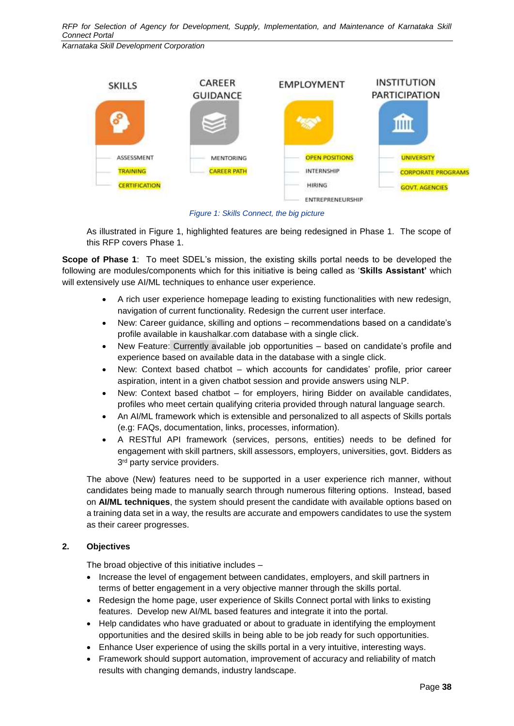*Karnataka Skill Development Corporation* 



*Figure 1: Skills Connect, the big picture*

As illustrated in Figure 1, highlighted features are being redesigned in Phase 1. The scope of this RFP covers Phase 1.

**Scope of Phase 1**: To meet SDEL's mission, the existing skills portal needs to be developed the following are modules/components which for this initiative is being called as '**Skills Assistant'** which will extensively use AI/ML techniques to enhance user experience.

- A rich user experience homepage leading to existing functionalities with new redesign, navigation of current functionality. Redesign the current user interface.
- New: Career guidance, skilling and options recommendations based on a candidate's profile available in kaushalkar.com database with a single click.
- New Feature: Currently available job opportunities based on candidate's profile and experience based on available data in the database with a single click.
- New: Context based chatbot which accounts for candidates' profile, prior career aspiration, intent in a given chatbot session and provide answers using NLP.
- New: Context based chatbot for employers, hiring Bidder on available candidates, profiles who meet certain qualifying criteria provided through natural language search.
- An AI/ML framework which is extensible and personalized to all aspects of Skills portals (e.g: FAQs, documentation, links, processes, information).
- A RESTful API framework (services, persons, entities) needs to be defined for engagement with skill partners, skill assessors, employers, universities, govt. Bidders as 3<sup>rd</sup> party service providers.

The above (New) features need to be supported in a user experience rich manner, without candidates being made to manually search through numerous filtering options. Instead, based on **AI/ML techniques**, the system should present the candidate with available options based on a training data set in a way, the results are accurate and empowers candidates to use the system as their career progresses.

#### **2. Objectives**

The broad objective of this initiative includes –

- Increase the level of engagement between candidates, employers, and skill partners in terms of better engagement in a very objective manner through the skills portal.
- Redesign the home page, user experience of Skills Connect portal with links to existing features. Develop new AI/ML based features and integrate it into the portal.
- Help candidates who have graduated or about to graduate in identifying the employment opportunities and the desired skills in being able to be job ready for such opportunities.
- Enhance User experience of using the skills portal in a very intuitive, interesting ways.
- Framework should support automation, improvement of accuracy and reliability of match results with changing demands, industry landscape.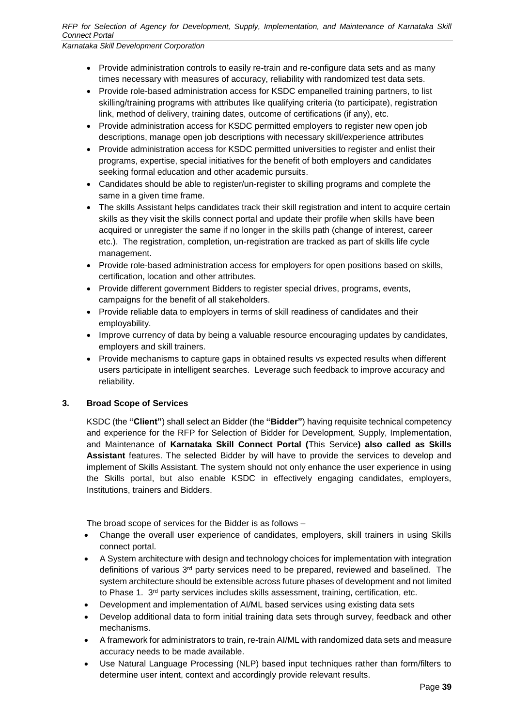*Karnataka Skill Development Corporation* 

- Provide administration controls to easily re-train and re-configure data sets and as many times necessary with measures of accuracy, reliability with randomized test data sets.
- Provide role-based administration access for KSDC empanelled training partners, to list skilling/training programs with attributes like qualifying criteria (to participate), registration link, method of delivery, training dates, outcome of certifications (if any), etc.
- Provide administration access for KSDC permitted employers to register new open job descriptions, manage open job descriptions with necessary skill/experience attributes
- Provide administration access for KSDC permitted universities to register and enlist their programs, expertise, special initiatives for the benefit of both employers and candidates seeking formal education and other academic pursuits.
- Candidates should be able to register/un-register to skilling programs and complete the same in a given time frame.
- The skills Assistant helps candidates track their skill registration and intent to acquire certain skills as they visit the skills connect portal and update their profile when skills have been acquired or unregister the same if no longer in the skills path (change of interest, career etc.). The registration, completion, un-registration are tracked as part of skills life cycle management.
- Provide role-based administration access for employers for open positions based on skills, certification, location and other attributes.
- Provide different government Bidders to register special drives, programs, events, campaigns for the benefit of all stakeholders.
- Provide reliable data to employers in terms of skill readiness of candidates and their employability.
- Improve currency of data by being a valuable resource encouraging updates by candidates, employers and skill trainers.
- Provide mechanisms to capture gaps in obtained results vs expected results when different users participate in intelligent searches. Leverage such feedback to improve accuracy and reliability.

#### **3. Broad Scope of Services**

KSDC (the **"Client"**) shall select an Bidder (the **"Bidder"**) having requisite technical competency and experience for the RFP for Selection of Bidder for Development, Supply, Implementation, and Maintenance of **Karnataka Skill Connect Portal (**This Service**) also called as Skills Assistant** features. The selected Bidder by will have to provide the services to develop and implement of Skills Assistant. The system should not only enhance the user experience in using the Skills portal, but also enable KSDC in effectively engaging candidates, employers, Institutions, trainers and Bidders.

The broad scope of services for the Bidder is as follows –

- Change the overall user experience of candidates, employers, skill trainers in using Skills connect portal.
- A System architecture with design and technology choices for implementation with integration definitions of various 3rd party services need to be prepared, reviewed and baselined. The system architecture should be extensible across future phases of development and not limited to Phase 1.  $3<sup>rd</sup>$  party services includes skills assessment, training, certification, etc.
- Development and implementation of AI/ML based services using existing data sets
- Develop additional data to form initial training data sets through survey, feedback and other mechanisms.
- A framework for administrators to train, re-train AI/ML with randomized data sets and measure accuracy needs to be made available.
- Use Natural Language Processing (NLP) based input techniques rather than form/filters to determine user intent, context and accordingly provide relevant results.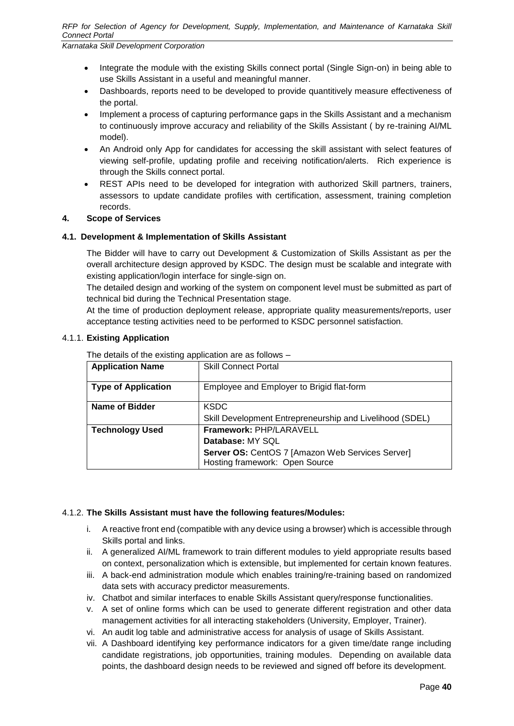- Integrate the module with the existing Skills connect portal (Single Sign-on) in being able to use Skills Assistant in a useful and meaningful manner.
- Dashboards, reports need to be developed to provide quantitively measure effectiveness of the portal.
- Implement a process of capturing performance gaps in the Skills Assistant and a mechanism to continuously improve accuracy and reliability of the Skills Assistant ( by re-training AI/ML model).
- An Android only App for candidates for accessing the skill assistant with select features of viewing self-profile, updating profile and receiving notification/alerts. Rich experience is through the Skills connect portal.
- REST APIs need to be developed for integration with authorized Skill partners, trainers, assessors to update candidate profiles with certification, assessment, training completion records.

#### **4. Scope of Services**

#### **4.1. Development & Implementation of Skills Assistant**

The Bidder will have to carry out Development & Customization of Skills Assistant as per the overall architecture design approved by KSDC. The design must be scalable and integrate with existing application/login interface for single-sign on.

The detailed design and working of the system on component level must be submitted as part of technical bid during the Technical Presentation stage.

At the time of production deployment release, appropriate quality measurements/reports, user acceptance testing activities need to be performed to KSDC personnel satisfaction.

| The details of the existing application are as follows - |                                                                                    |  |
|----------------------------------------------------------|------------------------------------------------------------------------------------|--|
| <b>Application Name</b>                                  | <b>Skill Connect Portal</b>                                                        |  |
| <b>Type of Application</b>                               | Employee and Employer to Brigid flat-form                                          |  |
| Name of Bidder                                           | <b>KSDC</b>                                                                        |  |
|                                                          | Skill Development Entrepreneurship and Livelihood (SDEL)                           |  |
| <b>Technology Used</b>                                   | Framework: PHP/LARAVELL                                                            |  |
|                                                          | Database: MY SQL                                                                   |  |
|                                                          | Server OS: CentOS 7 [Amazon Web Services Server]<br>Hosting framework: Open Source |  |

4.1.1. **Existing Application**

#### 4.1.2. **The Skills Assistant must have the following features/Modules:**

- i. A reactive front end (compatible with any device using a browser) which is accessible through Skills portal and links.
- ii. A generalized AI/ML framework to train different modules to yield appropriate results based on context, personalization which is extensible, but implemented for certain known features.
- iii. A back-end administration module which enables training/re-training based on randomized data sets with accuracy predictor measurements.
- iv. Chatbot and similar interfaces to enable Skills Assistant query/response functionalities.
- v. A set of online forms which can be used to generate different registration and other data management activities for all interacting stakeholders (University, Employer, Trainer).
- vi. An audit log table and administrative access for analysis of usage of Skills Assistant.
- vii. A Dashboard identifying key performance indicators for a given time/date range including candidate registrations, job opportunities, training modules. Depending on available data points, the dashboard design needs to be reviewed and signed off before its development.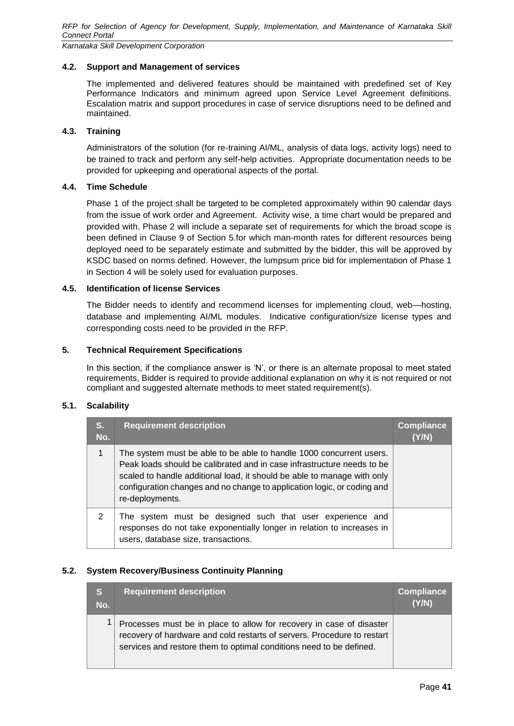#### **4.2. Support and Management of services**

The implemented and delivered features should be maintained with predefined set of Key Performance Indicators and minimum agreed upon Service Level Agreement definitions. Escalation matrix and support procedures in case of service disruptions need to be defined and maintained.

#### **4.3. Training**

Administrators of the solution (for re-training AI/ML, analysis of data logs, activity logs) need to be trained to track and perform any self-help activities. Appropriate documentation needs to be provided for upkeeping and operational aspects of the portal.

#### **4.4. Time Schedule**

Phase 1 of the project shall be targeted to be completed approximately within 90 calendar days from the issue of work order and Agreement. Activity wise, a time chart would be prepared and provided with. Phase 2 will include a separate set of requirements for which the broad scope is been defined in Clause 9 of Section 5.for which man-month rates for different resources being deployed need to be separately estimate and submitted by the bidder, this will be approved by KSDC based on norms defined. However, the lumpsum price bid for implementation of Phase 1 in Section 4 will be solely used for evaluation purposes.

#### **4.5. Identification of license Services**

The Bidder needs to identify and recommend licenses for implementing cloud, web—hosting, database and implementing AI/ML modules. Indicative configuration/size license types and corresponding costs need to be provided in the RFP.

#### **5. Technical Requirement Specifications**

In this section, if the compliance answer is 'N', or there is an alternate proposal to meet stated requirements, Bidder is required to provide additional explanation on why it is not required or not compliant and suggested alternate methods to meet stated requirement(s).

#### **5.1. Scalability**

| S.<br>No.    | <b>Requirement description</b>                                                                                                                                                                                                                                                                                         | Compliance<br>(Y/N) |
|--------------|------------------------------------------------------------------------------------------------------------------------------------------------------------------------------------------------------------------------------------------------------------------------------------------------------------------------|---------------------|
| $\mathbf{1}$ | The system must be able to be able to handle 1000 concurrent users.<br>Peak loads should be calibrated and in case infrastructure needs to be<br>scaled to handle additional load, it should be able to manage with only<br>configuration changes and no change to application logic, or coding and<br>re-deployments. |                     |
| 2            | The system must be designed such that user experience and<br>responses do not take exponentially longer in relation to increases in<br>users, database size, transactions.                                                                                                                                             |                     |

#### **5.2. System Recovery/Business Continuity Planning**

| <sub>S</sub><br>No. | <b>Requirement description</b>                                                                                                                                                                                         | <b>Compliance</b><br>(Y/N) |
|---------------------|------------------------------------------------------------------------------------------------------------------------------------------------------------------------------------------------------------------------|----------------------------|
|                     | Processes must be in place to allow for recovery in case of disaster<br>recovery of hardware and cold restarts of servers. Procedure to restart<br>services and restore them to optimal conditions need to be defined. |                            |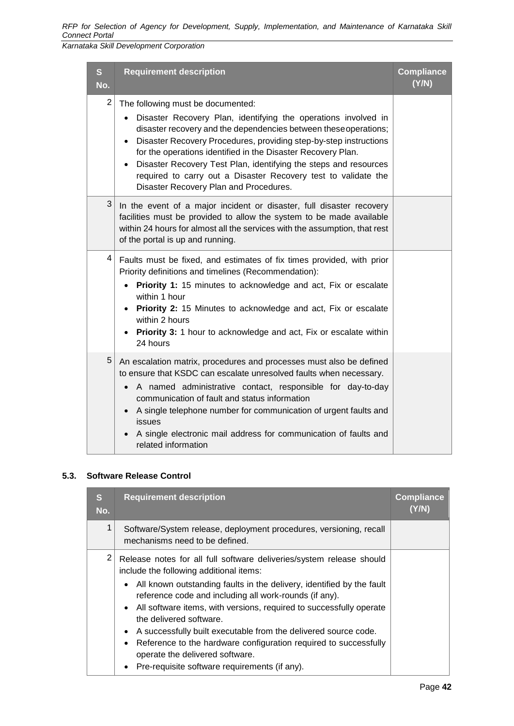*Karnataka Skill Development Corporation* 

| S.<br>No.      | <b>Requirement description</b>                                                                                                                                                                                                                                                                                                                                                                                                                                                                            | <b>Compliance</b><br>(Y/N) |
|----------------|-----------------------------------------------------------------------------------------------------------------------------------------------------------------------------------------------------------------------------------------------------------------------------------------------------------------------------------------------------------------------------------------------------------------------------------------------------------------------------------------------------------|----------------------------|
| $\overline{2}$ | The following must be documented:<br>Disaster Recovery Plan, identifying the operations involved in<br>$\bullet$<br>disaster recovery and the dependencies between these operations;<br>Disaster Recovery Procedures, providing step-by-step instructions<br>for the operations identified in the Disaster Recovery Plan.<br>Disaster Recovery Test Plan, identifying the steps and resources<br>required to carry out a Disaster Recovery test to validate the<br>Disaster Recovery Plan and Procedures. |                            |
| 3              | In the event of a major incident or disaster, full disaster recovery<br>facilities must be provided to allow the system to be made available<br>within 24 hours for almost all the services with the assumption, that rest<br>of the portal is up and running.                                                                                                                                                                                                                                            |                            |
| 4              | Faults must be fixed, and estimates of fix times provided, with prior<br>Priority definitions and timelines (Recommendation):<br><b>Priority 1:</b> 15 minutes to acknowledge and act, Fix or escalate<br>within 1 hour<br><b>Priority 2: 15 Minutes to acknowledge and act, Fix or escalate</b><br>within 2 hours<br><b>Priority 3: 1 hour to acknowledge and act, Fix or escalate within</b><br>24 hours                                                                                                |                            |
| 5              | An escalation matrix, procedures and processes must also be defined<br>to ensure that KSDC can escalate unresolved faults when necessary.<br>A named administrative contact, responsible for day-to-day<br>$\bullet$<br>communication of fault and status information<br>A single telephone number for communication of urgent faults and<br>$\bullet$<br>issues<br>A single electronic mail address for communication of faults and<br>related information                                               |                            |

#### **5.3. Software Release Control**

| S<br>No. | <b>Requirement description</b>                                                                                                                                                                                                                                                                                                                                                                                                                                                                                                                                                                                                                   | <b>Compliance</b><br>(Y/N) |
|----------|--------------------------------------------------------------------------------------------------------------------------------------------------------------------------------------------------------------------------------------------------------------------------------------------------------------------------------------------------------------------------------------------------------------------------------------------------------------------------------------------------------------------------------------------------------------------------------------------------------------------------------------------------|----------------------------|
| 1        | Software/System release, deployment procedures, versioning, recall<br>mechanisms need to be defined.                                                                                                                                                                                                                                                                                                                                                                                                                                                                                                                                             |                            |
| 2        | Release notes for all full software deliveries/system release should<br>include the following additional items:<br>All known outstanding faults in the delivery, identified by the fault<br>$\bullet$<br>reference code and including all work-rounds (if any).<br>All software items, with versions, required to successfully operate<br>$\bullet$<br>the delivered software.<br>A successfully built executable from the delivered source code.<br>$\bullet$<br>Reference to the hardware configuration required to successfully<br>$\bullet$<br>operate the delivered software.<br>Pre-requisite software requirements (if any).<br>$\bullet$ |                            |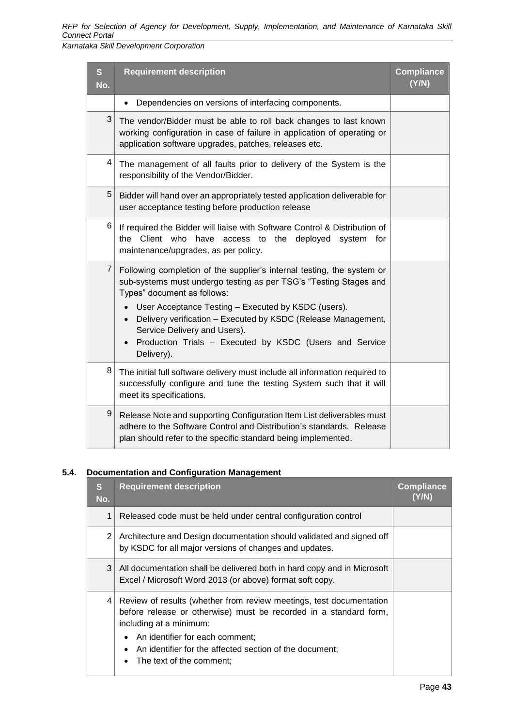| S.<br>No.      | <b>Requirement description</b>                                                                                                                                                                                                                                                                                                                                                                                           | <b>Compliance</b><br>(Y/N) |
|----------------|--------------------------------------------------------------------------------------------------------------------------------------------------------------------------------------------------------------------------------------------------------------------------------------------------------------------------------------------------------------------------------------------------------------------------|----------------------------|
|                | Dependencies on versions of interfacing components.                                                                                                                                                                                                                                                                                                                                                                      |                            |
| 3              | The vendor/Bidder must be able to roll back changes to last known<br>working configuration in case of failure in application of operating or<br>application software upgrades, patches, releases etc.                                                                                                                                                                                                                    |                            |
| 4              | The management of all faults prior to delivery of the System is the<br>responsibility of the Vendor/Bidder.                                                                                                                                                                                                                                                                                                              |                            |
| 5              | Bidder will hand over an appropriately tested application deliverable for<br>user acceptance testing before production release                                                                                                                                                                                                                                                                                           |                            |
| 6              | If required the Bidder will liaise with Software Control & Distribution of<br>Client who<br>have<br>deployed system for<br>the<br>access to<br>the<br>maintenance/upgrades, as per policy.                                                                                                                                                                                                                               |                            |
| $\overline{7}$ | Following completion of the supplier's internal testing, the system or<br>sub-systems must undergo testing as per TSG's "Testing Stages and<br>Types" document as follows:<br>User Acceptance Testing - Executed by KSDC (users).<br>Delivery verification - Executed by KSDC (Release Management,<br>$\bullet$<br>Service Delivery and Users).<br>Production Trials - Executed by KSDC (Users and Service<br>Delivery). |                            |
| 8              | The initial full software delivery must include all information required to<br>successfully configure and tune the testing System such that it will<br>meet its specifications.                                                                                                                                                                                                                                          |                            |
| 9              | Release Note and supporting Configuration Item List deliverables must<br>adhere to the Software Control and Distribution's standards. Release<br>plan should refer to the specific standard being implemented.                                                                                                                                                                                                           |                            |

#### **5.4. Documentation and Configuration Management**

| S<br>No.       | <b>Requirement description</b>                                                                                                                                                                                                                                                                             | <b>Compliance</b> |
|----------------|------------------------------------------------------------------------------------------------------------------------------------------------------------------------------------------------------------------------------------------------------------------------------------------------------------|-------------------|
| 1              | Released code must be held under central configuration control                                                                                                                                                                                                                                             |                   |
| 2 <sub>1</sub> | Architecture and Design documentation should validated and signed off<br>by KSDC for all major versions of changes and updates.                                                                                                                                                                            |                   |
|                | 3 All documentation shall be delivered both in hard copy and in Microsoft<br>Excel / Microsoft Word 2013 (or above) format soft copy.                                                                                                                                                                      |                   |
| 4              | Review of results (whether from review meetings, test documentation<br>before release or otherwise) must be recorded in a standard form,<br>including at a minimum:<br>An identifier for each comment:<br>An identifier for the affected section of the document;<br>The text of the comment:<br>$\bullet$ |                   |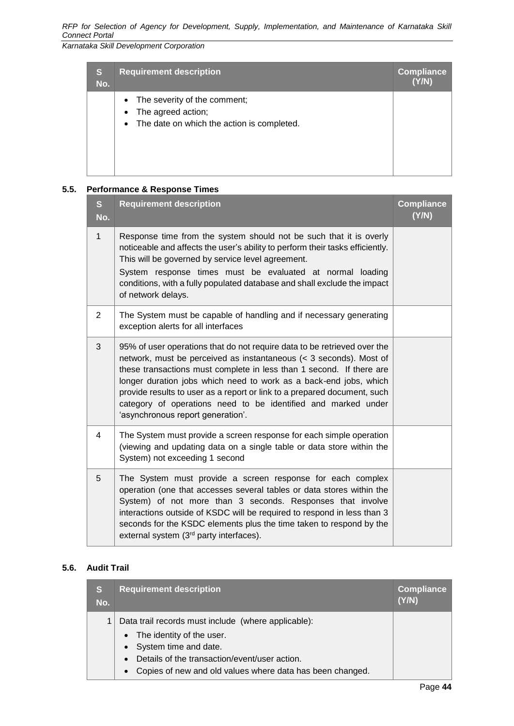| S<br>No. | <b>Requirement description</b>                                                                                    | <b>Compliance</b><br>(Y/N) |
|----------|-------------------------------------------------------------------------------------------------------------------|----------------------------|
|          | • The severity of the comment;<br>The agreed action;<br>$\bullet$<br>• The date on which the action is completed. |                            |

#### **5.5. Performance & Response Times**

| <sub>S</sub><br>No. | <b>Requirement description</b>                                                                                                                                                                                                                                                                                                                                                                                                                                                | <b>Compliance</b><br>(Y/N) |
|---------------------|-------------------------------------------------------------------------------------------------------------------------------------------------------------------------------------------------------------------------------------------------------------------------------------------------------------------------------------------------------------------------------------------------------------------------------------------------------------------------------|----------------------------|
| $\mathbf{1}$        | Response time from the system should not be such that it is overly<br>noticeable and affects the user's ability to perform their tasks efficiently.<br>This will be governed by service level agreement.<br>System response times must be evaluated at normal loading<br>conditions, with a fully populated database and shall exclude the impact<br>of network delays.                                                                                                       |                            |
| $\overline{2}$      | The System must be capable of handling and if necessary generating<br>exception alerts for all interfaces                                                                                                                                                                                                                                                                                                                                                                     |                            |
| 3                   | 95% of user operations that do not require data to be retrieved over the<br>network, must be perceived as instantaneous (< 3 seconds). Most of<br>these transactions must complete in less than 1 second. If there are<br>longer duration jobs which need to work as a back-end jobs, which<br>provide results to user as a report or link to a prepared document, such<br>category of operations need to be identified and marked under<br>'asynchronous report generation'. |                            |
| 4                   | The System must provide a screen response for each simple operation<br>(viewing and updating data on a single table or data store within the<br>System) not exceeding 1 second                                                                                                                                                                                                                                                                                                |                            |
| 5                   | The System must provide a screen response for each complex<br>operation (one that accesses several tables or data stores within the<br>System) of not more than 3 seconds. Responses that involve<br>interactions outside of KSDC will be required to respond in less than 3<br>seconds for the KSDC elements plus the time taken to respond by the<br>external system (3 <sup>rd</sup> party interfaces).                                                                    |                            |

#### **5.6. Audit Trail**

| S<br>No. | <b>Requirement description</b>                                                                                                                                                                                                                        | <b>Compliance</b><br>(Y/N) |
|----------|-------------------------------------------------------------------------------------------------------------------------------------------------------------------------------------------------------------------------------------------------------|----------------------------|
|          | Data trail records must include (where applicable):<br>• The identity of the user.<br>• System time and date.<br>Details of the transaction/event/user action.<br>$\bullet$<br>Copies of new and old values where data has been changed.<br>$\bullet$ |                            |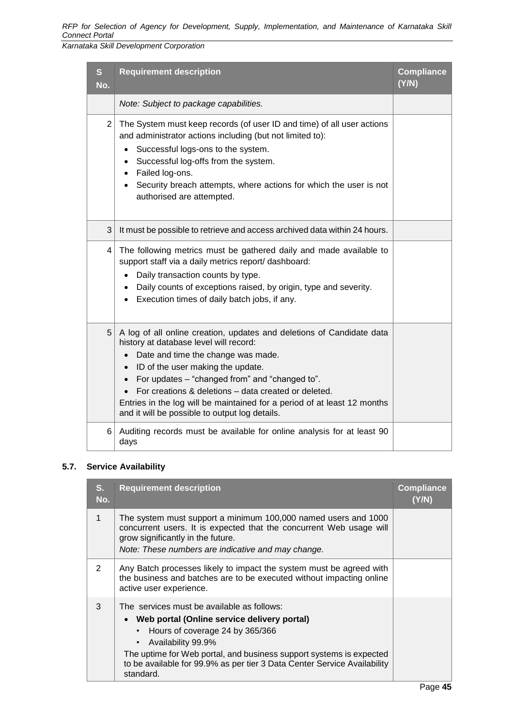| $\mathbf{s}$<br>No.   | <b>Requirement description</b>                                                                                                                                                                                                                                                                                                                                                                                                                               | <b>Compliance</b><br>(Y/N) |
|-----------------------|--------------------------------------------------------------------------------------------------------------------------------------------------------------------------------------------------------------------------------------------------------------------------------------------------------------------------------------------------------------------------------------------------------------------------------------------------------------|----------------------------|
|                       | Note: Subject to package capabilities.                                                                                                                                                                                                                                                                                                                                                                                                                       |                            |
| $\mathbf{2}^{\prime}$ | The System must keep records (of user ID and time) of all user actions<br>and administrator actions including (but not limited to):<br>Successful logs-ons to the system.<br>٠<br>Successful log-offs from the system.<br>Failed log-ons.<br>$\bullet$<br>Security breach attempts, where actions for which the user is not<br>$\bullet$<br>authorised are attempted.                                                                                        |                            |
| 3                     | It must be possible to retrieve and access archived data within 24 hours.                                                                                                                                                                                                                                                                                                                                                                                    |                            |
| 4                     | The following metrics must be gathered daily and made available to<br>support staff via a daily metrics report/ dashboard:<br>Daily transaction counts by type.<br>$\bullet$<br>Daily counts of exceptions raised, by origin, type and severity.<br>Execution times of daily batch jobs, if any.                                                                                                                                                             |                            |
| 5                     | A log of all online creation, updates and deletions of Candidate data<br>history at database level will record:<br>Date and time the change was made.<br>ID of the user making the update.<br>$\bullet$<br>For updates - "changed from" and "changed to".<br>$\bullet$<br>For creations & deletions – data created or deleted.<br>Entries in the log will be maintained for a period of at least 12 months<br>and it will be possible to output log details. |                            |
| 6                     | Auditing records must be available for online analysis for at least 90<br>days                                                                                                                                                                                                                                                                                                                                                                               |                            |

### **5.7. Service Availability**

| S.<br>No. | <b>Requirement description</b>                                                                                                                                                                                                                                                                                                               | <b>Compliance</b><br>(Y/N) |
|-----------|----------------------------------------------------------------------------------------------------------------------------------------------------------------------------------------------------------------------------------------------------------------------------------------------------------------------------------------------|----------------------------|
| 1         | The system must support a minimum 100,000 named users and 1000<br>concurrent users. It is expected that the concurrent Web usage will<br>grow significantly in the future.<br>Note: These numbers are indicative and may change.                                                                                                             |                            |
| 2         | Any Batch processes likely to impact the system must be agreed with<br>the business and batches are to be executed without impacting online<br>active user experience.                                                                                                                                                                       |                            |
| 3         | The services must be available as follows:<br>Web portal (Online service delivery portal)<br>Hours of coverage 24 by 365/366<br>$\bullet$<br>Availability 99.9%<br>$\bullet$<br>The uptime for Web portal, and business support systems is expected<br>to be available for 99.9% as per tier 3 Data Center Service Availability<br>standard. |                            |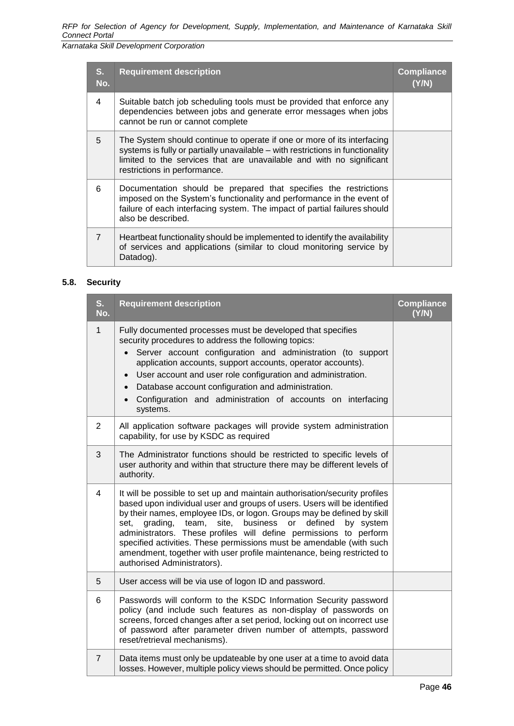| S.<br>No.      | <b>Requirement description</b>                                                                                                                                                                                                                                    | <b>Compliance</b><br>(Y/N) |
|----------------|-------------------------------------------------------------------------------------------------------------------------------------------------------------------------------------------------------------------------------------------------------------------|----------------------------|
| 4              | Suitable batch job scheduling tools must be provided that enforce any<br>dependencies between jobs and generate error messages when jobs<br>cannot be run or cannot complete                                                                                      |                            |
| 5              | The System should continue to operate if one or more of its interfacing<br>systems is fully or partially unavailable – with restrictions in functionality<br>limited to the services that are unavailable and with no significant<br>restrictions in performance. |                            |
| 6              | Documentation should be prepared that specifies the restrictions<br>imposed on the System's functionality and performance in the event of<br>failure of each interfacing system. The impact of partial failures should<br>also be described.                      |                            |
| $\overline{7}$ | Heartbeat functionality should be implemented to identify the availability<br>of services and applications (similar to cloud monitoring service by<br>Datadog).                                                                                                   |                            |

#### **5.8. Security**

| S <sub>1</sub><br>No. | <b>Requirement description</b>                                                                                                                                                                                                                                                                                                                                                                                                                                                                                                                          | <b>Compliance</b><br>(Y/N) |
|-----------------------|---------------------------------------------------------------------------------------------------------------------------------------------------------------------------------------------------------------------------------------------------------------------------------------------------------------------------------------------------------------------------------------------------------------------------------------------------------------------------------------------------------------------------------------------------------|----------------------------|
| $\mathbf{1}$          | Fully documented processes must be developed that specifies<br>security procedures to address the following topics:<br>Server account configuration and administration (to support<br>application accounts, support accounts, operator accounts).<br>User account and user role configuration and administration.<br>$\bullet$<br>Database account configuration and administration.<br>$\bullet$<br>Configuration and administration of accounts on interfacing<br>$\bullet$<br>systems.                                                               |                            |
| 2                     | All application software packages will provide system administration<br>capability, for use by KSDC as required                                                                                                                                                                                                                                                                                                                                                                                                                                         |                            |
| 3                     | The Administrator functions should be restricted to specific levels of<br>user authority and within that structure there may be different levels of<br>authority.                                                                                                                                                                                                                                                                                                                                                                                       |                            |
| $\overline{4}$        | It will be possible to set up and maintain authorisation/security profiles<br>based upon individual user and groups of users. Users will be identified<br>by their names, employee IDs, or logon. Groups may be defined by skill<br>grading, team, site, business or defined<br>by system<br>set,<br>administrators. These profiles will define permissions to perform<br>specified activities. These permissions must be amendable (with such<br>amendment, together with user profile maintenance, being restricted to<br>authorised Administrators). |                            |
| 5                     | User access will be via use of logon ID and password.                                                                                                                                                                                                                                                                                                                                                                                                                                                                                                   |                            |
| 6                     | Passwords will conform to the KSDC Information Security password<br>policy (and include such features as non-display of passwords on<br>screens, forced changes after a set period, locking out on incorrect use<br>of password after parameter driven number of attempts, password<br>reset/retrieval mechanisms).                                                                                                                                                                                                                                     |                            |
| $\overline{7}$        | Data items must only be updateable by one user at a time to avoid data<br>losses. However, multiple policy views should be permitted. Once policy                                                                                                                                                                                                                                                                                                                                                                                                       |                            |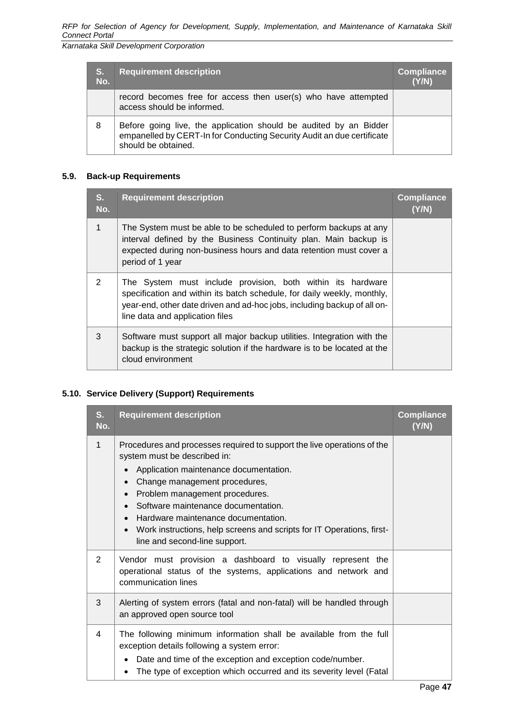| S.<br>No. | <b>Requirement description</b>                                                                                                                                     | <b>Compliance</b><br>(Y/N) |
|-----------|--------------------------------------------------------------------------------------------------------------------------------------------------------------------|----------------------------|
|           | record becomes free for access then user(s) who have attempted<br>access should be informed.                                                                       |                            |
| 8         | Before going live, the application should be audited by an Bidder<br>empanelled by CERT-In for Conducting Security Audit an due certificate<br>should be obtained. |                            |

#### **5.9. Back-up Requirements**

| S.<br>No. | <b>Requirement description</b>                                                                                                                                                                                                                        | <b>Compliance</b><br>(Y/N) |
|-----------|-------------------------------------------------------------------------------------------------------------------------------------------------------------------------------------------------------------------------------------------------------|----------------------------|
| 1         | The System must be able to be scheduled to perform backups at any<br>interval defined by the Business Continuity plan. Main backup is<br>expected during non-business hours and data retention must cover a<br>period of 1 year                       |                            |
| 2         | The System must include provision, both within its hardware<br>specification and within its batch schedule, for daily weekly, monthly,<br>year-end, other date driven and ad-hoc jobs, including backup of all on-<br>line data and application files |                            |
| 3         | Software must support all major backup utilities. Integration with the<br>backup is the strategic solution if the hardware is to be located at the<br>cloud environment                                                                               |                            |

#### **5.10. Service Delivery (Support) Requirements**

| S.<br>No.    | <b>Requirement description</b>                                                                                                                                                                                                                                                                                                                                                                                                                                                | <b>Compliance</b><br>(Y/N) |
|--------------|-------------------------------------------------------------------------------------------------------------------------------------------------------------------------------------------------------------------------------------------------------------------------------------------------------------------------------------------------------------------------------------------------------------------------------------------------------------------------------|----------------------------|
| $\mathbf{1}$ | Procedures and processes required to support the live operations of the<br>system must be described in:<br>Application maintenance documentation.<br>Change management procedures,<br>$\bullet$<br>Problem management procedures.<br>$\bullet$<br>Software maintenance documentation.<br>$\bullet$<br>Hardware maintenance documentation.<br>$\bullet$<br>Work instructions, help screens and scripts for IT Operations, first-<br>$\bullet$<br>line and second-line support. |                            |
| 2            | Vendor must provision a dashboard to visually represent the<br>operational status of the systems, applications and network and<br>communication lines                                                                                                                                                                                                                                                                                                                         |                            |
| 3            | Alerting of system errors (fatal and non-fatal) will be handled through<br>an approved open source tool                                                                                                                                                                                                                                                                                                                                                                       |                            |
| 4            | The following minimum information shall be available from the full<br>exception details following a system error:<br>Date and time of the exception and exception code/number.<br>$\bullet$<br>The type of exception which occurred and its severity level (Fatal                                                                                                                                                                                                             |                            |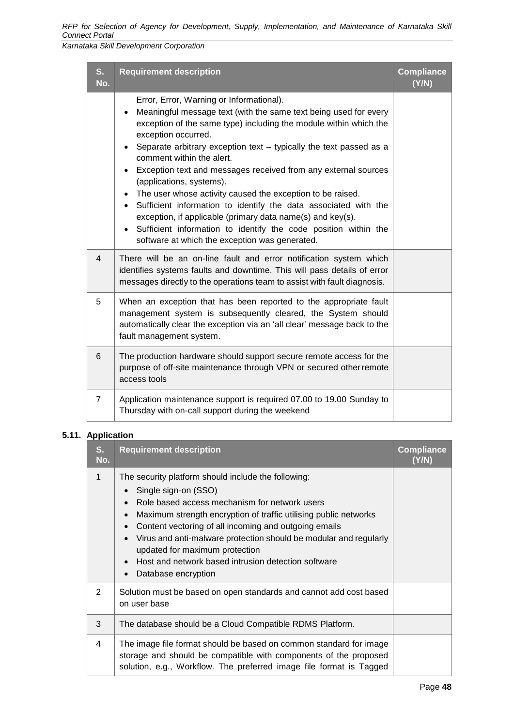| S <sub>1</sub><br>No. | <b>Requirement description</b>                                                                                                                                                                                                                                                                                                                                                                                                                                                                                                                                                                                                                                                                                                                                       | <b>Compliance</b><br>(Y/N) |
|-----------------------|----------------------------------------------------------------------------------------------------------------------------------------------------------------------------------------------------------------------------------------------------------------------------------------------------------------------------------------------------------------------------------------------------------------------------------------------------------------------------------------------------------------------------------------------------------------------------------------------------------------------------------------------------------------------------------------------------------------------------------------------------------------------|----------------------------|
|                       | Error, Error, Warning or Informational).<br>Meaningful message text (with the same text being used for every<br>$\bullet$<br>exception of the same type) including the module within which the<br>exception occurred.<br>Separate arbitrary exception text – typically the text passed as a<br>comment within the alert.<br>Exception text and messages received from any external sources<br>$\bullet$<br>(applications, systems).<br>The user whose activity caused the exception to be raised.<br>Sufficient information to identify the data associated with the<br>$\bullet$<br>exception, if applicable (primary data name(s) and key(s).<br>Sufficient information to identify the code position within the<br>software at which the exception was generated. |                            |
| $\overline{4}$        | There will be an on-line fault and error notification system which<br>identifies systems faults and downtime. This will pass details of error<br>messages directly to the operations team to assist with fault diagnosis.                                                                                                                                                                                                                                                                                                                                                                                                                                                                                                                                            |                            |
| 5                     | When an exception that has been reported to the appropriate fault<br>management system is subsequently cleared, the System should<br>automatically clear the exception via an 'all clear' message back to the<br>fault management system.                                                                                                                                                                                                                                                                                                                                                                                                                                                                                                                            |                            |
| 6                     | The production hardware should support secure remote access for the<br>purpose of off-site maintenance through VPN or secured other remote<br>access tools                                                                                                                                                                                                                                                                                                                                                                                                                                                                                                                                                                                                           |                            |
| $\overline{7}$        | Application maintenance support is required 07.00 to 19.00 Sunday to<br>Thursday with on-call support during the weekend                                                                                                                                                                                                                                                                                                                                                                                                                                                                                                                                                                                                                                             |                            |

#### **5.11. Application**

| S.<br>No.    | <b>Requirement description</b>                                                                                                                                                                                                                                                                                                                                                                                                                 | <b>Compliance</b><br>(Y/N) |
|--------------|------------------------------------------------------------------------------------------------------------------------------------------------------------------------------------------------------------------------------------------------------------------------------------------------------------------------------------------------------------------------------------------------------------------------------------------------|----------------------------|
| $\mathbf{1}$ | The security platform should include the following:<br>Single sign-on (SSO)<br>Role based access mechanism for network users<br>Maximum strength encryption of traffic utilising public networks<br>Content vectoring of all incoming and outgoing emails<br>Virus and anti-malware protection should be modular and regularly<br>updated for maximum protection<br>Host and network based intrusion detection software<br>Database encryption |                            |
| 2            | Solution must be based on open standards and cannot add cost based<br>on user base                                                                                                                                                                                                                                                                                                                                                             |                            |
| 3            | The database should be a Cloud Compatible RDMS Platform.                                                                                                                                                                                                                                                                                                                                                                                       |                            |
| 4            | The image file format should be based on common standard for image<br>storage and should be compatible with components of the proposed<br>solution, e.g., Workflow. The preferred image file format is Tagged                                                                                                                                                                                                                                  |                            |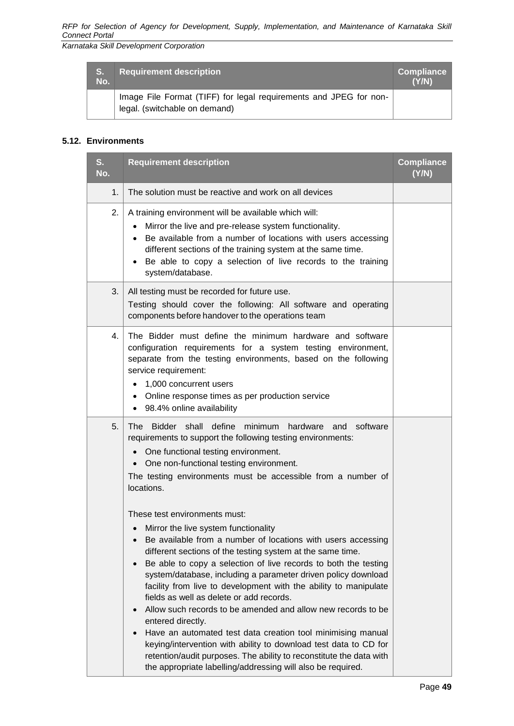| No. | <b>Requirement description</b>                                                                     | <b>Compliance</b><br>(Y/N) |
|-----|----------------------------------------------------------------------------------------------------|----------------------------|
|     | Image File Format (TIFF) for legal requirements and JPEG for non-<br>legal. (switchable on demand) |                            |

#### **5.12. Environments**

| S <sub>1</sub><br>No. | <b>Requirement description</b>                                                                                                                                                                                                                                                                                                                                                                                                                                                                                                                                                                                                                                                                                                                                                                                                                                                                                                                                                                                                                                                                                                                            | <b>Compliance</b><br>(Y/N) |
|-----------------------|-----------------------------------------------------------------------------------------------------------------------------------------------------------------------------------------------------------------------------------------------------------------------------------------------------------------------------------------------------------------------------------------------------------------------------------------------------------------------------------------------------------------------------------------------------------------------------------------------------------------------------------------------------------------------------------------------------------------------------------------------------------------------------------------------------------------------------------------------------------------------------------------------------------------------------------------------------------------------------------------------------------------------------------------------------------------------------------------------------------------------------------------------------------|----------------------------|
| 1.                    | The solution must be reactive and work on all devices                                                                                                                                                                                                                                                                                                                                                                                                                                                                                                                                                                                                                                                                                                                                                                                                                                                                                                                                                                                                                                                                                                     |                            |
| 2.                    | A training environment will be available which will:<br>Mirror the live and pre-release system functionality.<br>$\bullet$<br>Be available from a number of locations with users accessing<br>$\bullet$<br>different sections of the training system at the same time.<br>Be able to copy a selection of live records to the training<br>$\bullet$<br>system/database.                                                                                                                                                                                                                                                                                                                                                                                                                                                                                                                                                                                                                                                                                                                                                                                    |                            |
| 3.                    | All testing must be recorded for future use.<br>Testing should cover the following: All software and operating<br>components before handover to the operations team                                                                                                                                                                                                                                                                                                                                                                                                                                                                                                                                                                                                                                                                                                                                                                                                                                                                                                                                                                                       |                            |
| 4.                    | The Bidder must define the minimum hardware and software<br>configuration requirements for a system testing environment,<br>separate from the testing environments, based on the following<br>service requirement:<br>1,000 concurrent users<br>$\bullet$<br>Online response times as per production service<br>$\bullet$<br>98.4% online availability<br>$\bullet$                                                                                                                                                                                                                                                                                                                                                                                                                                                                                                                                                                                                                                                                                                                                                                                       |                            |
| 5.                    | The Bidder shall define minimum hardware and<br>software<br>requirements to support the following testing environments:<br>• One functional testing environment.<br>One non-functional testing environment.<br>$\bullet$<br>The testing environments must be accessible from a number of<br>locations.<br>These test environments must:<br>Mirror the live system functionality<br>Be available from a number of locations with users accessing<br>different sections of the testing system at the same time.<br>Be able to copy a selection of live records to both the testing<br>$\bullet$<br>system/database, including a parameter driven policy download<br>facility from live to development with the ability to manipulate<br>fields as well as delete or add records.<br>Allow such records to be amended and allow new records to be<br>$\bullet$<br>entered directly.<br>Have an automated test data creation tool minimising manual<br>keying/intervention with ability to download test data to CD for<br>retention/audit purposes. The ability to reconstitute the data with<br>the appropriate labelling/addressing will also be required. |                            |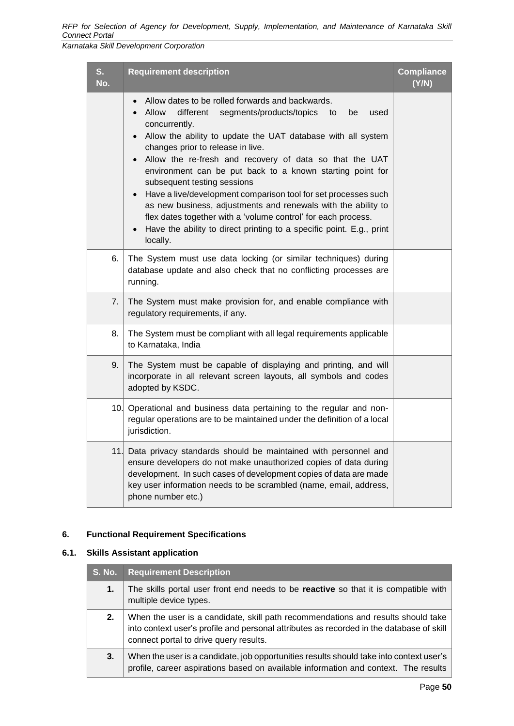| S.<br>No. | <b>Requirement description</b>                                                                                                                                                                                                                                                                                                                                                                                                                                                                                                                                                                                                                                                                        | <b>Compliance</b><br>(Y/N) |
|-----------|-------------------------------------------------------------------------------------------------------------------------------------------------------------------------------------------------------------------------------------------------------------------------------------------------------------------------------------------------------------------------------------------------------------------------------------------------------------------------------------------------------------------------------------------------------------------------------------------------------------------------------------------------------------------------------------------------------|----------------------------|
|           | Allow dates to be rolled forwards and backwards.<br>Allow<br>different<br>segments/products/topics to<br>be<br>used<br>concurrently.<br>Allow the ability to update the UAT database with all system<br>changes prior to release in live.<br>Allow the re-fresh and recovery of data so that the UAT<br>environment can be put back to a known starting point for<br>subsequent testing sessions<br>Have a live/development comparison tool for set processes such<br>$\bullet$<br>as new business, adjustments and renewals with the ability to<br>flex dates together with a 'volume control' for each process.<br>Have the ability to direct printing to a specific point. E.g., print<br>locally. |                            |
| 6.        | The System must use data locking (or similar techniques) during<br>database update and also check that no conflicting processes are<br>running.                                                                                                                                                                                                                                                                                                                                                                                                                                                                                                                                                       |                            |
| 7.        | The System must make provision for, and enable compliance with<br>regulatory requirements, if any.                                                                                                                                                                                                                                                                                                                                                                                                                                                                                                                                                                                                    |                            |
| 8.        | The System must be compliant with all legal requirements applicable<br>to Karnataka, India                                                                                                                                                                                                                                                                                                                                                                                                                                                                                                                                                                                                            |                            |
| 9.        | The System must be capable of displaying and printing, and will<br>incorporate in all relevant screen layouts, all symbols and codes<br>adopted by KSDC.                                                                                                                                                                                                                                                                                                                                                                                                                                                                                                                                              |                            |
|           | 10. Operational and business data pertaining to the regular and non-<br>regular operations are to be maintained under the definition of a local<br>jurisdiction.                                                                                                                                                                                                                                                                                                                                                                                                                                                                                                                                      |                            |
| 11.       | Data privacy standards should be maintained with personnel and<br>ensure developers do not make unauthorized copies of data during<br>development. In such cases of development copies of data are made<br>key user information needs to be scrambled (name, email, address,<br>phone number etc.)                                                                                                                                                                                                                                                                                                                                                                                                    |                            |

#### **6. Functional Requirement Specifications**

#### **6.1. Skills Assistant application**

| S. No. | <b>Requirement Description</b>                                                                                                                                                                                         |
|--------|------------------------------------------------------------------------------------------------------------------------------------------------------------------------------------------------------------------------|
| 1.     | The skills portal user front end needs to be reactive so that it is compatible with<br>multiple device types.                                                                                                          |
| 2.     | When the user is a candidate, skill path recommendations and results should take<br>into context user's profile and personal attributes as recorded in the database of skill<br>connect portal to drive query results. |
| 3.     | When the user is a candidate, job opportunities results should take into context user's<br>profile, career aspirations based on available information and context. The results                                         |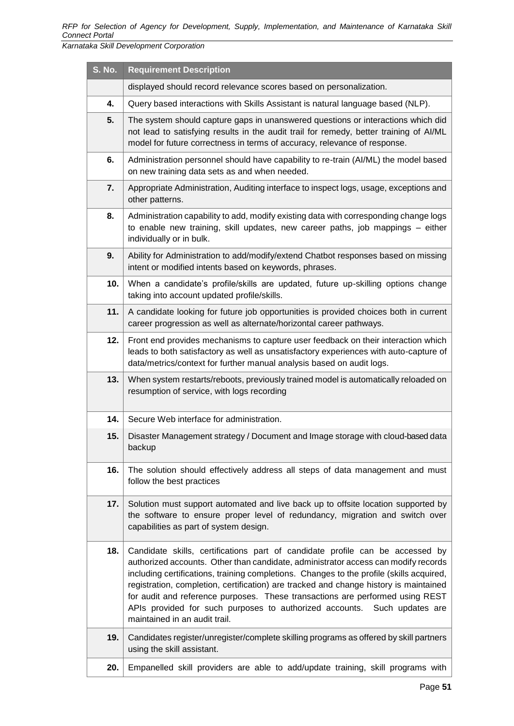| <b>S. No.</b> | <b>Requirement Description</b>                                                                                                                                                                                                                                                                                                                                                                                                                                                                                                                            |  |
|---------------|-----------------------------------------------------------------------------------------------------------------------------------------------------------------------------------------------------------------------------------------------------------------------------------------------------------------------------------------------------------------------------------------------------------------------------------------------------------------------------------------------------------------------------------------------------------|--|
|               | displayed should record relevance scores based on personalization.                                                                                                                                                                                                                                                                                                                                                                                                                                                                                        |  |
| 4.            | Query based interactions with Skills Assistant is natural language based (NLP).                                                                                                                                                                                                                                                                                                                                                                                                                                                                           |  |
| 5.            | The system should capture gaps in unanswered questions or interactions which did<br>not lead to satisfying results in the audit trail for remedy, better training of AI/ML<br>model for future correctness in terms of accuracy, relevance of response.                                                                                                                                                                                                                                                                                                   |  |
| 6.            | Administration personnel should have capability to re-train (Al/ML) the model based<br>on new training data sets as and when needed.                                                                                                                                                                                                                                                                                                                                                                                                                      |  |
| 7.            | Appropriate Administration, Auditing interface to inspect logs, usage, exceptions and<br>other patterns.                                                                                                                                                                                                                                                                                                                                                                                                                                                  |  |
| 8.            | Administration capability to add, modify existing data with corresponding change logs<br>to enable new training, skill updates, new career paths, job mappings - either<br>individually or in bulk.                                                                                                                                                                                                                                                                                                                                                       |  |
| 9.            | Ability for Administration to add/modify/extend Chatbot responses based on missing<br>intent or modified intents based on keywords, phrases.                                                                                                                                                                                                                                                                                                                                                                                                              |  |
| 10.           | When a candidate's profile/skills are updated, future up-skilling options change<br>taking into account updated profile/skills.                                                                                                                                                                                                                                                                                                                                                                                                                           |  |
| 11.           | A candidate looking for future job opportunities is provided choices both in current<br>career progression as well as alternate/horizontal career pathways.                                                                                                                                                                                                                                                                                                                                                                                               |  |
| 12.           | Front end provides mechanisms to capture user feedback on their interaction which<br>leads to both satisfactory as well as unsatisfactory experiences with auto-capture of<br>data/metrics/context for further manual analysis based on audit logs.                                                                                                                                                                                                                                                                                                       |  |
| 13.           | When system restarts/reboots, previously trained model is automatically reloaded on<br>resumption of service, with logs recording                                                                                                                                                                                                                                                                                                                                                                                                                         |  |
| 14.           | Secure Web interface for administration.                                                                                                                                                                                                                                                                                                                                                                                                                                                                                                                  |  |
| 15.           | Disaster Management strategy / Document and Image storage with cloud-based data<br>backup                                                                                                                                                                                                                                                                                                                                                                                                                                                                 |  |
| 16.           | The solution should effectively address all steps of data management and must<br>follow the best practices                                                                                                                                                                                                                                                                                                                                                                                                                                                |  |
| 17.           | Solution must support automated and live back up to offsite location supported by<br>the software to ensure proper level of redundancy, migration and switch over<br>capabilities as part of system design.                                                                                                                                                                                                                                                                                                                                               |  |
| 18.           | Candidate skills, certifications part of candidate profile can be accessed by<br>authorized accounts. Other than candidate, administrator access can modify records<br>including certifications, training completions. Changes to the profile (skills acquired,<br>registration, completion, certification) are tracked and change history is maintained<br>for audit and reference purposes. These transactions are performed using REST<br>APIs provided for such purposes to authorized accounts.<br>Such updates are<br>maintained in an audit trail. |  |
| 19.           | Candidates register/unregister/complete skilling programs as offered by skill partners<br>using the skill assistant.                                                                                                                                                                                                                                                                                                                                                                                                                                      |  |
| 20.           | Empanelled skill providers are able to add/update training, skill programs with                                                                                                                                                                                                                                                                                                                                                                                                                                                                           |  |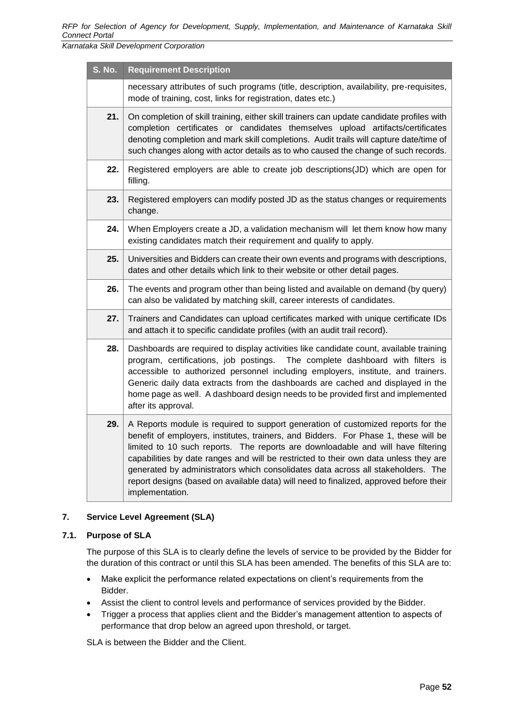| <b>S. No.</b> | <b>Requirement Description</b>                                                                                                                                                                                                                                                                                                                                                                                                                                                                                                                       |
|---------------|------------------------------------------------------------------------------------------------------------------------------------------------------------------------------------------------------------------------------------------------------------------------------------------------------------------------------------------------------------------------------------------------------------------------------------------------------------------------------------------------------------------------------------------------------|
|               | necessary attributes of such programs (title, description, availability, pre-requisites,<br>mode of training, cost, links for registration, dates etc.)                                                                                                                                                                                                                                                                                                                                                                                              |
| 21.           | On completion of skill training, either skill trainers can update candidate profiles with<br>completion certificates or candidates themselves upload artifacts/certificates<br>denoting completion and mark skill completions. Audit trails will capture date/time of<br>such changes along with actor details as to who caused the change of such records.                                                                                                                                                                                          |
| 22.           | Registered employers are able to create job descriptions(JD) which are open for<br>filling.                                                                                                                                                                                                                                                                                                                                                                                                                                                          |
| 23.           | Registered employers can modify posted JD as the status changes or requirements<br>change.                                                                                                                                                                                                                                                                                                                                                                                                                                                           |
| 24.           | When Employers create a JD, a validation mechanism will let them know how many<br>existing candidates match their requirement and qualify to apply.                                                                                                                                                                                                                                                                                                                                                                                                  |
| 25.           | Universities and Bidders can create their own events and programs with descriptions,<br>dates and other details which link to their website or other detail pages.                                                                                                                                                                                                                                                                                                                                                                                   |
| 26.           | The events and program other than being listed and available on demand (by query)<br>can also be validated by matching skill, career interests of candidates.                                                                                                                                                                                                                                                                                                                                                                                        |
| 27.           | Trainers and Candidates can upload certificates marked with unique certificate IDs<br>and attach it to specific candidate profiles (with an audit trail record).                                                                                                                                                                                                                                                                                                                                                                                     |
| 28.           | Dashboards are required to display activities like candidate count, available training<br>program, certifications, job postings. The complete dashboard with filters is<br>accessible to authorized personnel including employers, institute, and trainers.<br>Generic daily data extracts from the dashboards are cached and displayed in the<br>home page as well. A dashboard design needs to be provided first and implemented<br>after its approval.                                                                                            |
| 29.           | A Reports module is required to support generation of customized reports for the<br>benefit of employers, institutes, trainers, and Bidders. For Phase 1, these will be<br>limited to 10 such reports. The reports are downloadable and will have filtering<br>capabilities by date ranges and will be restricted to their own data unless they are<br>generated by administrators which consolidates data across all stakeholders. The<br>report designs (based on available data) will need to finalized, approved before their<br>implementation. |

#### **7. Service Level Agreement (SLA)**

#### **7.1. Purpose of SLA**

The purpose of this SLA is to clearly define the levels of service to be provided by the Bidder for the duration of this contract or until this SLA has been amended. The benefits of this SLA are to:

- Make explicit the performance related expectations on client's requirements from the Bidder.
- Assist the client to control levels and performance of services provided by the Bidder.
- Trigger a process that applies client and the Bidder's management attention to aspects of performance that drop below an agreed upon threshold, or target.

SLA is between the Bidder and the Client.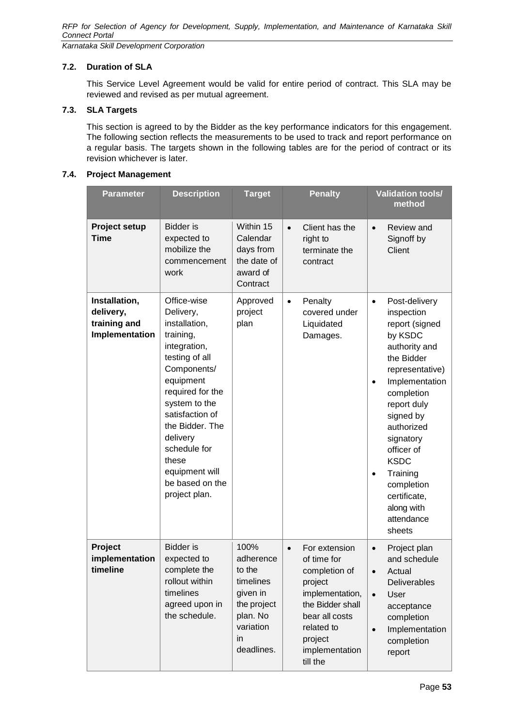#### **7.2. Duration of SLA**

This Service Level Agreement would be valid for entire period of contract. This SLA may be reviewed and revised as per mutual agreement.

#### **7.3. SLA Targets**

This section is agreed to by the Bidder as the key performance indicators for this engagement. The following section reflects the measurements to be used to track and report performance on a regular basis. The targets shown in the following tables are for the period of contract or its revision whichever is later.

#### **7.4. Project Management**

| <b>Parameter</b>                                             | <b>Description</b>                                                                                                                                                                                                                                                                         | <b>Target</b>                                                                                                    | <b>Penalty</b>                                                                                                                                                                        | <b>Validation tools/</b><br>method                                                                                                                                                                                                                                                                                                                    |
|--------------------------------------------------------------|--------------------------------------------------------------------------------------------------------------------------------------------------------------------------------------------------------------------------------------------------------------------------------------------|------------------------------------------------------------------------------------------------------------------|---------------------------------------------------------------------------------------------------------------------------------------------------------------------------------------|-------------------------------------------------------------------------------------------------------------------------------------------------------------------------------------------------------------------------------------------------------------------------------------------------------------------------------------------------------|
| <b>Project setup</b><br><b>Time</b>                          | <b>Bidder</b> is<br>expected to<br>mobilize the<br>commencement<br>work                                                                                                                                                                                                                    | Within 15<br>Calendar<br>days from<br>the date of<br>award of<br>Contract                                        | Client has the<br>$\bullet$<br>right to<br>terminate the<br>contract                                                                                                                  | Review and<br>$\bullet$<br>Signoff by<br>Client                                                                                                                                                                                                                                                                                                       |
| Installation,<br>delivery,<br>training and<br>Implementation | Office-wise<br>Delivery,<br>installation,<br>training,<br>integration,<br>testing of all<br>Components/<br>equipment<br>required for the<br>system to the<br>satisfaction of<br>the Bidder. The<br>delivery<br>schedule for<br>these<br>equipment will<br>be based on the<br>project plan. | Approved<br>project<br>plan                                                                                      | Penalty<br>$\bullet$<br>covered under<br>Liquidated<br>Damages.                                                                                                                       | Post-delivery<br>$\bullet$<br>inspection<br>report (signed<br>by KSDC<br>authority and<br>the Bidder<br>representative)<br>Implementation<br>$\bullet$<br>completion<br>report duly<br>signed by<br>authorized<br>signatory<br>officer of<br><b>KSDC</b><br>Training<br>$\bullet$<br>completion<br>certificate,<br>along with<br>attendance<br>sheets |
| Project<br>implementation<br>timeline                        | <b>Bidder</b> is<br>expected to<br>complete the<br>rollout within<br>timelines<br>agreed upon in<br>the schedule.                                                                                                                                                                          | 100%<br>adherence<br>to the<br>timelines<br>given in<br>the project<br>plan. No<br>variation<br>in<br>deadlines. | For extension<br>$\bullet$<br>of time for<br>completion of<br>project<br>implementation,<br>the Bidder shall<br>bear all costs<br>related to<br>project<br>implementation<br>till the | Project plan<br>$\bullet$<br>and schedule<br>Actual<br>$\bullet$<br>Deliverables<br>User<br>$\bullet$<br>acceptance<br>completion<br>Implementation<br>$\bullet$<br>completion<br>report                                                                                                                                                              |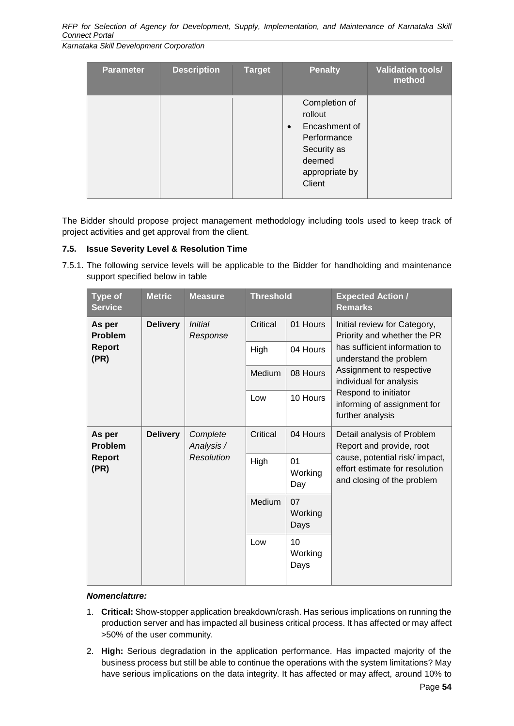| <b>Parameter</b> | <b>Description</b> | <b>Target</b> | <b>Penalty</b>                                                                                                             | <b>Validation tools/</b><br>method |
|------------------|--------------------|---------------|----------------------------------------------------------------------------------------------------------------------------|------------------------------------|
|                  |                    |               | Completion of<br>rollout<br>Encashment of<br>$\bullet$<br>Performance<br>Security as<br>deemed<br>appropriate by<br>Client |                                    |

The Bidder should propose project management methodology including tools used to keep track of project activities and get approval from the client.

#### **7.5. Issue Severity Level & Resolution Time**

7.5.1. The following service levels will be applicable to the Bidder for handholding and maintenance support specified below in table

| <b>Type of</b><br><b>Service</b> | <b>Metric</b>   | <b>Measure</b>             | <b>Threshold</b> |                       | <b>Expected Action /</b><br><b>Remarks</b>                                                    |
|----------------------------------|-----------------|----------------------------|------------------|-----------------------|-----------------------------------------------------------------------------------------------|
| As per<br><b>Problem</b>         | <b>Delivery</b> | <b>Initial</b><br>Response | Critical         | 01 Hours              | Initial review for Category,<br>Priority and whether the PR                                   |
| <b>Report</b><br>(PR)            |                 |                            | High             | 04 Hours              | has sufficient information to<br>understand the problem                                       |
|                                  |                 |                            | Medium           | 08 Hours              | Assignment to respective<br>individual for analysis                                           |
|                                  |                 |                            | Low              | 10 Hours              | Respond to initiator<br>informing of assignment for<br>further analysis                       |
| As per<br><b>Problem</b>         | <b>Delivery</b> | Complete<br>Analysis /     | Critical         | 04 Hours              | Detail analysis of Problem<br>Report and provide, root                                        |
| <b>Report</b><br>(PR)            |                 | <b>Resolution</b>          | High             | 01<br>Working<br>Day  | cause, potential risk/impact,<br>effort estimate for resolution<br>and closing of the problem |
|                                  |                 |                            | Medium           | 07<br>Working<br>Days |                                                                                               |
|                                  |                 |                            | Low              | 10<br>Working<br>Days |                                                                                               |

#### *Nomenclature:*

- 1. **Critical:** Show-stopper application breakdown/crash. Has serious implications on running the production server and has impacted all business critical process. It has affected or may affect >50% of the user community.
- 2. **High:** Serious degradation in the application performance. Has impacted majority of the business process but still be able to continue the operations with the system limitations? May have serious implications on the data integrity. It has affected or may affect, around 10% to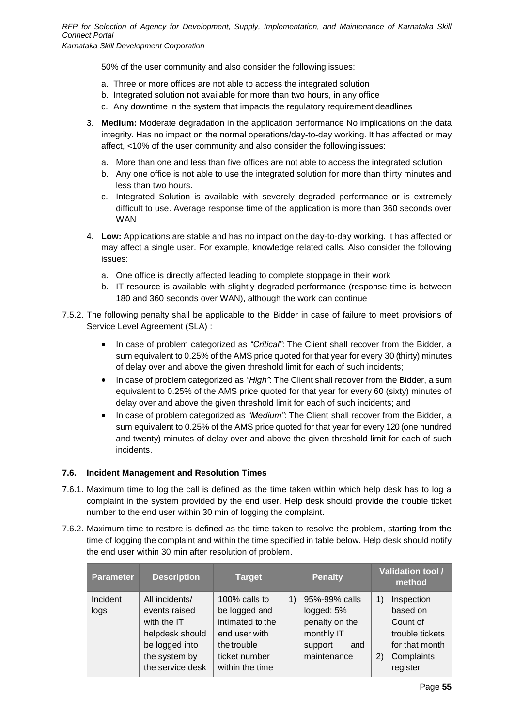50% of the user community and also consider the following issues:

- a. Three or more offices are not able to access the integrated solution
- b. Integrated solution not available for more than two hours, in any office
- c. Any downtime in the system that impacts the regulatory requirement deadlines
- 3. **Medium:** Moderate degradation in the application performance No implications on the data integrity. Has no impact on the normal operations/day-to-day working. It has affected or may affect, <10% of the user community and also consider the following issues:
	- a. More than one and less than five offices are not able to access the integrated solution
	- b. Any one office is not able to use the integrated solution for more than thirty minutes and less than two hours.
	- c. Integrated Solution is available with severely degraded performance or is extremely difficult to use. Average response time of the application is more than 360 seconds over WAN
- 4. **Low:** Applications are stable and has no impact on the day-to-day working. It has affected or may affect a single user. For example, knowledge related calls. Also consider the following issues:
	- a. One office is directly affected leading to complete stoppage in their work
	- b. IT resource is available with slightly degraded performance (response time is between 180 and 360 seconds over WAN), although the work can continue
- 7.5.2. The following penalty shall be applicable to the Bidder in case of failure to meet provisions of Service Level Agreement (SLA) :
	- In case of problem categorized as *"Critical"*: The Client shall recover from the Bidder, a sum equivalent to 0.25% of the AMS price quoted for that year for every 30 (thirty) minutes of delay over and above the given threshold limit for each of such incidents;
	- In case of problem categorized as *"High"*: The Client shall recover from the Bidder, a sum equivalent to 0.25% of the AMS price quoted for that year for every 60 (sixty) minutes of delay over and above the given threshold limit for each of such incidents; and
	- In case of problem categorized as *"Medium"*: The Client shall recover from the Bidder, a sum equivalent to 0.25% of the AMS price quoted for that year for every 120 (one hundred and twenty) minutes of delay over and above the given threshold limit for each of such incidents.

#### **7.6. Incident Management and Resolution Times**

- 7.6.1. Maximum time to log the call is defined as the time taken within which help desk has to log a complaint in the system provided by the end user. Help desk should provide the trouble ticket number to the end user within 30 min of logging the complaint.
- 7.6.2. Maximum time to restore is defined as the time taken to resolve the problem, starting from the time of logging the complaint and within the time specified in table below. Help desk should notify the end user within 30 min after resolution of problem.

| <b>Parameter</b> | <b>Description</b>                                                                                                       | <b>Target</b>                                                                                                          | <b>Penalty</b>                                                                                     | <b>Validation tool /</b><br>method                                                                            |
|------------------|--------------------------------------------------------------------------------------------------------------------------|------------------------------------------------------------------------------------------------------------------------|----------------------------------------------------------------------------------------------------|---------------------------------------------------------------------------------------------------------------|
| Incident<br>logs | All incidents/<br>events raised<br>with the IT<br>helpdesk should<br>be logged into<br>the system by<br>the service desk | 100% calls to<br>be logged and<br>intimated to the<br>end user with<br>the trouble<br>ticket number<br>within the time | 95%-99% calls<br>1)<br>logged: 5%<br>penalty on the<br>monthly IT<br>support<br>and<br>maintenance | Inspection<br>1)<br>based on<br>Count of<br>trouble tickets<br>for that month<br>Complaints<br>2)<br>register |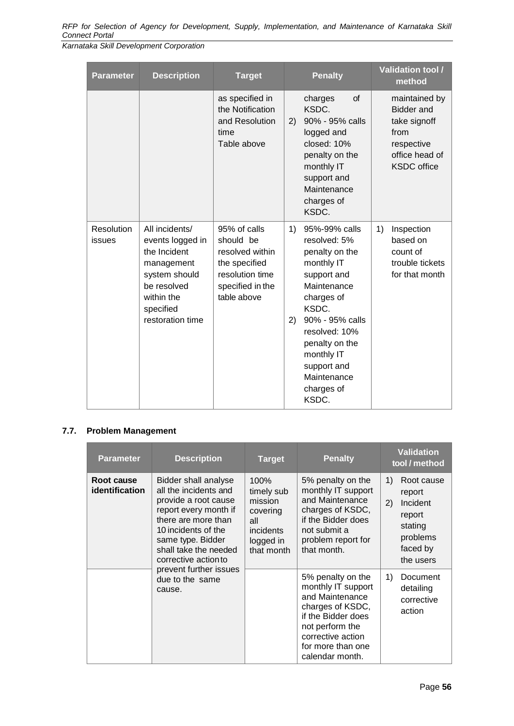*Karnataka Skill Development Corporation* 

| <b>Parameter</b>     | <b>Description</b>                                                                                                                              | <b>Target</b>                                                                                                       | <b>Penalty</b>                                                                                                                                                                                                                                          | <b>Validation tool /</b><br>method                                                                               |
|----------------------|-------------------------------------------------------------------------------------------------------------------------------------------------|---------------------------------------------------------------------------------------------------------------------|---------------------------------------------------------------------------------------------------------------------------------------------------------------------------------------------------------------------------------------------------------|------------------------------------------------------------------------------------------------------------------|
|                      |                                                                                                                                                 | as specified in<br>the Notification<br>and Resolution<br>time<br>Table above                                        | charges<br>of<br>KSDC.<br>90% - 95% calls<br>2)<br>logged and<br>closed: 10%<br>penalty on the<br>monthly IT<br>support and<br>Maintenance<br>charges of<br>KSDC.                                                                                       | maintained by<br><b>Bidder</b> and<br>take signoff<br>from<br>respective<br>office head of<br><b>KSDC</b> office |
| Resolution<br>issues | All incidents/<br>events logged in<br>the Incident<br>management<br>system should<br>be resolved<br>within the<br>specified<br>restoration time | 95% of calls<br>should be<br>resolved within<br>the specified<br>resolution time<br>specified in the<br>table above | 95%-99% calls<br>1)<br>resolved: 5%<br>penalty on the<br>monthly IT<br>support and<br>Maintenance<br>charges of<br>KSDC.<br>90% - 95% calls<br>2)<br>resolved: 10%<br>penalty on the<br>monthly IT<br>support and<br>Maintenance<br>charges of<br>KSDC. | 1)<br>Inspection<br>based on<br>count of<br>trouble tickets<br>for that month                                    |

#### **7.7. Problem Management**

| <b>Parameter</b>                    | <b>Description</b>                                                                                                                                                                                                                                                        | <b>Target</b>                                                                            | <b>Penalty</b>                                                                                                                                                                       | <b>Validation</b><br>tool / method                                                                     |
|-------------------------------------|---------------------------------------------------------------------------------------------------------------------------------------------------------------------------------------------------------------------------------------------------------------------------|------------------------------------------------------------------------------------------|--------------------------------------------------------------------------------------------------------------------------------------------------------------------------------------|--------------------------------------------------------------------------------------------------------|
| Root cause<br><i>identification</i> | Bidder shall analyse<br>all the incidents and<br>provide a root cause<br>report every month if<br>there are more than<br>10 incidents of the<br>same type. Bidder<br>shall take the needed<br>corrective action to<br>prevent further issues<br>due to the same<br>cause. | 100%<br>timely sub<br>mission<br>covering<br>all<br>incidents<br>logged in<br>that month | 5% penalty on the<br>monthly IT support<br>and Maintenance<br>charges of KSDC,<br>if the Bidder does<br>not submit a<br>problem report for<br>that month.                            | Root cause<br>1)<br>report<br>Incident<br>2)<br>report<br>stating<br>problems<br>faced by<br>the users |
|                                     |                                                                                                                                                                                                                                                                           |                                                                                          | 5% penalty on the<br>monthly IT support<br>and Maintenance<br>charges of KSDC,<br>if the Bidder does<br>not perform the<br>corrective action<br>for more than one<br>calendar month. | 1)<br>Document<br>detailing<br>corrective<br>action                                                    |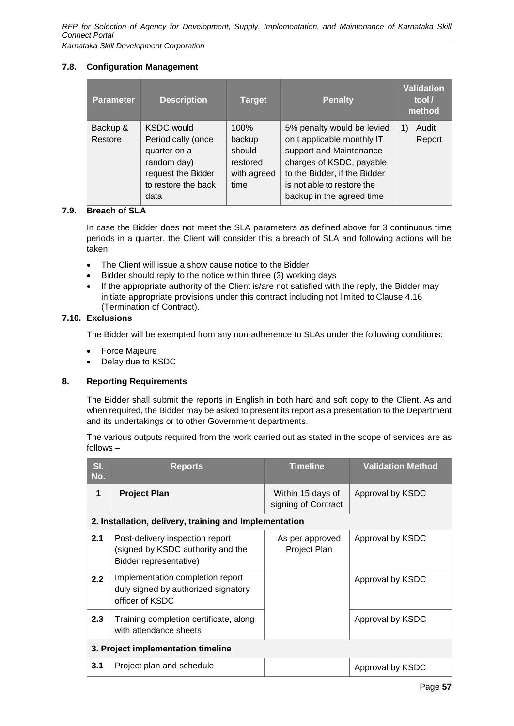#### **7.8. Configuration Management**

| <b>Parameter</b>    | <b>Description</b>                                                                                                          | <b>Target</b>                                               | <b>Penalty</b>                                                                                                                                                                                             | <b>Validation</b><br>tool /<br>method |
|---------------------|-----------------------------------------------------------------------------------------------------------------------------|-------------------------------------------------------------|------------------------------------------------------------------------------------------------------------------------------------------------------------------------------------------------------------|---------------------------------------|
| Backup &<br>Restore | <b>KSDC</b> would<br>Periodically (once<br>quarter on a<br>random day)<br>request the Bidder<br>to restore the back<br>data | 100%<br>backup<br>should<br>restored<br>with agreed<br>time | 5% penalty would be levied<br>on t applicable monthly IT<br>support and Maintenance<br>charges of KSDC, payable<br>to the Bidder, if the Bidder<br>is not able to restore the<br>backup in the agreed time | Audit<br>Report                       |

#### **7.9. Breach of SLA**

In case the Bidder does not meet the SLA parameters as defined above for 3 continuous time periods in a quarter, the Client will consider this a breach of SLA and following actions will be taken:

- The Client will issue a show cause notice to the Bidder
- Bidder should reply to the notice within three (3) working days
- If the appropriate authority of the Client is/are not satisfied with the reply, the Bidder may initiate appropriate provisions under this contract including not limited to Clause 4.16 (Termination of Contract).

#### **7.10. Exclusions**

The Bidder will be exempted from any non-adherence to SLAs under the following conditions:

- Force Majeure
- Delay due to KSDC

#### **8. Reporting Requirements**

The Bidder shall submit the reports in English in both hard and soft copy to the Client. As and when required, the Bidder may be asked to present its report as a presentation to the Department and its undertakings or to other Government departments.

The various outputs required from the work carried out as stated in the scope of services are as follows –

| SI.<br>No. | <b>Reports</b>                                                                                 | <b>Timeline</b>                          | <b>Validation Method</b> |  |  |
|------------|------------------------------------------------------------------------------------------------|------------------------------------------|--------------------------|--|--|
| 1          | <b>Project Plan</b>                                                                            | Within 15 days of<br>signing of Contract | Approval by KSDC         |  |  |
|            | 2. Installation, delivery, training and Implementation                                         |                                          |                          |  |  |
| 2.1        | Post-delivery inspection report<br>(signed by KSDC authority and the<br>Bidder representative) | As per approved<br>Project Plan          | Approval by KSDC         |  |  |
| 2.2        | Implementation completion report<br>duly signed by authorized signatory<br>officer of KSDC     |                                          | Approval by KSDC         |  |  |
| 2.3        | Training completion certificate, along<br>with attendance sheets                               |                                          | Approval by KSDC         |  |  |
|            | 3. Project implementation timeline                                                             |                                          |                          |  |  |
| 3.1        | Project plan and schedule                                                                      |                                          | Approval by KSDC         |  |  |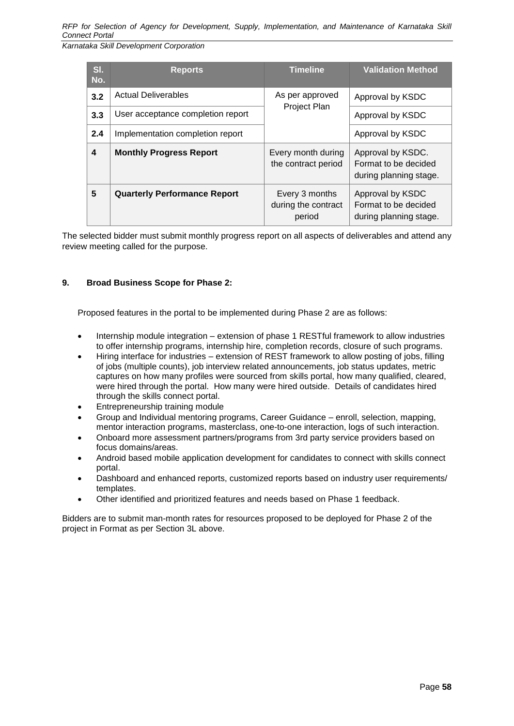| SI.<br>No.              | <b>Reports</b>                      | <b>Timeline</b>                                 | <b>Validation Method</b>                                            |
|-------------------------|-------------------------------------|-------------------------------------------------|---------------------------------------------------------------------|
| 3.2                     | <b>Actual Deliverables</b>          | As per approved<br>Project Plan                 | Approval by KSDC                                                    |
| 3.3                     | User acceptance completion report   |                                                 | Approval by KSDC                                                    |
| 2.4                     | Implementation completion report    |                                                 | Approval by KSDC                                                    |
| $\overline{\mathbf{4}}$ | <b>Monthly Progress Report</b>      | Every month during<br>the contract period       | Approval by KSDC.<br>Format to be decided<br>during planning stage. |
| 5                       | <b>Quarterly Performance Report</b> | Every 3 months<br>during the contract<br>period | Approval by KSDC<br>Format to be decided<br>during planning stage.  |

The selected bidder must submit monthly progress report on all aspects of deliverables and attend any review meeting called for the purpose.

#### **9. Broad Business Scope for Phase 2:**

Proposed features in the portal to be implemented during Phase 2 are as follows:

- Internship module integration extension of phase 1 RESTful framework to allow industries to offer internship programs, internship hire, completion records, closure of such programs.
- Hiring interface for industries extension of REST framework to allow posting of jobs, filling of jobs (multiple counts), job interview related announcements, job status updates, metric captures on how many profiles were sourced from skills portal, how many qualified, cleared, were hired through the portal. How many were hired outside. Details of candidates hired through the skills connect portal.
- Entrepreneurship training module
- Group and Individual mentoring programs, Career Guidance enroll, selection, mapping, mentor interaction programs, masterclass, one-to-one interaction, logs of such interaction.
- Onboard more assessment partners/programs from 3rd party service providers based on focus domains/areas.
- Android based mobile application development for candidates to connect with skills connect portal.
- Dashboard and enhanced reports, customized reports based on industry user requirements/ templates.
- Other identified and prioritized features and needs based on Phase 1 feedback.

Bidders are to submit man-month rates for resources proposed to be deployed for Phase 2 of the project in Format as per Section 3L above.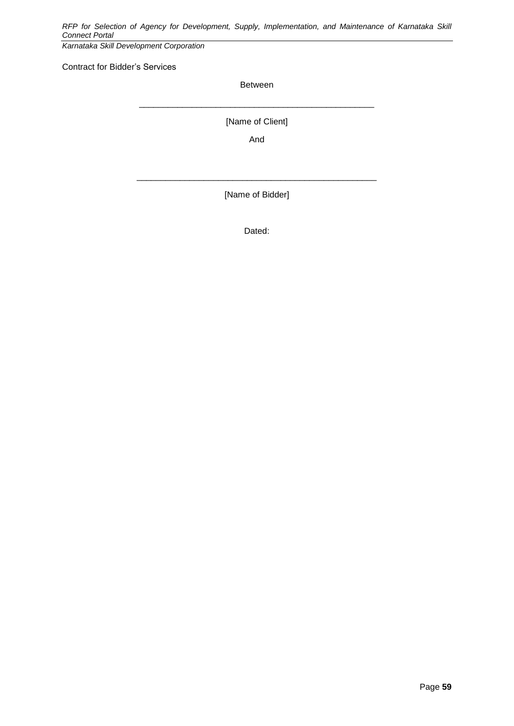*Karnataka Skill Development Corporation* 

Contract for Bidder's Services

Between

[Name of Client]

\_\_\_\_\_\_\_\_\_\_\_\_\_\_\_\_\_\_\_\_\_\_\_\_\_\_\_\_\_\_\_\_\_\_\_\_\_\_\_\_\_\_\_\_\_\_\_\_\_

And

[Name of Bidder]

\_\_\_\_\_\_\_\_\_\_\_\_\_\_\_\_\_\_\_\_\_\_\_\_\_\_\_\_\_\_\_\_\_\_\_\_\_\_\_\_\_\_\_\_\_\_\_\_\_\_

Dated: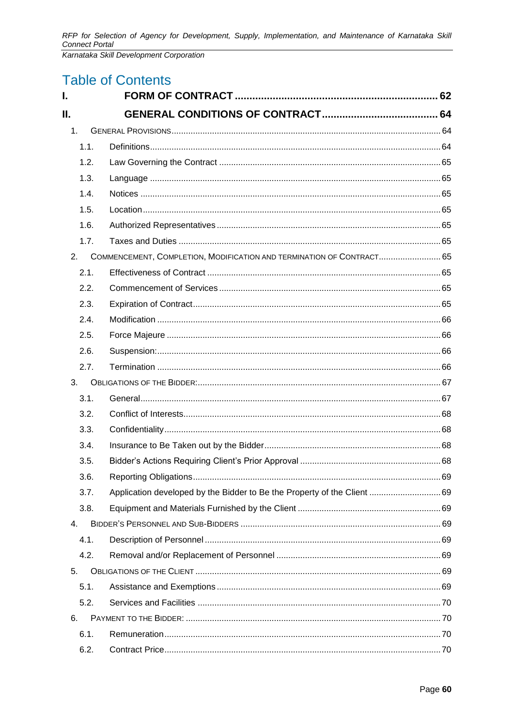Karnataka Skill Development Corporation

### **Table of Contents**

| I. |      |                                                                       |  |
|----|------|-----------------------------------------------------------------------|--|
| П. |      |                                                                       |  |
| 1. |      |                                                                       |  |
|    | 1.1. |                                                                       |  |
|    | 1.2. |                                                                       |  |
|    | 1.3. |                                                                       |  |
|    | 1.4. |                                                                       |  |
|    | 1.5. |                                                                       |  |
|    | 1.6. |                                                                       |  |
|    | 1.7. |                                                                       |  |
| 2. |      | COMMENCEMENT, COMPLETION, MODIFICATION AND TERMINATION OF CONTRACT 65 |  |
|    | 2.1. |                                                                       |  |
|    | 2.2. |                                                                       |  |
|    | 2.3. |                                                                       |  |
|    | 2.4. |                                                                       |  |
|    | 2.5. |                                                                       |  |
|    | 2.6. |                                                                       |  |
|    | 2.7. |                                                                       |  |
| 3. |      |                                                                       |  |
|    | 3.1. |                                                                       |  |
|    | 3.2. |                                                                       |  |
|    | 3.3. |                                                                       |  |
|    | 3.4. |                                                                       |  |
|    | 3.5. |                                                                       |  |
|    | 3.6. |                                                                       |  |
|    | 3.7. |                                                                       |  |
|    | 3.8. |                                                                       |  |
| 4. |      |                                                                       |  |
|    | 4.1. |                                                                       |  |
|    | 4.2. |                                                                       |  |
| 5. |      |                                                                       |  |
|    | 5.1. |                                                                       |  |
|    | 5.2. |                                                                       |  |
| 6. |      |                                                                       |  |
|    | 6.1. |                                                                       |  |
|    | 6.2. |                                                                       |  |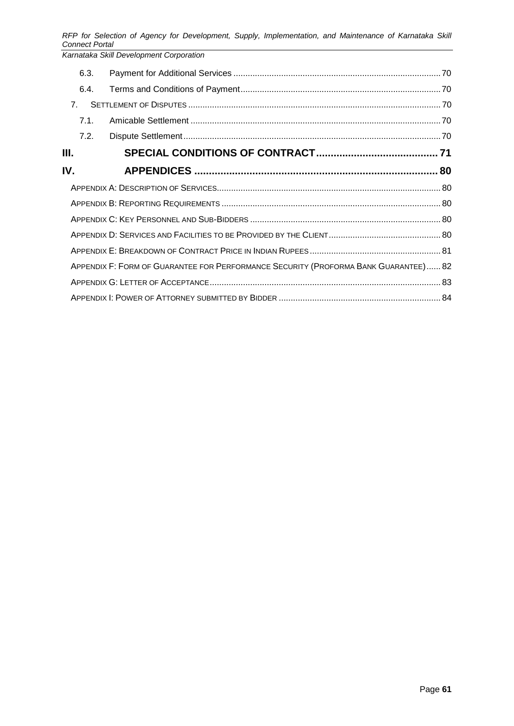|                | Karnataka Skill Development Corporation                                             |  |
|----------------|-------------------------------------------------------------------------------------|--|
| 6.3.           |                                                                                     |  |
| 6.4.           |                                                                                     |  |
| 7 <sub>1</sub> |                                                                                     |  |
| 7.1.           |                                                                                     |  |
| 7.2.           |                                                                                     |  |
| Ш.             |                                                                                     |  |
| IV.            |                                                                                     |  |
|                |                                                                                     |  |
|                |                                                                                     |  |
|                |                                                                                     |  |
|                |                                                                                     |  |
|                |                                                                                     |  |
|                | APPENDIX F: FORM OF GUARANTEE FOR PERFORMANCE SECURITY (PROFORMA BANK GUARANTEE) 82 |  |
|                |                                                                                     |  |
|                |                                                                                     |  |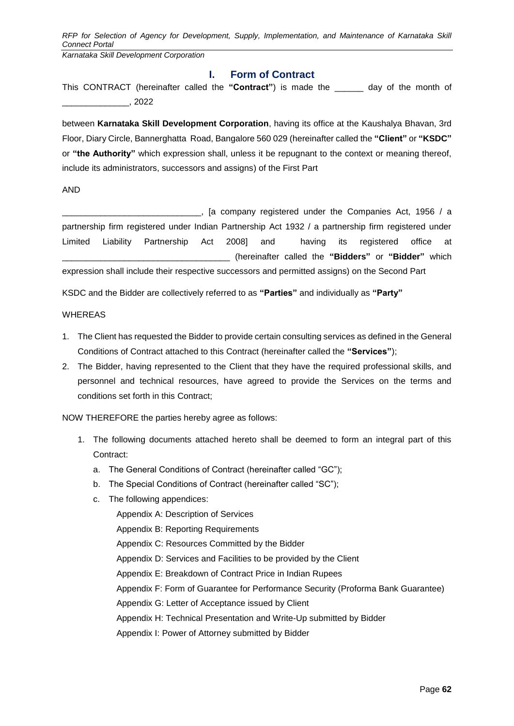#### **I. Form of Contract**

<span id="page-61-0"></span>This CONTRACT (hereinafter called the **"Contract"**) is made the \_\_\_\_\_\_ day of the month of \_\_\_\_\_\_\_\_\_\_\_\_\_\_, 2022

between **Karnataka Skill Development Corporation**, having its office at the Kaushalya Bhavan, 3rd Floor, Diary Circle, Bannerghatta Road, Bangalore 560 029 (hereinafter called the **"Client"** or **"KSDC"**  or **"the Authority"** which expression shall, unless it be repugnant to the context or meaning thereof, include its administrators, successors and assigns) of the First Part

AND

[2015], [a company registered under the Companies Act, 1956 / a partnership firm registered under Indian Partnership Act 1932 / a partnership firm registered under Limited Liability Partnership Act 2008] and having its registered office at \_\_\_\_\_\_\_\_\_\_\_\_\_\_\_\_\_\_\_\_\_\_\_\_\_\_\_\_\_\_\_\_\_\_\_ (hereinafter called the **"Bidders"** or **"Bidder"** which expression shall include their respective successors and permitted assigns) on the Second Part

KSDC and the Bidder are collectively referred to as **"Parties"** and individually as **"Party"**

#### WHEREAS

- 1. The Client has requested the Bidder to provide certain consulting services as defined in the General Conditions of Contract attached to this Contract (hereinafter called the **"Services"**);
- 2. The Bidder, having represented to the Client that they have the required professional skills, and personnel and technical resources, have agreed to provide the Services on the terms and conditions set forth in this Contract;

NOW THEREFORE the parties hereby agree as follows:

- 1. The following documents attached hereto shall be deemed to form an integral part of this Contract:
	- a. The General Conditions of Contract (hereinafter called "GC");
	- b. The Special Conditions of Contract (hereinafter called "SC");
	- c. The following appendices:
		- Appendix A: Description of Services
		- Appendix B: Reporting Requirements
		- Appendix C: Resources Committed by the Bidder
		- Appendix D: Services and Facilities to be provided by the Client
		- Appendix E: Breakdown of Contract Price in Indian Rupees
		- Appendix F: Form of Guarantee for Performance Security (Proforma Bank Guarantee)
		- Appendix G: Letter of Acceptance issued by Client
		- Appendix H: Technical Presentation and Write-Up submitted by Bidder
		- Appendix I: Power of Attorney submitted by Bidder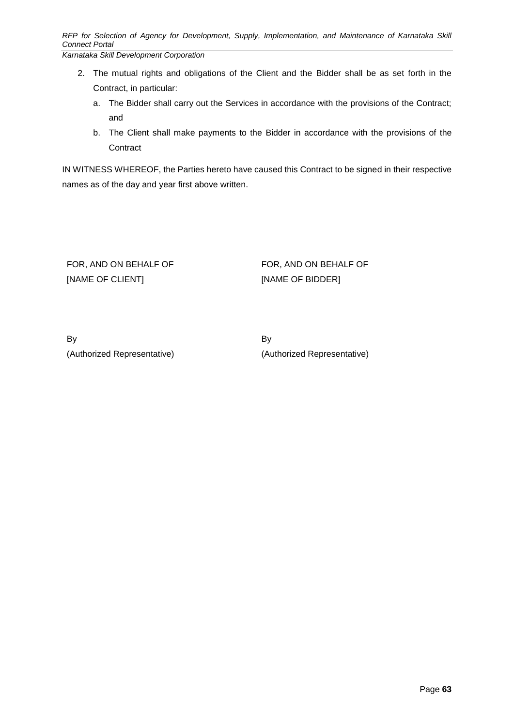- 2. The mutual rights and obligations of the Client and the Bidder shall be as set forth in the Contract, in particular:
	- a. The Bidder shall carry out the Services in accordance with the provisions of the Contract; and
	- b. The Client shall make payments to the Bidder in accordance with the provisions of the **Contract**

IN WITNESS WHEREOF, the Parties hereto have caused this Contract to be signed in their respective names as of the day and year first above written.

FOR, AND ON BEHALF OF [NAME OF CLIENT]

FOR, AND ON BEHALF OF [NAME OF BIDDER]

By (Authorized Representative) By (Authorized Representative)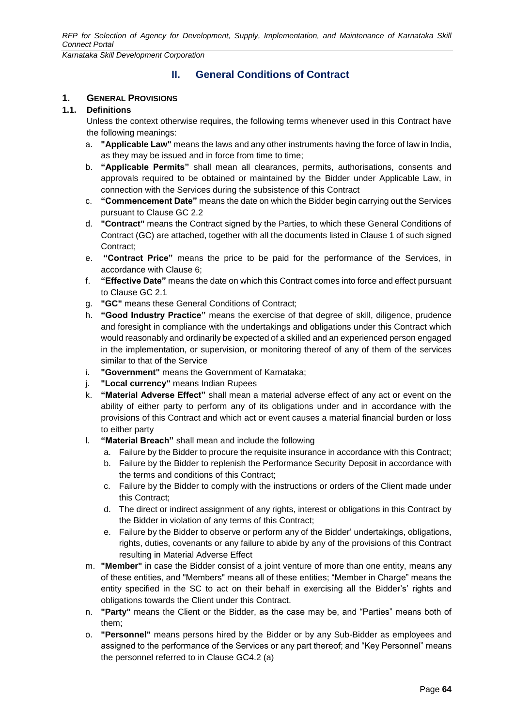### **II. General Conditions of Contract**

#### <span id="page-63-1"></span><span id="page-63-0"></span>**1. GENERAL PROVISIONS**

#### <span id="page-63-2"></span>**1.1. Definitions**

Unless the context otherwise requires, the following terms whenever used in this Contract have the following meanings:

- a. **"Applicable Law"** means the laws and any other instruments having the force of law in India, as they may be issued and in force from time to time;
- b. **"Applicable Permits"** shall mean all clearances, permits, authorisations, consents and approvals required to be obtained or maintained by the Bidder under Applicable Law, in connection with the Services during the subsistence of this Contract
- c. **"Commencement Date"** means the date on which the Bidder begin carrying out the Services pursuant to Clause GC 2.2
- d. **"Contract"** means the Contract signed by the Parties, to which these General Conditions of Contract (GC) are attached, together with all the documents listed in Clause 1 of such signed Contract;
- e. **"Contract Price"** means the price to be paid for the performance of the Services, in accordance with Clause 6;
- f. **"Effective Date"** means the date on which this Contract comes into force and effect pursuant to Clause GC 2.1
- g. **"GC"** means these General Conditions of Contract;
- h. **"Good Industry Practice"** means the exercise of that degree of skill, diligence, prudence and foresight in compliance with the undertakings and obligations under this Contract which would reasonably and ordinarily be expected of a skilled and an experienced person engaged in the implementation, or supervision, or monitoring thereof of any of them of the services similar to that of the Service
- i. **"Government"** means the Government of Karnataka;
- j. **"Local currency"** means Indian Rupees
- k. **"Material Adverse Effect"** shall mean a material adverse effect of any act or event on the ability of either party to perform any of its obligations under and in accordance with the provisions of this Contract and which act or event causes a material financial burden or loss to either party
- l. **"Material Breach"** shall mean and include the following
	- a. Failure by the Bidder to procure the requisite insurance in accordance with this Contract;
	- b. Failure by the Bidder to replenish the Performance Security Deposit in accordance with the terms and conditions of this Contract;
	- c. Failure by the Bidder to comply with the instructions or orders of the Client made under this Contract;
	- d. The direct or indirect assignment of any rights, interest or obligations in this Contract by the Bidder in violation of any terms of this Contract;
	- e. Failure by the Bidder to observe or perform any of the Bidder' undertakings, obligations, rights, duties, covenants or any failure to abide by any of the provisions of this Contract resulting in Material Adverse Effect
- m. **"Member"** in case the Bidder consist of a joint venture of more than one entity, means any of these entities, and "Members" means all of these entities; "Member in Charge" means the entity specified in the SC to act on their behalf in exercising all the Bidder's' rights and obligations towards the Client under this Contract.
- n. **"Party"** means the Client or the Bidder, as the case may be, and "Parties" means both of them;
- o. **"Personnel"** means persons hired by the Bidder or by any Sub-Bidder as employees and assigned to the performance of the Services or any part thereof; and "Key Personnel" means the personnel referred to in Clause GC4.2 (a)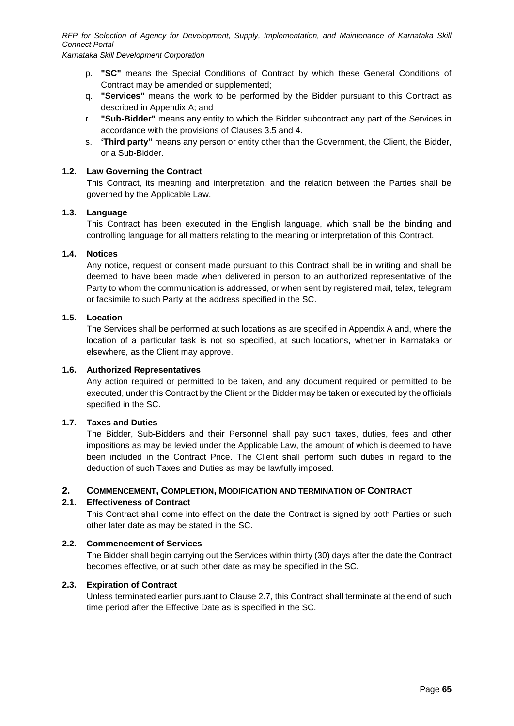- p. **"SC"** means the Special Conditions of Contract by which these General Conditions of Contract may be amended or supplemented;
- q. **"Services"** means the work to be performed by the Bidder pursuant to this Contract as described in Appendix A; and
- r. **"Sub-Bidder"** means any entity to which the Bidder subcontract any part of the Services in accordance with the provisions of Clauses 3.5 and 4.
- s. **'Third party"** means any person or entity other than the Government, the Client, the Bidder, or a Sub-Bidder.

#### <span id="page-64-0"></span>**1.2. Law Governing the Contract**

This Contract, its meaning and interpretation, and the relation between the Parties shall be governed by the Applicable Law.

#### <span id="page-64-1"></span>**1.3. Language**

This Contract has been executed in the English language, which shall be the binding and controlling language for all matters relating to the meaning or interpretation of this Contract.

#### <span id="page-64-2"></span>**1.4. Notices**

Any notice, request or consent made pursuant to this Contract shall be in writing and shall be deemed to have been made when delivered in person to an authorized representative of the Party to whom the communication is addressed, or when sent by registered mail, telex, telegram or facsimile to such Party at the address specified in the SC.

#### <span id="page-64-3"></span>**1.5. Location**

The Services shall be performed at such locations as are specified in Appendix A and, where the location of a particular task is not so specified, at such locations, whether in Karnataka or elsewhere, as the Client may approve.

#### <span id="page-64-4"></span>**1.6. Authorized Representatives**

Any action required or permitted to be taken, and any document required or permitted to be executed, under this Contract by the Client or the Bidder may be taken or executed by the officials specified in the SC.

#### <span id="page-64-5"></span>**1.7. Taxes and Duties**

The Bidder, Sub-Bidders and their Personnel shall pay such taxes, duties, fees and other impositions as may be levied under the Applicable Law, the amount of which is deemed to have been included in the Contract Price. The Client shall perform such duties in regard to the deduction of such Taxes and Duties as may be lawfully imposed.

#### <span id="page-64-6"></span>**2. COMMENCEMENT, COMPLETION, MODIFICATION AND TERMINATION OF CONTRACT**

#### <span id="page-64-7"></span>**2.1. Effectiveness of Contract**

This Contract shall come into effect on the date the Contract is signed by both Parties or such other later date as may be stated in the SC.

#### <span id="page-64-8"></span>**2.2. Commencement of Services**

The Bidder shall begin carrying out the Services within thirty (30) days after the date the Contract becomes effective, or at such other date as may be specified in the SC.

#### <span id="page-64-9"></span>**2.3. Expiration of Contract**

Unless terminated earlier pursuant to Clause 2.7, this Contract shall terminate at the end of such time period after the Effective Date as is specified in the SC.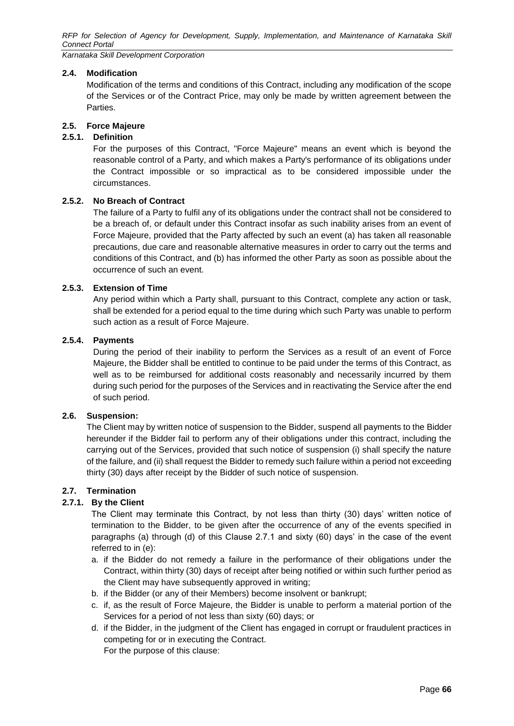*Karnataka Skill Development Corporation* 

#### <span id="page-65-0"></span>**2.4. Modification**

Modification of the terms and conditions of this Contract, including any modification of the scope of the Services or of the Contract Price, may only be made by written agreement between the Parties.

#### <span id="page-65-1"></span>**2.5. Force Majeure**

#### **2.5.1. Definition**

For the purposes of this Contract, "Force Majeure" means an event which is beyond the reasonable control of a Party, and which makes a Party's performance of its obligations under the Contract impossible or so impractical as to be considered impossible under the circumstances.

#### **2.5.2. No Breach of Contract**

The failure of a Party to fulfil any of its obligations under the contract shall not be considered to be a breach of, or default under this Contract insofar as such inability arises from an event of Force Majeure, provided that the Party affected by such an event (a) has taken all reasonable precautions, due care and reasonable alternative measures in order to carry out the terms and conditions of this Contract, and (b) has informed the other Party as soon as possible about the occurrence of such an event.

#### **2.5.3. Extension of Time**

Any period within which a Party shall, pursuant to this Contract, complete any action or task, shall be extended for a period equal to the time during which such Party was unable to perform such action as a result of Force Majeure.

#### **2.5.4. Payments**

During the period of their inability to perform the Services as a result of an event of Force Majeure, the Bidder shall be entitled to continue to be paid under the terms of this Contract, as well as to be reimbursed for additional costs reasonably and necessarily incurred by them during such period for the purposes of the Services and in reactivating the Service after the end of such period.

#### <span id="page-65-2"></span>**2.6. Suspension:**

The Client may by written notice of suspension to the Bidder, suspend all payments to the Bidder hereunder if the Bidder fail to perform any of their obligations under this contract, including the carrying out of the Services, provided that such notice of suspension (i) shall specify the nature of the failure, and (ii) shall request the Bidder to remedy such failure within a period not exceeding thirty (30) days after receipt by the Bidder of such notice of suspension.

#### <span id="page-65-3"></span>**2.7. Termination**

#### **2.7.1. By the Client**

The Client may terminate this Contract, by not less than thirty (30) days' written notice of termination to the Bidder, to be given after the occurrence of any of the events specified in paragraphs (a) through (d) of this Clause 2.7.1 and sixty (60) days' in the case of the event referred to in (e):

- a. if the Bidder do not remedy a failure in the performance of their obligations under the Contract, within thirty (30) days of receipt after being notified or within such further period as the Client may have subsequently approved in writing;
- b. if the Bidder (or any of their Members) become insolvent or bankrupt;
- c. if, as the result of Force Majeure, the Bidder is unable to perform a material portion of the Services for a period of not less than sixty (60) days; or
- d. if the Bidder, in the judgment of the Client has engaged in corrupt or fraudulent practices in competing for or in executing the Contract. For the purpose of this clause: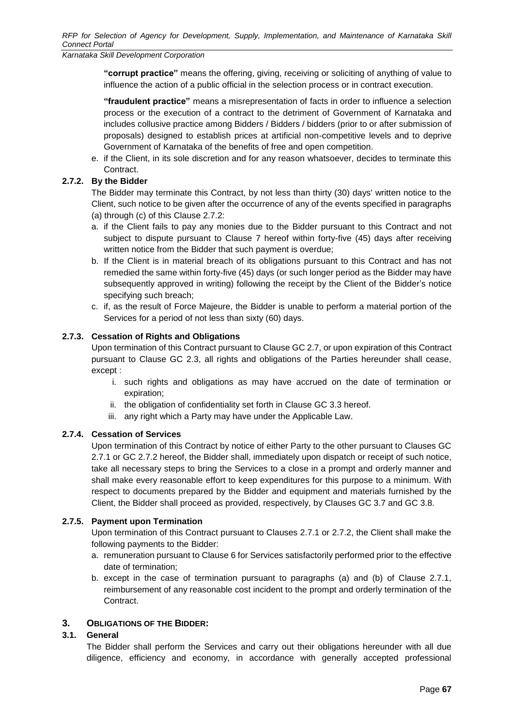**"corrupt practice"** means the offering, giving, receiving or soliciting of anything of value to influence the action of a public official in the selection process or in contract execution.

**"fraudulent practice"** means a misrepresentation of facts in order to influence a selection process or the execution of a contract to the detriment of Government of Karnataka and includes collusive practice among Bidders / Bidders / bidders (prior to or after submission of proposals) designed to establish prices at artificial non-competitive levels and to deprive Government of Karnataka of the benefits of free and open competition.

e. if the Client, in its sole discretion and for any reason whatsoever, decides to terminate this Contract.

#### **2.7.2. By the Bidder**

The Bidder may terminate this Contract, by not less than thirty (30) days' written notice to the Client, such notice to be given after the occurrence of any of the events specified in paragraphs (a) through (c) of this Clause 2.7.2:

- a. if the Client fails to pay any monies due to the Bidder pursuant to this Contract and not subject to dispute pursuant to Clause 7 hereof within forty-five (45) days after receiving written notice from the Bidder that such payment is overdue;
- b. If the Client is in material breach of its obligations pursuant to this Contract and has not remedied the same within forty-five (45) days (or such longer period as the Bidder may have subsequently approved in writing) following the receipt by the Client of the Bidder's notice specifying such breach;
- c. if, as the result of Force Majeure, the Bidder is unable to perform a material portion of the Services for a period of not less than sixty (60) days.

#### **2.7.3. Cessation of Rights and Obligations**

Upon termination of this Contract pursuant to Clause GC 2.7, or upon expiration of this Contract pursuant to Clause GC 2.3, all rights and obligations of the Parties hereunder shall cease, except :

- i. such rights and obligations as may have accrued on the date of termination or expiration;
- ii. the obligation of confidentiality set forth in Clause GC 3.3 hereof.
- iii. any right which a Party may have under the Applicable Law.

#### **2.7.4. Cessation of Services**

Upon termination of this Contract by notice of either Party to the other pursuant to Clauses GC 2.7.1 or GC 2.7.2 hereof, the Bidder shall, immediately upon dispatch or receipt of such notice, take all necessary steps to bring the Services to a close in a prompt and orderly manner and shall make every reasonable effort to keep expenditures for this purpose to a minimum. With respect to documents prepared by the Bidder and equipment and materials furnished by the Client, the Bidder shall proceed as provided, respectively, by Clauses GC 3.7 and GC 3.8.

#### **2.7.5. Payment upon Termination**

Upon termination of this Contract pursuant to Clauses 2.7.1 or 2.7.2, the Client shall make the following payments to the Bidder:

- a. remuneration pursuant to Clause 6 for Services satisfactorily performed prior to the effective date of termination;
- b. except in the case of termination pursuant to paragraphs (a) and (b) of Clause 2.7.1, reimbursement of any reasonable cost incident to the prompt and orderly termination of the **Contract.**

#### <span id="page-66-0"></span>**3. OBLIGATIONS OF THE BIDDER:**

#### <span id="page-66-1"></span>**3.1. General**

The Bidder shall perform the Services and carry out their obligations hereunder with all due diligence, efficiency and economy, in accordance with generally accepted professional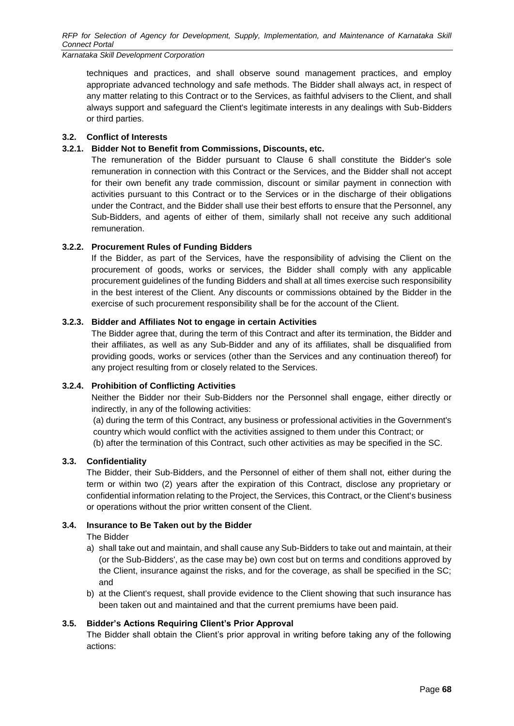techniques and practices, and shall observe sound management practices, and employ appropriate advanced technology and safe methods. The Bidder shall always act, in respect of any matter relating to this Contract or to the Services, as faithful advisers to the Client, and shall always support and safeguard the Client's legitimate interests in any dealings with Sub-Bidders or third parties.

#### <span id="page-67-0"></span>**3.2. Conflict of Interests**

#### **3.2.1. Bidder Not to Benefit from Commissions, Discounts, etc.**

The remuneration of the Bidder pursuant to Clause 6 shall constitute the Bidder's sole remuneration in connection with this Contract or the Services, and the Bidder shall not accept for their own benefit any trade commission, discount or similar payment in connection with activities pursuant to this Contract or to the Services or in the discharge of their obligations under the Contract, and the Bidder shall use their best efforts to ensure that the Personnel, any Sub-Bidders, and agents of either of them, similarly shall not receive any such additional remuneration.

#### **3.2.2. Procurement Rules of Funding Bidders**

If the Bidder, as part of the Services, have the responsibility of advising the Client on the procurement of goods, works or services, the Bidder shall comply with any applicable procurement guidelines of the funding Bidders and shall at all times exercise such responsibility in the best interest of the Client. Any discounts or commissions obtained by the Bidder in the exercise of such procurement responsibility shall be for the account of the Client.

#### **3.2.3. Bidder and Affiliates Not to engage in certain Activities**

The Bidder agree that, during the term of this Contract and after its termination, the Bidder and their affiliates, as well as any Sub-Bidder and any of its affiliates, shall be disqualified from providing goods, works or services (other than the Services and any continuation thereof) for any project resulting from or closely related to the Services.

#### **3.2.4. Prohibition of Conflicting Activities**

Neither the Bidder nor their Sub-Bidders nor the Personnel shall engage, either directly or indirectly, in any of the following activities:

(a) during the term of this Contract, any business or professional activities in the Government's country which would conflict with the activities assigned to them under this Contract; or (b) after the termination of this Contract, such other activities as may be specified in the SC.

#### <span id="page-67-1"></span>**3.3. Confidentiality**

The Bidder, their Sub-Bidders, and the Personnel of either of them shall not, either during the term or within two (2) years after the expiration of this Contract, disclose any proprietary or confidential information relating to the Project, the Services, this Contract, or the Client's business or operations without the prior written consent of the Client.

#### <span id="page-67-2"></span>**3.4. Insurance to Be Taken out by the Bidder**

The Bidder

- a) shall take out and maintain, and shall cause any Sub-Bidders to take out and maintain, at their (or the Sub-Bidders', as the case may be) own cost but on terms and conditions approved by the Client, insurance against the risks, and for the coverage, as shall be specified in the SC; and
- b) at the Client's request, shall provide evidence to the Client showing that such insurance has been taken out and maintained and that the current premiums have been paid.

#### <span id="page-67-3"></span>**3.5. Bidder's Actions Requiring Client's Prior Approval**

The Bidder shall obtain the Client's prior approval in writing before taking any of the following actions: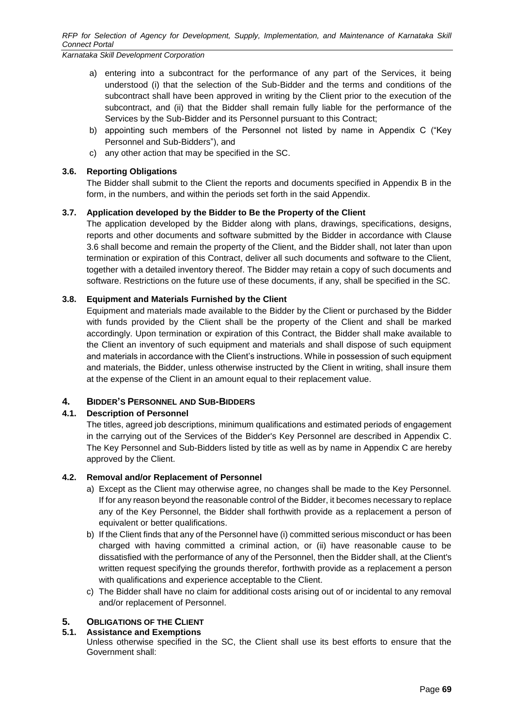- a) entering into a subcontract for the performance of any part of the Services, it being understood (i) that the selection of the Sub-Bidder and the terms and conditions of the subcontract shall have been approved in writing by the Client prior to the execution of the subcontract, and (ii) that the Bidder shall remain fully liable for the performance of the Services by the Sub-Bidder and its Personnel pursuant to this Contract;
- b) appointing such members of the Personnel not listed by name in Appendix C ("Key Personnel and Sub-Bidders"), and
- c) any other action that may be specified in the SC.

#### <span id="page-68-0"></span>**3.6. Reporting Obligations**

The Bidder shall submit to the Client the reports and documents specified in Appendix B in the form, in the numbers, and within the periods set forth in the said Appendix.

#### <span id="page-68-1"></span>**3.7. Application developed by the Bidder to Be the Property of the Client**

The application developed by the Bidder along with plans, drawings, specifications, designs, reports and other documents and software submitted by the Bidder in accordance with Clause 3.6 shall become and remain the property of the Client, and the Bidder shall, not later than upon termination or expiration of this Contract, deliver all such documents and software to the Client, together with a detailed inventory thereof. The Bidder may retain a copy of such documents and software. Restrictions on the future use of these documents, if any, shall be specified in the SC.

#### <span id="page-68-2"></span>**3.8. Equipment and Materials Furnished by the Client**

Equipment and materials made available to the Bidder by the Client or purchased by the Bidder with funds provided by the Client shall be the property of the Client and shall be marked accordingly. Upon termination or expiration of this Contract, the Bidder shall make available to the Client an inventory of such equipment and materials and shall dispose of such equipment and materials in accordance with the Client's instructions. While in possession of such equipment and materials, the Bidder, unless otherwise instructed by the Client in writing, shall insure them at the expense of the Client in an amount equal to their replacement value.

#### <span id="page-68-3"></span>**4. BIDDER'S PERSONNEL AND SUB-BIDDERS**

#### <span id="page-68-4"></span>**4.1. Description of Personnel**

The titles, agreed job descriptions, minimum qualifications and estimated periods of engagement in the carrying out of the Services of the Bidder's Key Personnel are described in Appendix C. The Key Personnel and Sub-Bidders listed by title as well as by name in Appendix C are hereby approved by the Client.

#### <span id="page-68-5"></span>**4.2. Removal and/or Replacement of Personnel**

- a) Except as the Client may otherwise agree, no changes shall be made to the Key Personnel. If for any reason beyond the reasonable control of the Bidder, it becomes necessary to replace any of the Key Personnel, the Bidder shall forthwith provide as a replacement a person of equivalent or better qualifications.
- b) If the Client finds that any of the Personnel have (i) committed serious misconduct or has been charged with having committed a criminal action, or (ii) have reasonable cause to be dissatisfied with the performance of any of the Personnel, then the Bidder shall, at the Client's written request specifying the grounds therefor, forthwith provide as a replacement a person with qualifications and experience acceptable to the Client.
- c) The Bidder shall have no claim for additional costs arising out of or incidental to any removal and/or replacement of Personnel.

#### <span id="page-68-6"></span>**5. OBLIGATIONS OF THE CLIENT**

#### <span id="page-68-7"></span>**5.1. Assistance and Exemptions**

Unless otherwise specified in the SC, the Client shall use its best efforts to ensure that the Government shall: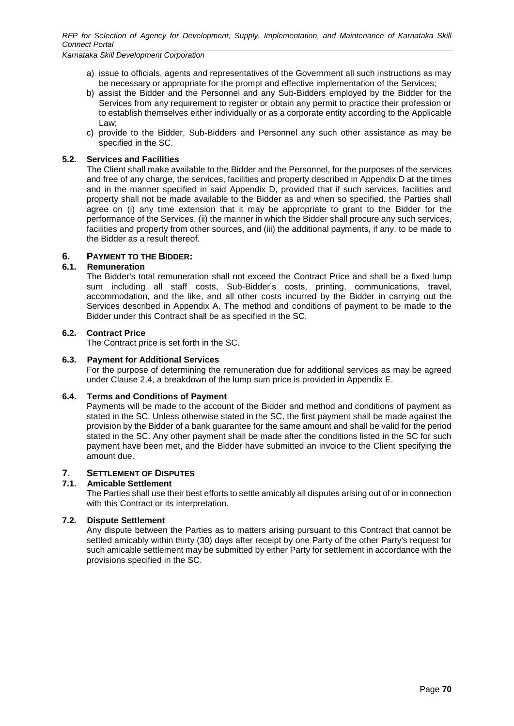- a) issue to officials, agents and representatives of the Government all such instructions as may be necessary or appropriate for the prompt and effective implementation of the Services;
- b) assist the Bidder and the Personnel and any Sub-Bidders employed by the Bidder for the Services from any requirement to register or obtain any permit to practice their profession or to establish themselves either individually or as a corporate entity according to the Applicable Law;
- c) provide to the Bidder, Sub-Bidders and Personnel any such other assistance as may be specified in the SC.

#### <span id="page-69-0"></span>**5.2. Services and Facilities**

The Client shall make available to the Bidder and the Personnel, for the purposes of the services and free of any charge, the services, facilities and property described in Appendix D at the times and in the manner specified in said Appendix D, provided that if such services, facilities and property shall not be made available to the Bidder as and when so specified, the Parties shall agree on (i) any time extension that it may be appropriate to grant to the Bidder for the performance of the Services, (ii) the manner in which the Bidder shall procure any such services, facilities and property from other sources, and (iii) the additional payments, if any, to be made to the Bidder as a result thereof.

## <span id="page-69-1"></span>**6. PAYMENT TO THE BIDDER:**<br>**6.1.** Remuneration

#### <span id="page-69-2"></span>**6.1. Remuneration**

The Bidder's total remuneration shall not exceed the Contract Price and shall be a fixed lump sum including all staff costs, Sub-Bidder's costs, printing, communications, travel, accommodation, and the like, and all other costs incurred by the Bidder in carrying out the Services described in Appendix A. The method and conditions of payment to be made to the Bidder under this Contract shall be as specified in the SC.

#### <span id="page-69-3"></span>**6.2. Contract Price**

The Contract price is set forth in the SC.

#### <span id="page-69-4"></span>**6.3. Payment for Additional Services**

For the purpose of determining the remuneration due for additional services as may be agreed under Clause 2.4, a breakdown of the lump sum price is provided in Appendix E.

#### <span id="page-69-5"></span>**6.4. Terms and Conditions of Payment**

Payments will be made to the account of the Bidder and method and conditions of payment as stated in the SC. Unless otherwise stated in the SC, the first payment shall be made against the provision by the Bidder of a bank guarantee for the same amount and shall be valid for the period stated in the SC. Any other payment shall be made after the conditions listed in the SC for such payment have been met, and the Bidder have submitted an invoice to the Client specifying the amount due.

# <span id="page-69-6"></span>**7. SETTLEMENT OF DISPUTES**<br>**7.1.** Amicable Settlement

#### <span id="page-69-7"></span>**7.1. Amicable Settlement**

The Parties shall use their best efforts to settle amicably all disputes arising out of or in connection with this Contract or its interpretation.

#### <span id="page-69-8"></span>**7.2. Dispute Settlement**

Any dispute between the Parties as to matters arising pursuant to this Contract that cannot be settled amicably within thirty (30) days after receipt by one Party of the other Party's request for such amicable settlement may be submitted by either Party for settlement in accordance with the provisions specified in the SC.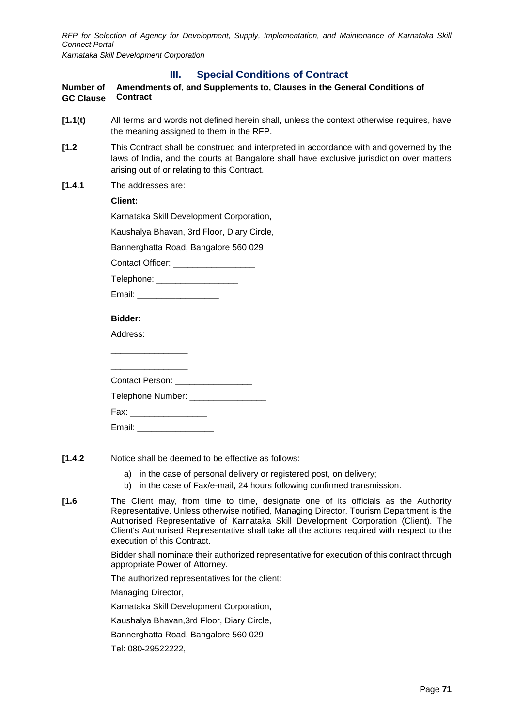*Karnataka Skill Development Corporation* 

#### **III. Special Conditions of Contract**

#### <span id="page-70-0"></span>**Number of GC Clause Amendments of, and Supplements to, Clauses in the General Conditions of Contract**

- **[1.1(t)** All terms and words not defined herein shall, unless the context otherwise requires, have the meaning assigned to them in the RFP.
- **[1.2** This Contract shall be construed and interpreted in accordance with and governed by the laws of India, and the courts at Bangalore shall have exclusive jurisdiction over matters arising out of or relating to this Contract.
- **[1.4.1** The addresses are:

#### **Client:**

Karnataka Skill Development Corporation,

Kaushalya Bhavan, 3rd Floor, Diary Circle,

Bannerghatta Road, Bangalore 560 029

Contact Officer: \_\_\_\_\_\_

Telephone:

Email: **Email:**  $\blacksquare$ 

#### **Bidder:**

Address:

Contact Person: \_\_\_\_\_\_\_\_\_\_\_\_\_\_\_\_\_\_

Telephone Number:

Fax: \_\_\_\_\_\_\_\_\_\_\_\_\_\_\_\_

\_\_\_\_\_\_\_\_\_\_\_\_\_\_\_\_ \_\_\_\_\_\_\_\_\_\_\_\_\_\_\_\_

Email: \_\_\_\_\_\_\_\_\_\_\_\_\_\_\_\_

- **[1.4.2** Notice shall be deemed to be effective as follows:
	- a) in the case of personal delivery or registered post, on delivery;
	- b) in the case of Fax/e-mail, 24 hours following confirmed transmission.
- **[1.6** The Client may, from time to time, designate one of its officials as the Authority Representative. Unless otherwise notified, Managing Director, Tourism Department is the Authorised Representative of Karnataka Skill Development Corporation (Client). The Client's Authorised Representative shall take all the actions required with respect to the execution of this Contract.

Bidder shall nominate their authorized representative for execution of this contract through appropriate Power of Attorney.

The authorized representatives for the client:

Managing Director,

Karnataka Skill Development Corporation,

Kaushalya Bhavan,3rd Floor, Diary Circle,

Bannerghatta Road, Bangalore 560 029

Tel: 080-29522222,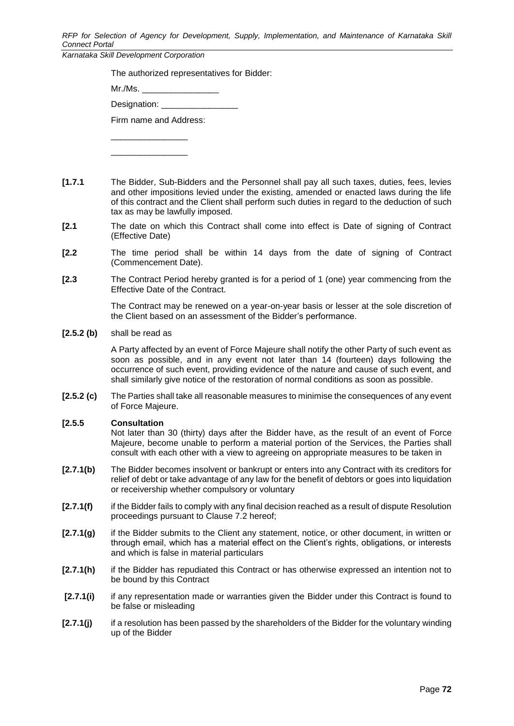*Karnataka Skill Development Corporation* 

The authorized representatives for Bidder:

 $Mr.Ms.$ 

Designation:

Firm name and Address:

\_\_\_\_\_\_\_\_\_\_\_\_\_\_\_\_ \_\_\_\_\_\_\_\_\_\_\_\_\_\_\_\_

- **[1.7.1** The Bidder, Sub-Bidders and the Personnel shall pay all such taxes, duties, fees, levies and other impositions levied under the existing, amended or enacted laws during the life of this contract and the Client shall perform such duties in regard to the deduction of such tax as may be lawfully imposed.
- **[2.1** The date on which this Contract shall come into effect is Date of signing of Contract (Effective Date)
- **[2.2** The time period shall be within 14 days from the date of signing of Contract (Commencement Date).
- **[2.3** The Contract Period hereby granted is for a period of 1 (one) year commencing from the Effective Date of the Contract.

The Contract may be renewed on a year-on-year basis or lesser at the sole discretion of the Client based on an assessment of the Bidder's performance.

**[2.5.2 (b)** shall be read as

A Party affected by an event of Force Majeure shall notify the other Party of such event as soon as possible, and in any event not later than 14 (fourteen) days following the occurrence of such event, providing evidence of the nature and cause of such event, and shall similarly give notice of the restoration of normal conditions as soon as possible.

**[2.5.2 (c)** The Parties shall take all reasonable measures to minimise the consequences of any event of Force Majeure.

#### **[2.5.5 Consultation**

Not later than 30 (thirty) days after the Bidder have, as the result of an event of Force Majeure, become unable to perform a material portion of the Services, the Parties shall consult with each other with a view to agreeing on appropriate measures to be taken in

- **[2.7.1(b)** The Bidder becomes insolvent or bankrupt or enters into any Contract with its creditors for relief of debt or take advantage of any law for the benefit of debtors or goes into liquidation or receivership whether compulsory or voluntary
- **[2.7.1(f)** if the Bidder fails to comply with any final decision reached as a result of dispute Resolution proceedings pursuant to Clause 7.2 hereof;
- **[2.7.1(g)** if the Bidder submits to the Client any statement, notice, or other document, in written or through email, which has a material effect on the Client's rights, obligations, or interests and which is false in material particulars
- **[2.7.1(h)** if the Bidder has repudiated this Contract or has otherwise expressed an intention not to be bound by this Contract
- **[2.7.1(i)** if any representation made or warranties given the Bidder under this Contract is found to be false or misleading
- **[2.7.1(j)** if a resolution has been passed by the shareholders of the Bidder for the voluntary winding up of the Bidder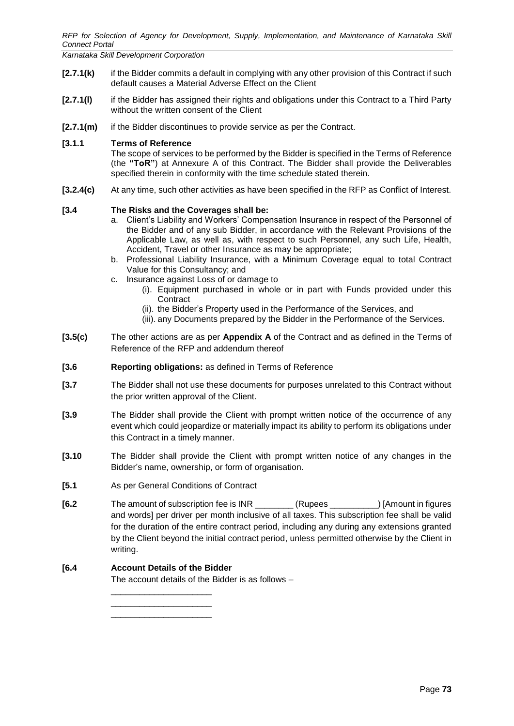- **[2.7.1(k)** if the Bidder commits a default in complying with any other provision of this Contract if such default causes a Material Adverse Effect on the Client
- **[2.7.1(l)** if the Bidder has assigned their rights and obligations under this Contract to a Third Party without the written consent of the Client
- **[2.7.1(m)** if the Bidder discontinues to provide service as per the Contract.

#### **[3.1.1 Terms of Reference**

The scope of services to be performed by the Bidder is specified in the Terms of Reference (the **"ToR"**) at Annexure A of this Contract. The Bidder shall provide the Deliverables specified therein in conformity with the time schedule stated therein.

**[3.2.4(c)** At any time, such other activities as have been specified in the RFP as Conflict of Interest.

#### **[3.4 The Risks and the Coverages shall be:**

- a. Client's Liability and Workers' Compensation Insurance in respect of the Personnel of the Bidder and of any sub Bidder, in accordance with the Relevant Provisions of the Applicable Law, as well as, with respect to such Personnel, any such Life, Health, Accident, Travel or other Insurance as may be appropriate;
- b. Professional Liability Insurance, with a Minimum Coverage equal to total Contract Value for this Consultancy; and
- c. Insurance against Loss of or damage to
	- (i). Equipment purchased in whole or in part with Funds provided under this **Contract**
	- (ii). the Bidder's Property used in the Performance of the Services, and
	- (iii). any Documents prepared by the Bidder in the Performance of the Services.
- **[3.5(c)** The other actions are as per **Appendix A** of the Contract and as defined in the Terms of Reference of the RFP and addendum thereof
- **[3.6 Reporting obligations:** as defined in Terms of Reference
- **[3.7** The Bidder shall not use these documents for purposes unrelated to this Contract without the prior written approval of the Client.
- **[3.9** The Bidder shall provide the Client with prompt written notice of the occurrence of any event which could jeopardize or materially impact its ability to perform its obligations under this Contract in a timely manner.
- **[3.10** The Bidder shall provide the Client with prompt written notice of any changes in the Bidder's name, ownership, or form of organisation.
- **[5.1** As per General Conditions of Contract
- **[6.2** The amount of subscription fee is INR \_\_\_\_\_\_\_\_ (Rupees \_\_\_\_\_\_\_\_\_\_) [Amount in figures and words] per driver per month inclusive of all taxes. This subscription fee shall be valid for the duration of the entire contract period, including any during any extensions granted by the Client beyond the initial contract period, unless permitted otherwise by the Client in writing.

### **[6.4 Account Details of the Bidder**

\_\_\_\_\_\_\_\_\_\_\_\_\_\_\_\_\_\_\_\_\_ \_\_\_\_\_\_\_\_\_\_\_\_\_\_\_\_\_\_\_\_\_ \_\_\_\_\_\_\_\_\_\_\_\_\_\_\_\_\_\_\_\_\_

The account details of the Bidder is as follows –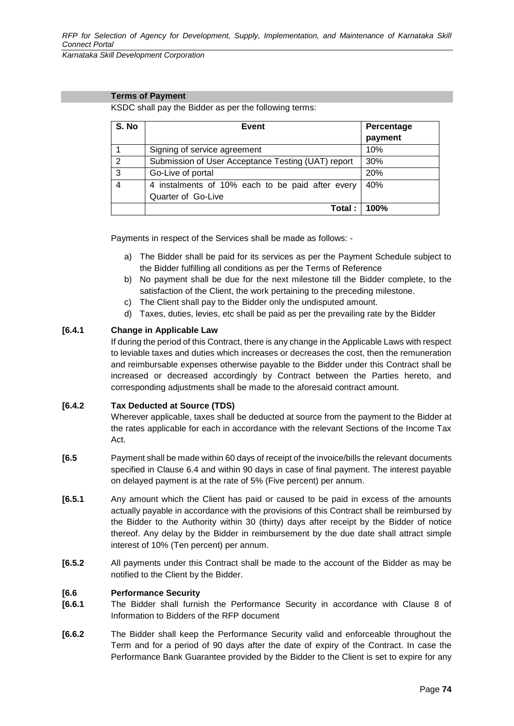#### **Terms of Payment**

KSDC shall pay the Bidder as per the following terms:

| S. No | Event                                              | Percentage |
|-------|----------------------------------------------------|------------|
|       |                                                    | payment    |
|       | Signing of service agreement                       | 10%        |
| 2     | Submission of User Acceptance Testing (UAT) report | 30%        |
| 3     | Go-Live of portal                                  | 20%        |
|       | 4 instalments of 10% each to be paid after every   | 40%        |
|       | Quarter of Go-Live                                 |            |
|       | Total :                                            | 100%       |

Payments in respect of the Services shall be made as follows: -

- a) The Bidder shall be paid for its services as per the Payment Schedule subject to the Bidder fulfilling all conditions as per the Terms of Reference
- b) No payment shall be due for the next milestone till the Bidder complete, to the satisfaction of the Client, the work pertaining to the preceding milestone.
- c) The Client shall pay to the Bidder only the undisputed amount.
- d) Taxes, duties, levies, etc shall be paid as per the prevailing rate by the Bidder

### **[6.4.1 Change in Applicable Law**

If during the period of this Contract, there is any change in the Applicable Laws with respect to leviable taxes and duties which increases or decreases the cost, then the remuneration and reimbursable expenses otherwise payable to the Bidder under this Contract shall be increased or decreased accordingly by Contract between the Parties hereto, and corresponding adjustments shall be made to the aforesaid contract amount.

#### **[6.4.2 Tax Deducted at Source (TDS)**

Wherever applicable, taxes shall be deducted at source from the payment to the Bidder at the rates applicable for each in accordance with the relevant Sections of the Income Tax Act.

- **[6.5** Payment shall be made within 60 days of receipt of the invoice/bills the relevant documents specified in Clause 6.4 and within 90 days in case of final payment. The interest payable on delayed payment is at the rate of 5% (Five percent) per annum.
- **[6.5.1** Any amount which the Client has paid or caused to be paid in excess of the amounts actually payable in accordance with the provisions of this Contract shall be reimbursed by the Bidder to the Authority within 30 (thirty) days after receipt by the Bidder of notice thereof. Any delay by the Bidder in reimbursement by the due date shall attract simple interest of 10% (Ten percent) per annum.
- **[6.5.2** All payments under this Contract shall be made to the account of the Bidder as may be notified to the Client by the Bidder.

#### **[6.6 Performance Security**

- **[6.6.1** The Bidder shall furnish the Performance Security in accordance with Clause 8 of Information to Bidders of the RFP document
- **[6.6.2** The Bidder shall keep the Performance Security valid and enforceable throughout the Term and for a period of 90 days after the date of expiry of the Contract. In case the Performance Bank Guarantee provided by the Bidder to the Client is set to expire for any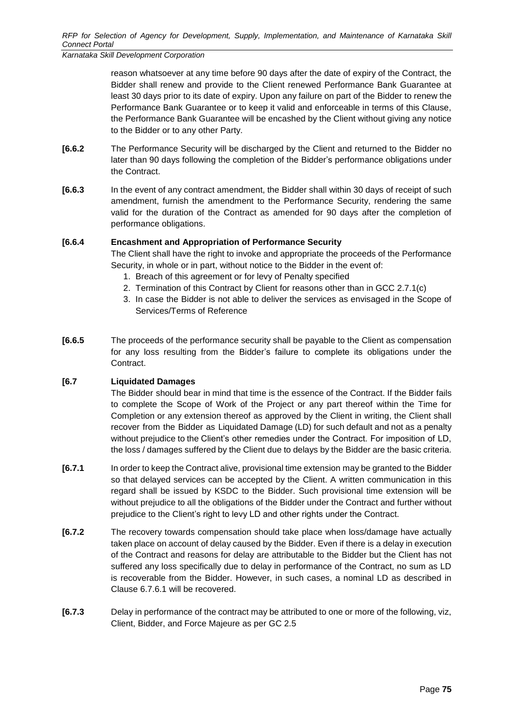reason whatsoever at any time before 90 days after the date of expiry of the Contract, the Bidder shall renew and provide to the Client renewed Performance Bank Guarantee at least 30 days prior to its date of expiry. Upon any failure on part of the Bidder to renew the Performance Bank Guarantee or to keep it valid and enforceable in terms of this Clause, the Performance Bank Guarantee will be encashed by the Client without giving any notice to the Bidder or to any other Party.

- **[6.6.2** The Performance Security will be discharged by the Client and returned to the Bidder no later than 90 days following the completion of the Bidder's performance obligations under the Contract.
- **[6.6.3** In the event of any contract amendment, the Bidder shall within 30 days of receipt of such amendment, furnish the amendment to the Performance Security, rendering the same valid for the duration of the Contract as amended for 90 days after the completion of performance obligations.

#### **[6.6.4 Encashment and Appropriation of Performance Security**

The Client shall have the right to invoke and appropriate the proceeds of the Performance Security, in whole or in part, without notice to the Bidder in the event of:

- 1. Breach of this agreement or for levy of Penalty specified
- 2. Termination of this Contract by Client for reasons other than in GCC 2.7.1(c)
- 3. In case the Bidder is not able to deliver the services as envisaged in the Scope of Services/Terms of Reference
- **[6.6.5** The proceeds of the performance security shall be payable to the Client as compensation for any loss resulting from the Bidder's failure to complete its obligations under the Contract.

#### **[6.7 Liquidated Damages**

The Bidder should bear in mind that time is the essence of the Contract. If the Bidder fails to complete the Scope of Work of the Project or any part thereof within the Time for Completion or any extension thereof as approved by the Client in writing, the Client shall recover from the Bidder as Liquidated Damage (LD) for such default and not as a penalty without prejudice to the Client's other remedies under the Contract. For imposition of LD, the loss / damages suffered by the Client due to delays by the Bidder are the basic criteria.

- **[6.7.1** In order to keep the Contract alive, provisional time extension may be granted to the Bidder so that delayed services can be accepted by the Client. A written communication in this regard shall be issued by KSDC to the Bidder. Such provisional time extension will be without prejudice to all the obligations of the Bidder under the Contract and further without prejudice to the Client's right to levy LD and other rights under the Contract.
- **[6.7.2** The recovery towards compensation should take place when loss/damage have actually taken place on account of delay caused by the Bidder. Even if there is a delay in execution of the Contract and reasons for delay are attributable to the Bidder but the Client has not suffered any loss specifically due to delay in performance of the Contract, no sum as LD is recoverable from the Bidder. However, in such cases, a nominal LD as described in Clause 6.7.6.1 will be recovered.
- **[6.7.3** Delay in performance of the contract may be attributed to one or more of the following, viz, Client, Bidder, and Force Majeure as per GC 2.5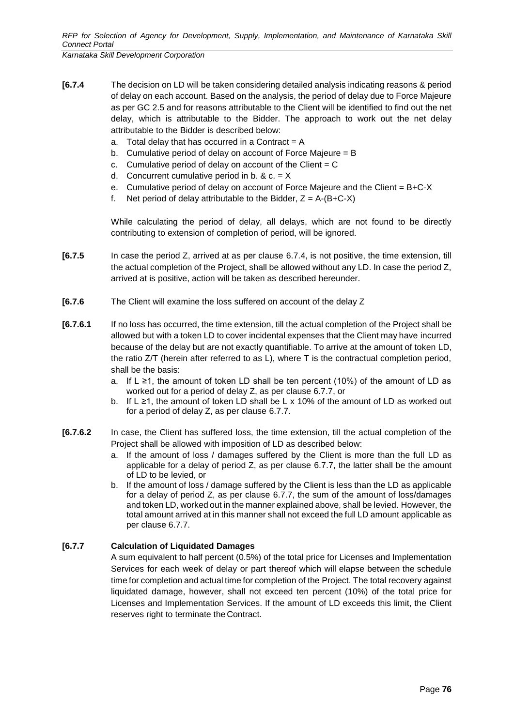*Karnataka Skill Development Corporation* 

- **[6.7.4** The decision on LD will be taken considering detailed analysis indicating reasons & period of delay on each account. Based on the analysis, the period of delay due to Force Majeure as per GC 2.5 and for reasons attributable to the Client will be identified to find out the net delay, which is attributable to the Bidder. The approach to work out the net delay attributable to the Bidder is described below:
	- a. Total delay that has occurred in a Contract  $= A$
	- b. Cumulative period of delay on account of Force Majeure = B
	- c. Cumulative period of delay on account of the Client =  $C$
	- d. Concurrent cumulative period in b. &  $c = X$
	- e. Cumulative period of delay on account of Force Majeure and the Client  $= B + C X$
	- f. Net period of delay attributable to the Bidder,  $Z = A (B + C X)$

While calculating the period of delay, all delays, which are not found to be directly contributing to extension of completion of period, will be ignored.

- **[6.7.5** In case the period Z, arrived at as per clause 6.7.4, is not positive, the time extension, till the actual completion of the Project, shall be allowed without any LD. In case the period Z, arrived at is positive, action will be taken as described hereunder.
- **[6.7.6** The Client will examine the loss suffered on account of the delay Z
- **[6.7.6.1** If no loss has occurred, the time extension, till the actual completion of the Project shall be allowed but with a token LD to cover incidental expenses that the Client may have incurred because of the delay but are not exactly quantifiable. To arrive at the amount of token LD, the ratio Z/T (herein after referred to as L), where T is the contractual completion period, shall be the basis:
	- a. If  $L \ge 1$ , the amount of token LD shall be ten percent (10%) of the amount of LD as worked out for a period of delay Z, as per clause 6.7.7, or
	- b. If  $L \ge 1$ , the amount of token LD shall be L x 10% of the amount of LD as worked out for a period of delay Z, as per clause 6.7.7.
- **[6.7.6.2** In case, the Client has suffered loss, the time extension, till the actual completion of the Project shall be allowed with imposition of LD as described below:
	- a. If the amount of loss / damages suffered by the Client is more than the full LD as applicable for a delay of period Z, as per clause 6.7.7, the latter shall be the amount of LD to be levied, or
	- b. If the amount of loss / damage suffered by the Client is less than the LD as applicable for a delay of period Z, as per clause 6.7.7, the sum of the amount of loss/damages and token LD, worked out in the manner explained above, shall be levied. However, the total amount arrived at in this manner shall not exceed the full LD amount applicable as per clause 6.7.7.

#### **[6.7.7 Calculation of Liquidated Damages**

A sum equivalent to half percent (0.5%) of the total price for Licenses and Implementation Services for each week of delay or part thereof which will elapse between the schedule time for completion and actual time for completion of the Project. The total recovery against liquidated damage, however, shall not exceed ten percent (10%) of the total price for Licenses and Implementation Services. If the amount of LD exceeds this limit, the Client reserves right to terminate the Contract.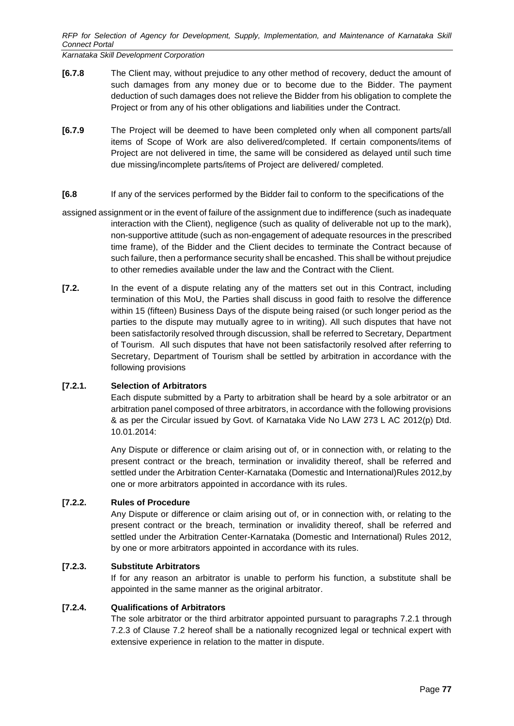- **[6.7.8** The Client may, without prejudice to any other method of recovery, deduct the amount of such damages from any money due or to become due to the Bidder. The payment deduction of such damages does not relieve the Bidder from his obligation to complete the Project or from any of his other obligations and liabilities under the Contract.
- **[6.7.9** The Project will be deemed to have been completed only when all component parts/all items of Scope of Work are also delivered/completed. If certain components/items of Project are not delivered in time, the same will be considered as delayed until such time due missing/incomplete parts/items of Project are delivered/ completed.
- **[6.8** If any of the services performed by the Bidder fail to conform to the specifications of the
- assigned assignment or in the event of failure of the assignment due to indifference (such as inadequate interaction with the Client), negligence (such as quality of deliverable not up to the mark), non-supportive attitude (such as non-engagement of adequate resources in the prescribed time frame), of the Bidder and the Client decides to terminate the Contract because of such failure, then a performance security shall be encashed. This shall be without prejudice to other remedies available under the law and the Contract with the Client.
- **[7.2.** In the event of a dispute relating any of the matters set out in this Contract, including termination of this MoU, the Parties shall discuss in good faith to resolve the difference within 15 (fifteen) Business Days of the dispute being raised (or such longer period as the parties to the dispute may mutually agree to in writing). All such disputes that have not been satisfactorily resolved through discussion, shall be referred to Secretary, Department of Tourism. All such disputes that have not been satisfactorily resolved after referring to Secretary, Department of Tourism shall be settled by arbitration in accordance with the following provisions

### **[7.2.1. Selection of Arbitrators**

Each dispute submitted by a Party to arbitration shall be heard by a sole arbitrator or an arbitration panel composed of three arbitrators, in accordance with the following provisions & as per the Circular issued by Govt. of Karnataka Vide No LAW 273 L AC 2012(p) Dtd. 10.01.2014:

Any Dispute or difference or claim arising out of, or in connection with, or relating to the present contract or the breach, termination or invalidity thereof, shall be referred and settled under the Arbitration Center-Karnataka (Domestic and International)Rules 2012,by one or more arbitrators appointed in accordance with its rules.

### **[7.2.2. Rules of Procedure**

Any Dispute or difference or claim arising out of, or in connection with, or relating to the present contract or the breach, termination or invalidity thereof, shall be referred and settled under the Arbitration Center-Karnataka (Domestic and International) Rules 2012, by one or more arbitrators appointed in accordance with its rules.

#### **[7.2.3. Substitute Arbitrators**

If for any reason an arbitrator is unable to perform his function, a substitute shall be appointed in the same manner as the original arbitrator.

### **[7.2.4. Qualifications of Arbitrators**

The sole arbitrator or the third arbitrator appointed pursuant to paragraphs 7.2.1 through 7.2.3 of Clause 7.2 hereof shall be a nationally recognized legal or technical expert with extensive experience in relation to the matter in dispute.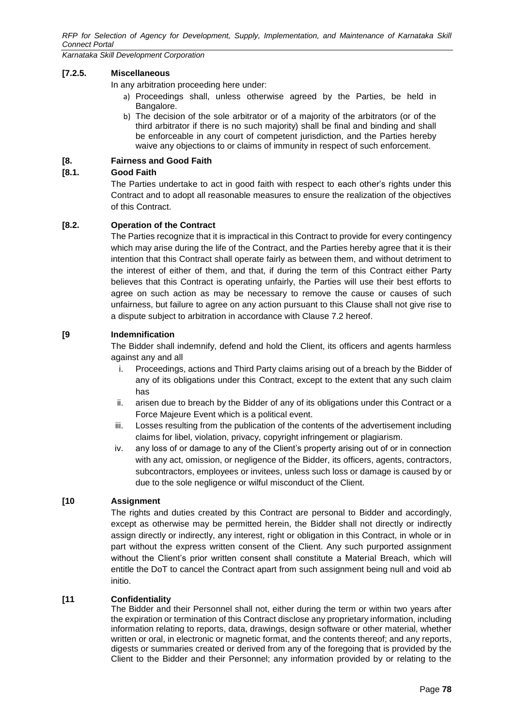### **[7.2.5. Miscellaneous**

In any arbitration proceeding here under:

- a) Proceedings shall, unless otherwise agreed by the Parties, be held in Bangalore.
- b) The decision of the sole arbitrator or of a majority of the arbitrators (or of the third arbitrator if there is no such majority) shall be final and binding and shall be enforceable in any court of competent jurisdiction, and the Parties hereby waive any objections to or claims of immunity in respect of such enforcement.

### **[8. Fairness and Good Faith**

### **[8.1. Good Faith**

The Parties undertake to act in good faith with respect to each other's rights under this Contract and to adopt all reasonable measures to ensure the realization of the objectives of this Contract.

### **[8.2. Operation of the Contract**

The Parties recognize that it is impractical in this Contract to provide for every contingency which may arise during the life of the Contract, and the Parties hereby agree that it is their intention that this Contract shall operate fairly as between them, and without detriment to the interest of either of them, and that, if during the term of this Contract either Party believes that this Contract is operating unfairly, the Parties will use their best efforts to agree on such action as may be necessary to remove the cause or causes of such unfairness, but failure to agree on any action pursuant to this Clause shall not give rise to a dispute subject to arbitration in accordance with Clause 7.2 hereof.

### **[9 Indemnification**

The Bidder shall indemnify, defend and hold the Client, its officers and agents harmless against any and all

- i. Proceedings, actions and Third Party claims arising out of a breach by the Bidder of any of its obligations under this Contract, except to the extent that any such claim has
- ii. arisen due to breach by the Bidder of any of its obligations under this Contract or a Force Majeure Event which is a political event.
- iii. Losses resulting from the publication of the contents of the advertisement including claims for libel, violation, privacy, copyright infringement or plagiarism.
- iv. any loss of or damage to any of the Client's property arising out of or in connection with any act, omission, or negligence of the Bidder, its officers, agents, contractors, subcontractors, employees or invitees, unless such loss or damage is caused by or due to the sole negligence or wilful misconduct of the Client.

### **[10 Assignment**

The rights and duties created by this Contract are personal to Bidder and accordingly, except as otherwise may be permitted herein, the Bidder shall not directly or indirectly assign directly or indirectly, any interest, right or obligation in this Contract, in whole or in part without the express written consent of the Client. Any such purported assignment without the Client's prior written consent shall constitute a Material Breach, which will entitle the DoT to cancel the Contract apart from such assignment being null and void ab initio.

### **[11 Confidentiality**

The Bidder and their Personnel shall not, either during the term or within two years after the expiration or termination of this Contract disclose any proprietary information, including information relating to reports, data, drawings, design software or other material, whether written or oral, in electronic or magnetic format, and the contents thereof; and any reports, digests or summaries created or derived from any of the foregoing that is provided by the Client to the Bidder and their Personnel; any information provided by or relating to the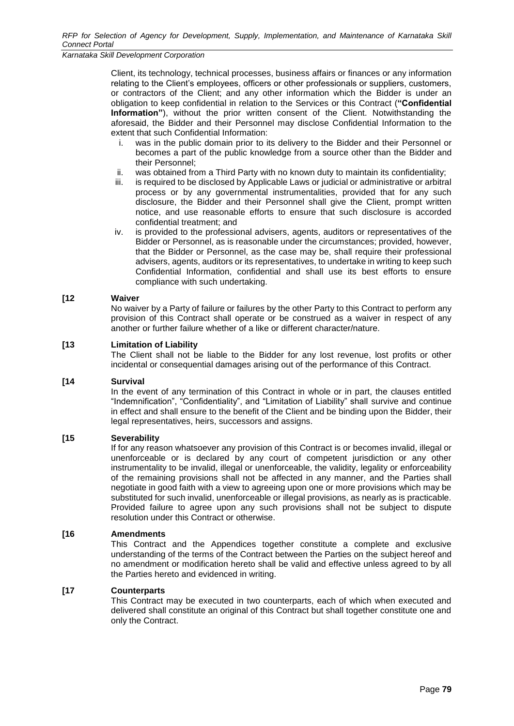Client, its technology, technical processes, business affairs or finances or any information relating to the Client's employees, officers or other professionals or suppliers, customers, or contractors of the Client; and any other information which the Bidder is under an obligation to keep confidential in relation to the Services or this Contract (**"Confidential Information"**), without the prior written consent of the Client. Notwithstanding the aforesaid, the Bidder and their Personnel may disclose Confidential Information to the extent that such Confidential Information:

- i. was in the public domain prior to its delivery to the Bidder and their Personnel or becomes a part of the public knowledge from a source other than the Bidder and their Personnel;
- ii. was obtained from a Third Party with no known duty to maintain its confidentiality;
- iii. is required to be disclosed by Applicable Laws or judicial or administrative or arbitral process or by any governmental instrumentalities, provided that for any such disclosure, the Bidder and their Personnel shall give the Client, prompt written notice, and use reasonable efforts to ensure that such disclosure is accorded confidential treatment; and
- iv. is provided to the professional advisers, agents, auditors or representatives of the Bidder or Personnel, as is reasonable under the circumstances; provided, however, that the Bidder or Personnel, as the case may be, shall require their professional advisers, agents, auditors or its representatives, to undertake in writing to keep such Confidential Information, confidential and shall use its best efforts to ensure compliance with such undertaking.

#### **[12 Waiver**

No waiver by a Party of failure or failures by the other Party to this Contract to perform any provision of this Contract shall operate or be construed as a waiver in respect of any another or further failure whether of a like or different character/nature.

#### **[13 Limitation of Liability**

The Client shall not be liable to the Bidder for any lost revenue, lost profits or other incidental or consequential damages arising out of the performance of this Contract.

#### **[14 Survival**

In the event of any termination of this Contract in whole or in part, the clauses entitled "Indemnification", "Confidentiality", and "Limitation of Liability" shall survive and continue in effect and shall ensure to the benefit of the Client and be binding upon the Bidder, their legal representatives, heirs, successors and assigns.

#### **[15 Severability**

If for any reason whatsoever any provision of this Contract is or becomes invalid, illegal or unenforceable or is declared by any court of competent jurisdiction or any other instrumentality to be invalid, illegal or unenforceable, the validity, legality or enforceability of the remaining provisions shall not be affected in any manner, and the Parties shall negotiate in good faith with a view to agreeing upon one or more provisions which may be substituted for such invalid, unenforceable or illegal provisions, as nearly as is practicable. Provided failure to agree upon any such provisions shall not be subject to dispute resolution under this Contract or otherwise.

#### **[16 Amendments**

This Contract and the Appendices together constitute a complete and exclusive understanding of the terms of the Contract between the Parties on the subject hereof and no amendment or modification hereto shall be valid and effective unless agreed to by all the Parties hereto and evidenced in writing.

#### **[17 Counterparts**

This Contract may be executed in two counterparts, each of which when executed and delivered shall constitute an original of this Contract but shall together constitute one and only the Contract.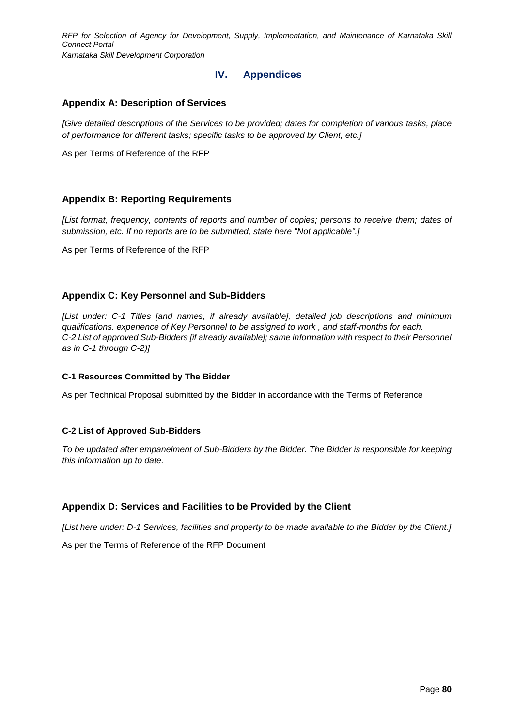*Karnataka Skill Development Corporation* 

# **IV. Appendices**

### **Appendix A: Description of Services**

*[Give detailed descriptions of the Services to be provided; dates for completion of various tasks, place of performance for different tasks; specific tasks to be approved by Client, etc.]*

As per Terms of Reference of the RFP

### **Appendix B: Reporting Requirements**

*[List format, frequency, contents of reports and number of copies; persons to receive them; dates of submission, etc. If no reports are to be submitted, state here "Not applicable".]*

As per Terms of Reference of the RFP

### **Appendix C: Key Personnel and Sub-Bidders**

*[List under: C-1 Titles [and names, if already available], detailed job descriptions and minimum qualifications. experience of Key Personnel to be assigned to work , and staff-months for each. C-2 List of approved Sub-Bidders [if already available]; same information with respect to their Personnel as in C-1 through C-2)]*

### **C-1 Resources Committed by The Bidder**

As per Technical Proposal submitted by the Bidder in accordance with the Terms of Reference

### **C-2 List of Approved Sub-Bidders**

*To be updated after empanelment of Sub-Bidders by the Bidder. The Bidder is responsible for keeping this information up to date.*

## **Appendix D: Services and Facilities to be Provided by the Client**

*[List here under: D-1 Services, facilities and property to be made available to the Bidder by the Client.]*

As per the Terms of Reference of the RFP Document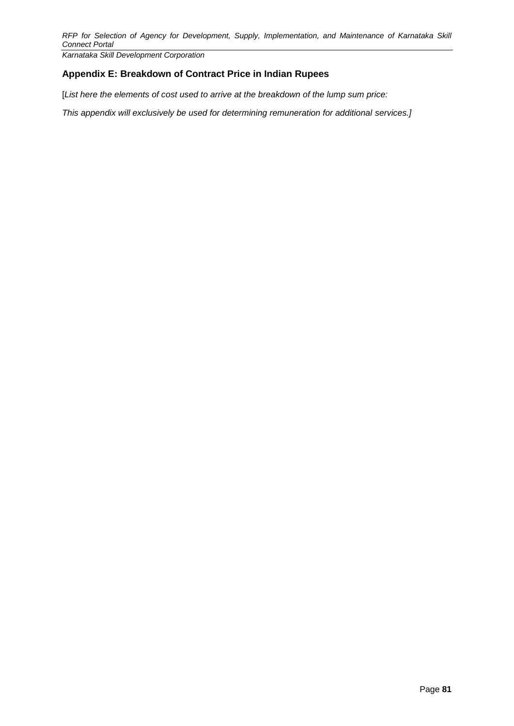*Karnataka Skill Development Corporation* 

# **Appendix E: Breakdown of Contract Price in Indian Rupees**

[*List here the elements of cost used to arrive at the breakdown of the lump sum price:* 

*This appendix will exclusively be used for determining remuneration for additional services.]*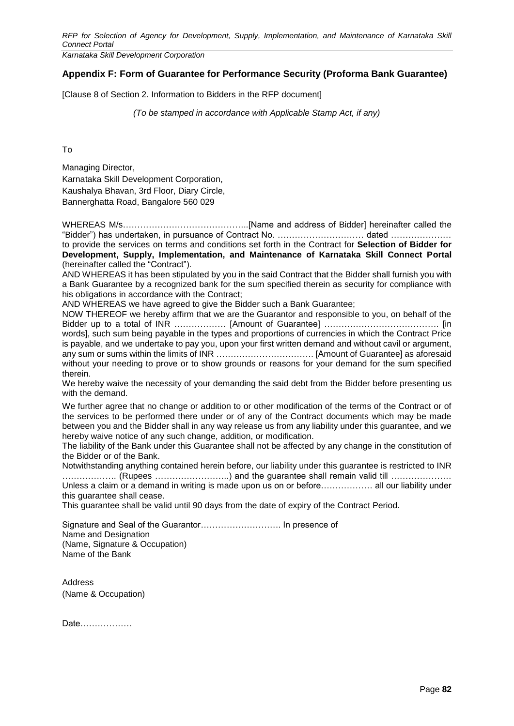*Karnataka Skill Development Corporation* 

### **Appendix F: Form of Guarantee for Performance Security (Proforma Bank Guarantee)**

[Clause 8 of Section 2. Information to Bidders in the RFP document]

*(To be stamped in accordance with Applicable Stamp Act, if any)*

To

Managing Director, Karnataka Skill Development Corporation, Kaushalya Bhavan, 3rd Floor, Diary Circle, Bannerghatta Road, Bangalore 560 029

WHEREAS M/s……………………………………..[Name and address of Bidder] hereinafter called the "Bidder") has undertaken, in pursuance of Contract No. ………………………… dated ………………… to provide the services on terms and conditions set forth in the Contract for **Selection of Bidder for Development, Supply, Implementation, and Maintenance of Karnataka Skill Connect Portal**  (hereinafter called the "Contract").

AND WHEREAS it has been stipulated by you in the said Contract that the Bidder shall furnish you with a Bank Guarantee by a recognized bank for the sum specified therein as security for compliance with his obligations in accordance with the Contract;

AND WHEREAS we have agreed to give the Bidder such a Bank Guarantee;

NOW THEREOF we hereby affirm that we are the Guarantor and responsible to you, on behalf of the Bidder up to a total of INR ……………… [Amount of Guarantee] …………………………………. [in words], such sum being payable in the types and proportions of currencies in which the Contract Price is payable, and we undertake to pay you, upon your first written demand and without cavil or argument, any sum or sums within the limits of INR ……………………………. [Amount of Guarantee] as aforesaid without your needing to prove or to show grounds or reasons for your demand for the sum specified therein.

We hereby waive the necessity of your demanding the said debt from the Bidder before presenting us with the demand.

We further agree that no change or addition to or other modification of the terms of the Contract or of the services to be performed there under or of any of the Contract documents which may be made between you and the Bidder shall in any way release us from any liability under this guarantee, and we hereby waive notice of any such change, addition, or modification.

The liability of the Bank under this Guarantee shall not be affected by any change in the constitution of the Bidder or of the Bank.

Notwithstanding anything contained herein before, our liability under this guarantee is restricted to INR ………………. (Rupees ……………………..) and the guarantee shall remain valid till …………………

Unless a claim or a demand in writing is made upon us on or before……………… all our liability under this guarantee shall cease.

This guarantee shall be valid until 90 days from the date of expiry of the Contract Period.

Signature and Seal of the Guarantor………………………. In presence of Name and Designation (Name, Signature & Occupation) Name of the Bank

Address (Name & Occupation)

Date………………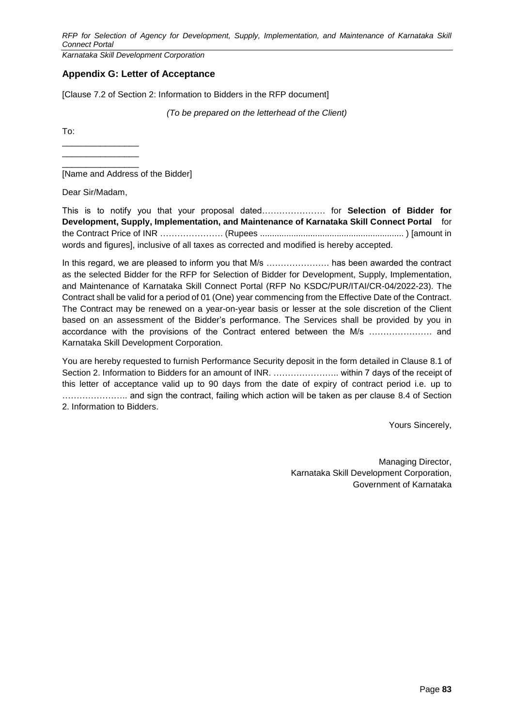*Karnataka Skill Development Corporation* 

### **Appendix G: Letter of Acceptance**

[Clause 7.2 of Section 2: Information to Bidders in the RFP document]

*(To be prepared on the letterhead of the Client)*

To:

\_\_\_\_\_\_\_\_\_\_\_\_\_\_\_\_ \_\_\_\_\_\_\_\_\_\_\_\_\_\_\_\_

\_\_\_\_\_\_\_\_\_\_\_\_\_\_\_\_

[Name and Address of the Bidder]

Dear Sir/Madam,

This is to notify you that your proposal dated…………………. for **Selection of Bidder for Development, Supply, Implementation, and Maintenance of Karnataka Skill Connect Portal** for the Contract Price of INR …………………. (Rupees ............................................................ ) [amount in words and figures], inclusive of all taxes as corrected and modified is hereby accepted.

In this regard, we are pleased to inform you that M/s …………………. has been awarded the contract as the selected Bidder for the RFP for Selection of Bidder for Development, Supply, Implementation, and Maintenance of Karnataka Skill Connect Portal (RFP No KSDC/PUR/ITAI/CR-04/2022-23). The Contract shall be valid for a period of 01 (One) year commencing from the Effective Date of the Contract. The Contract may be renewed on a year-on-year basis or lesser at the sole discretion of the Client based on an assessment of the Bidder's performance. The Services shall be provided by you in accordance with the provisions of the Contract entered between the M/s …………………. and Karnataka Skill Development Corporation.

You are hereby requested to furnish Performance Security deposit in the form detailed in Clause 8.1 of Section 2. Information to Bidders for an amount of INR. ………………….. within 7 days of the receipt of this letter of acceptance valid up to 90 days from the date of expiry of contract period i.e. up to ………………….. and sign the contract, failing which action will be taken as per clause 8.4 of Section 2. Information to Bidders.

Yours Sincerely,

Managing Director, Karnataka Skill Development Corporation, Government of Karnataka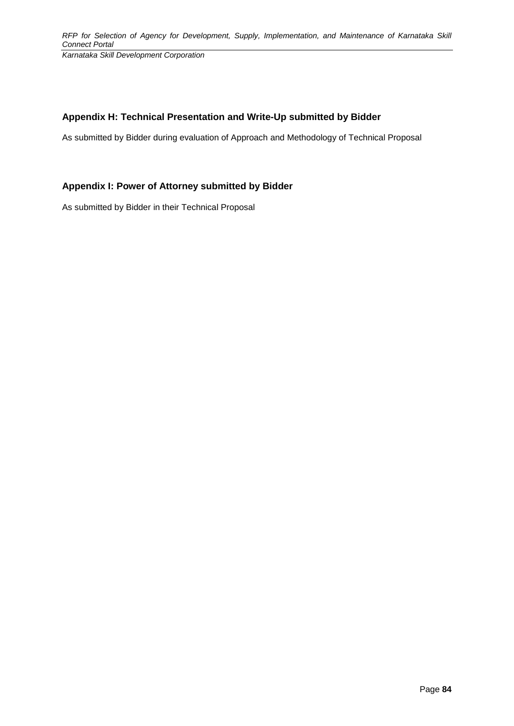# **Appendix H: Technical Presentation and Write-Up submitted by Bidder**

As submitted by Bidder during evaluation of Approach and Methodology of Technical Proposal

# **Appendix I: Power of Attorney submitted by Bidder**

As submitted by Bidder in their Technical Proposal